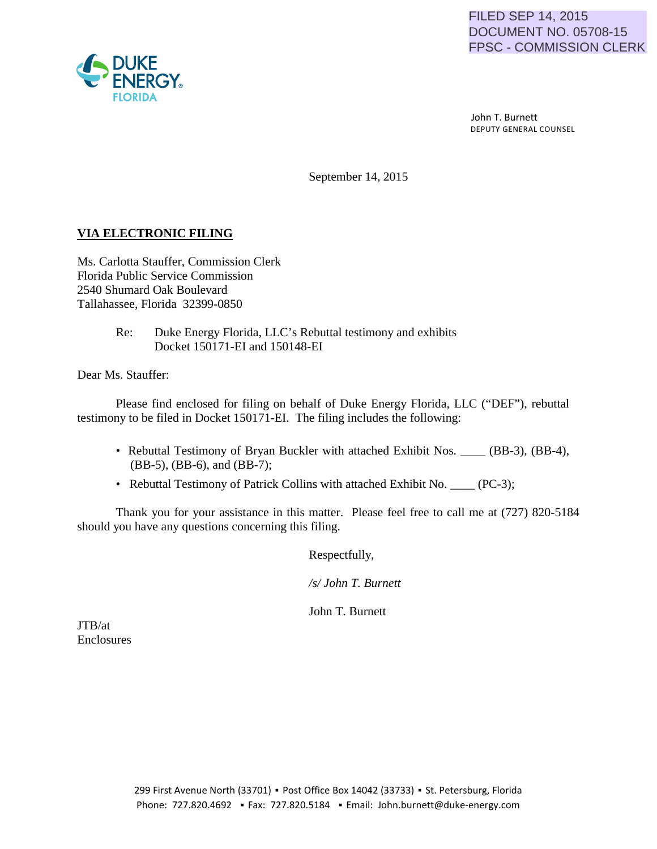

 John T. Burnett DEPUTY GENERAL COUNSEL

September 14, 2015

#### **VIA ELECTRONIC FILING**

Ms. Carlotta Stauffer, Commission Clerk Florida Public Service Commission 2540 Shumard Oak Boulevard Tallahassee, Florida 32399-0850

> Re: Duke Energy Florida, LLC's Rebuttal testimony and exhibits Docket 150171-EI and 150148-EI

Dear Ms. Stauffer:

Please find enclosed for filing on behalf of Duke Energy Florida, LLC ("DEF"), rebuttal testimony to be filed in Docket 150171-EI. The filing includes the following:

- Rebuttal Testimony of Bryan Buckler with attached Exhibit Nos. \_\_\_\_ (BB-3), (BB-4), (BB-5), (BB-6), and (BB-7);
- Rebuttal Testimony of Patrick Collins with attached Exhibit No. (PC-3);

Thank you for your assistance in this matter. Please feel free to call me at (727) 820-5184 should you have any questions concerning this filing.

Respectfully,

*/s/ John T. Burnett* 

John T. Burnett

JTB/at Enclosures

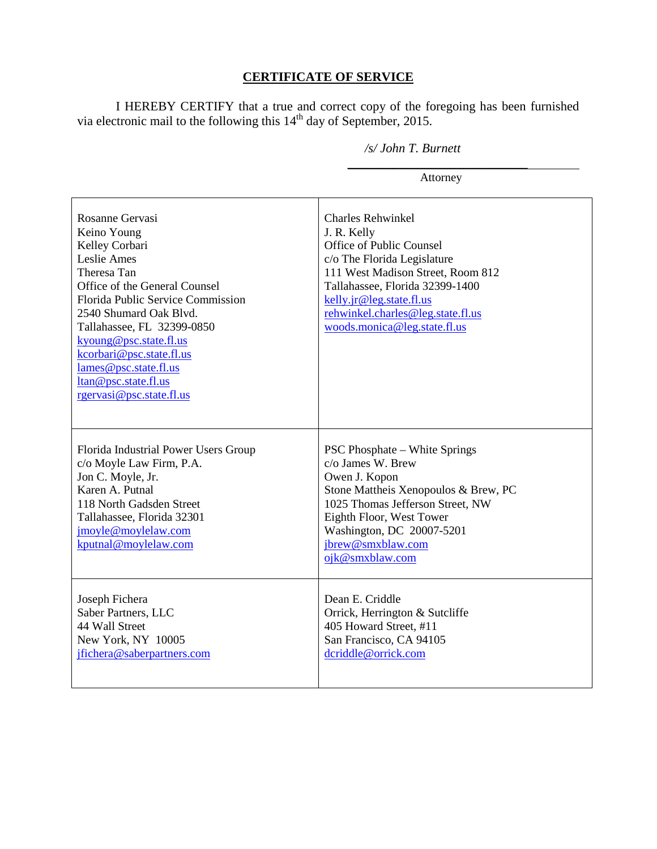## **CERTIFICATE OF SERVICE**

I HEREBY CERTIFY that a true and correct copy of the foregoing has been furnished via electronic mail to the following this  $14<sup>th</sup>$  day of September, 2015.

*\_\_\_\_\_\_\_\_\_\_\_\_\_\_\_\_\_\_\_\_\_\_\_\_\_\_\_\_* 

#### */s/ John T. Burnett*

Attorney

| Rosanne Gervasi<br>Keino Young<br>Kelley Corbari<br>Leslie Ames<br>Theresa Tan<br>Office of the General Counsel<br>Florida Public Service Commission<br>2540 Shumard Oak Blvd.<br>Tallahassee, FL 32399-0850<br>kyoung@psc.state.fl.us<br>kcorbari@psc.state.fl.us<br>lames@psc.state.fl.us<br>ltan@psc.state.fl.us<br>rgervasi@psc.state.fl.us | <b>Charles Rehwinkel</b><br>J. R. Kelly<br>Office of Public Counsel<br>c/o The Florida Legislature<br>111 West Madison Street, Room 812<br>Tallahassee, Florida 32399-1400<br>kelly.jr@leg.state.fl.us<br>rehwinkel.charles@leg.state.fl.us<br>woods.monica@leg.state.fl.us |
|-------------------------------------------------------------------------------------------------------------------------------------------------------------------------------------------------------------------------------------------------------------------------------------------------------------------------------------------------|-----------------------------------------------------------------------------------------------------------------------------------------------------------------------------------------------------------------------------------------------------------------------------|
| Florida Industrial Power Users Group<br>c/o Moyle Law Firm, P.A.<br>Jon C. Moyle, Jr.<br>Karen A. Putnal<br>118 North Gadsden Street<br>Tallahassee, Florida 32301<br>jmoyle@moylelaw.com<br>kputnal@moylelaw.com                                                                                                                               | <b>PSC Phosphate – White Springs</b><br>c/o James W. Brew<br>Owen J. Kopon<br>Stone Mattheis Xenopoulos & Brew, PC<br>1025 Thomas Jefferson Street, NW<br>Eighth Floor, West Tower<br>Washington, DC 20007-5201<br>jbrew@smxblaw.com<br>ojk@smxblaw.com                     |
| Joseph Fichera<br>Saber Partners, LLC<br>44 Wall Street<br>New York, NY 10005<br>jfichera@saberpartners.com                                                                                                                                                                                                                                     | Dean E. Criddle<br>Orrick, Herrington & Sutcliffe<br>405 Howard Street, #11<br>San Francisco, CA 94105<br>dcriddle@orrick.com                                                                                                                                               |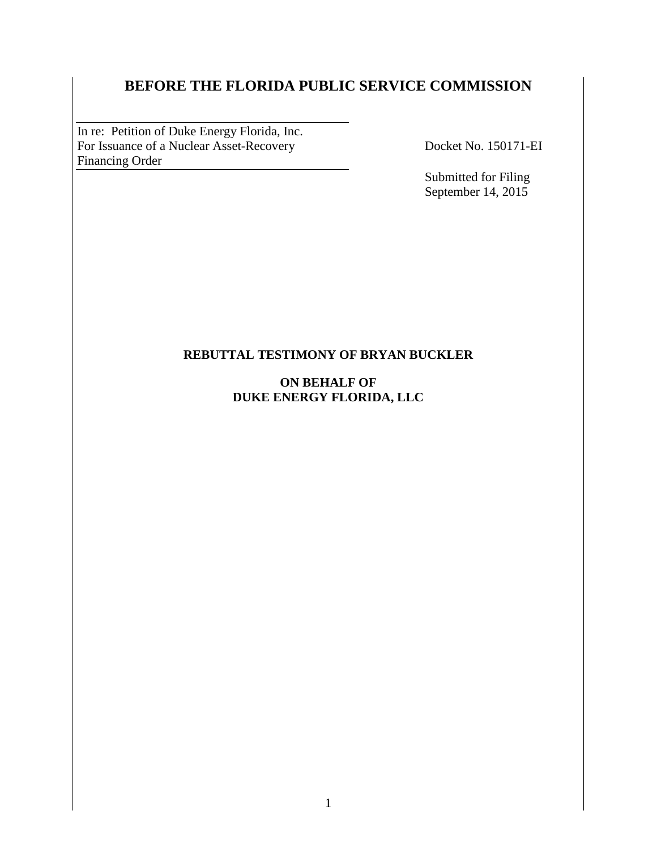# **BEFORE THE FLORIDA PUBLIC SERVICE COMMISSION**

In re: Petition of Duke Energy Florida, Inc. For Issuance of a Nuclear Asset-Recovery Docket No. 150171-EI Financing Order 

Submitted for Filing September 14, 2015

#### **REBUTTAL TESTIMONY OF BRYAN BUCKLER**

#### **ON BEHALF OF DUKE ENERGY FLORIDA, LLC**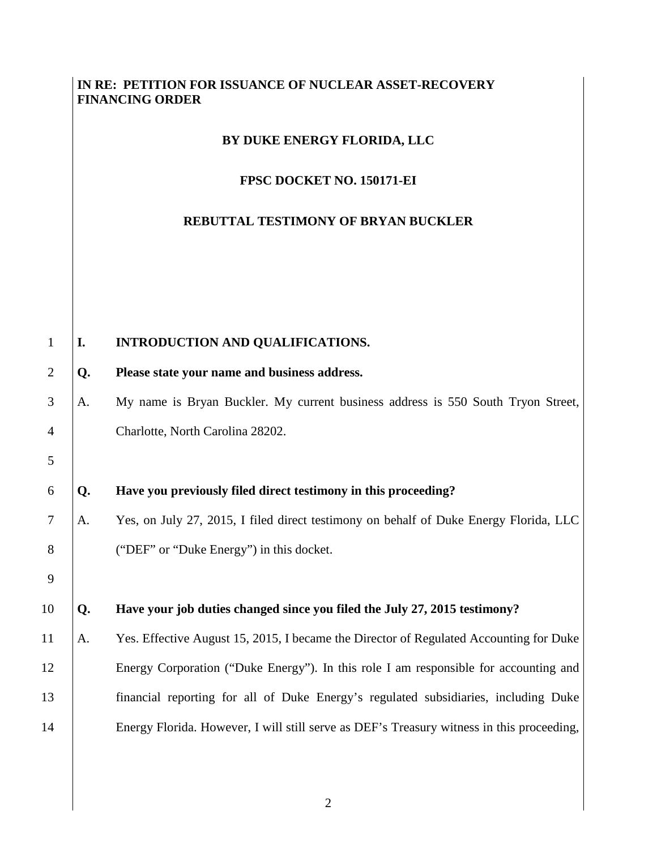### **IN RE: PETITION FOR ISSUANCE OF NUCLEAR ASSET-RECOVERY FINANCING ORDER**

#### **BY DUKE ENERGY FLORIDA, LLC**

#### **FPSC DOCKET NO. 150171-EI**

## **REBUTTAL TESTIMONY OF BRYAN BUCKLER**

| I. | INTRODUCTION AND QUALIFICATIONS.                                                          |
|----|-------------------------------------------------------------------------------------------|
| Q. | Please state your name and business address.                                              |
| A. | My name is Bryan Buckler. My current business address is 550 South Tryon Street,          |
|    | Charlotte, North Carolina 28202.                                                          |
|    |                                                                                           |
| Q. | Have you previously filed direct testimony in this proceeding?                            |
| А. | Yes, on July 27, 2015, I filed direct testimony on behalf of Duke Energy Florida, LLC     |
|    | ("DEF" or "Duke Energy") in this docket.                                                  |
|    |                                                                                           |
| Q. | Have your job duties changed since you filed the July 27, 2015 testimony?                 |
| A. | Yes. Effective August 15, 2015, I became the Director of Regulated Accounting for Duke    |
|    | Energy Corporation ("Duke Energy"). In this role I am responsible for accounting and      |
|    | financial reporting for all of Duke Energy's regulated subsidiaries, including Duke       |
|    | Energy Florida. However, I will still serve as DEF's Treasury witness in this proceeding, |
|    |                                                                                           |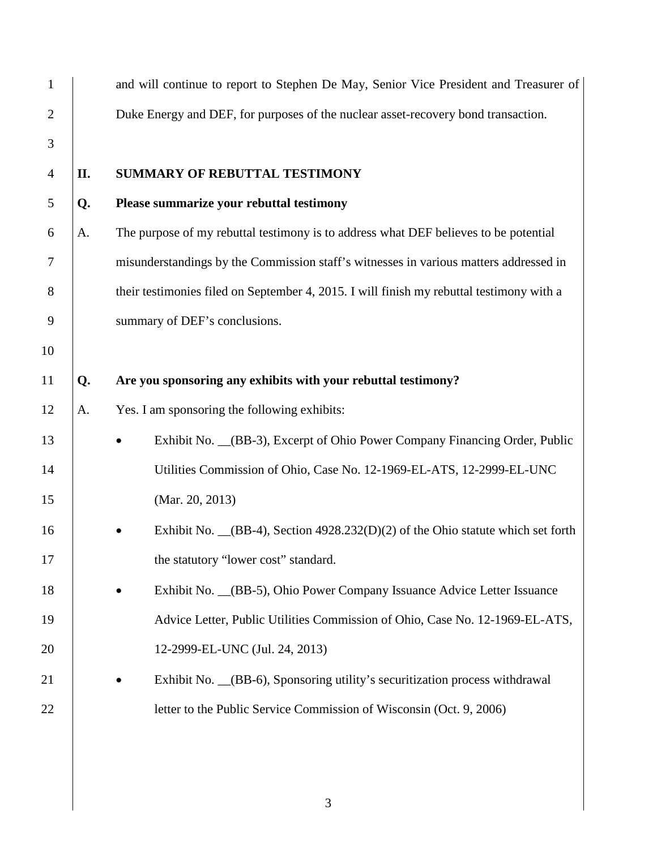| $\mathbf{1}$   |    | and will continue to report to Stephen De May, Senior Vice President and Treasurer of    |  |  |  |  |  |
|----------------|----|------------------------------------------------------------------------------------------|--|--|--|--|--|
| $\overline{2}$ |    | Duke Energy and DEF, for purposes of the nuclear asset-recovery bond transaction.        |  |  |  |  |  |
| 3              |    |                                                                                          |  |  |  |  |  |
| $\overline{4}$ | П. | <b>SUMMARY OF REBUTTAL TESTIMONY</b>                                                     |  |  |  |  |  |
| 5              | Q. | Please summarize your rebuttal testimony                                                 |  |  |  |  |  |
| 6              | A. | The purpose of my rebuttal testimony is to address what DEF believes to be potential     |  |  |  |  |  |
| 7              |    | misunderstandings by the Commission staff's witnesses in various matters addressed in    |  |  |  |  |  |
| 8              |    | their testimonies filed on September 4, 2015. I will finish my rebuttal testimony with a |  |  |  |  |  |
| 9              |    | summary of DEF's conclusions.                                                            |  |  |  |  |  |
| 10             |    |                                                                                          |  |  |  |  |  |
| 11             | Q. | Are you sponsoring any exhibits with your rebuttal testimony?                            |  |  |  |  |  |
| 12             | A. | Yes. I am sponsoring the following exhibits:                                             |  |  |  |  |  |
| 13             |    | Exhibit No. _(BB-3), Excerpt of Ohio Power Company Financing Order, Public               |  |  |  |  |  |
| 14             |    | Utilities Commission of Ohio, Case No. 12-1969-EL-ATS, 12-2999-EL-UNC                    |  |  |  |  |  |
| 15             |    | (Mar. 20, 2013)                                                                          |  |  |  |  |  |
| 16             |    | Exhibit No. $(RB-4)$ , Section 4928.232(D)(2) of the Ohio statute which set forth        |  |  |  |  |  |
| 17             |    | the statutory "lower cost" standard.                                                     |  |  |  |  |  |
| 18             |    | Exhibit No. _(BB-5), Ohio Power Company Issuance Advice Letter Issuance                  |  |  |  |  |  |
| 19             |    | Advice Letter, Public Utilities Commission of Ohio, Case No. 12-1969-EL-ATS,             |  |  |  |  |  |
| 20             |    | 12-2999-EL-UNC (Jul. 24, 2013)                                                           |  |  |  |  |  |
| 21             |    | Exhibit No. _(BB-6), Sponsoring utility's securitization process withdrawal              |  |  |  |  |  |
| 22             |    | letter to the Public Service Commission of Wisconsin (Oct. 9, 2006)                      |  |  |  |  |  |
|                |    |                                                                                          |  |  |  |  |  |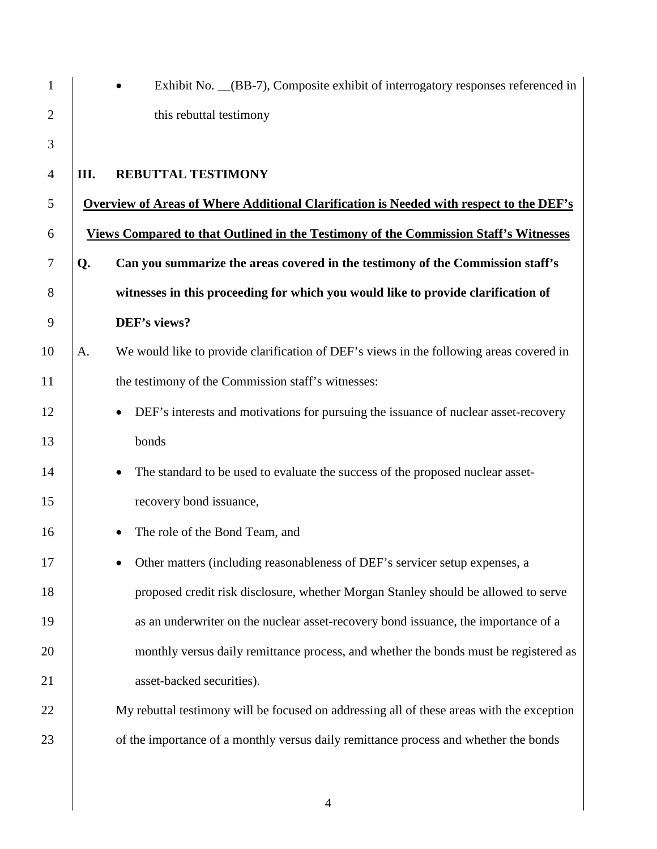| $\mathbf{1}$   |      | Exhibit No. (BB-7), Composite exhibit of interrogatory responses referenced in                 |
|----------------|------|------------------------------------------------------------------------------------------------|
| $\overline{2}$ |      | this rebuttal testimony                                                                        |
| 3              |      |                                                                                                |
| 4              | III. | REBUTTAL TESTIMONY                                                                             |
| 5              |      | <b>Overview of Areas of Where Additional Clarification is Needed with respect to the DEF's</b> |
| 6              |      | <b>Views Compared to that Outlined in the Testimony of the Commission Staff's Witnesses</b>    |
| $\tau$         | Q.   | Can you summarize the areas covered in the testimony of the Commission staff's                 |
| 8              |      | witnesses in this proceeding for which you would like to provide clarification of              |
| 9              |      | DEF's views?                                                                                   |
| 10             | A.   | We would like to provide clarification of DEF's views in the following areas covered in        |
| 11             |      | the testimony of the Commission staff's witnesses:                                             |
| 12             |      | DEF's interests and motivations for pursuing the issuance of nuclear asset-recovery            |
| 13             |      | bonds                                                                                          |
| 14             |      | The standard to be used to evaluate the success of the proposed nuclear asset-<br>$\bullet$    |
| 15             |      | recovery bond issuance,                                                                        |
| 16             |      | The role of the Bond Team, and                                                                 |
| 17             |      | Other matters (including reasonableness of DEF's servicer setup expenses, a                    |
| 18             |      | proposed credit risk disclosure, whether Morgan Stanley should be allowed to serve             |
| 19             |      | as an underwriter on the nuclear asset-recovery bond issuance, the importance of a             |
| 20             |      | monthly versus daily remittance process, and whether the bonds must be registered as           |
| 21             |      | asset-backed securities).                                                                      |
| 22             |      | My rebuttal testimony will be focused on addressing all of these areas with the exception      |
| 23             |      | of the importance of a monthly versus daily remittance process and whether the bonds           |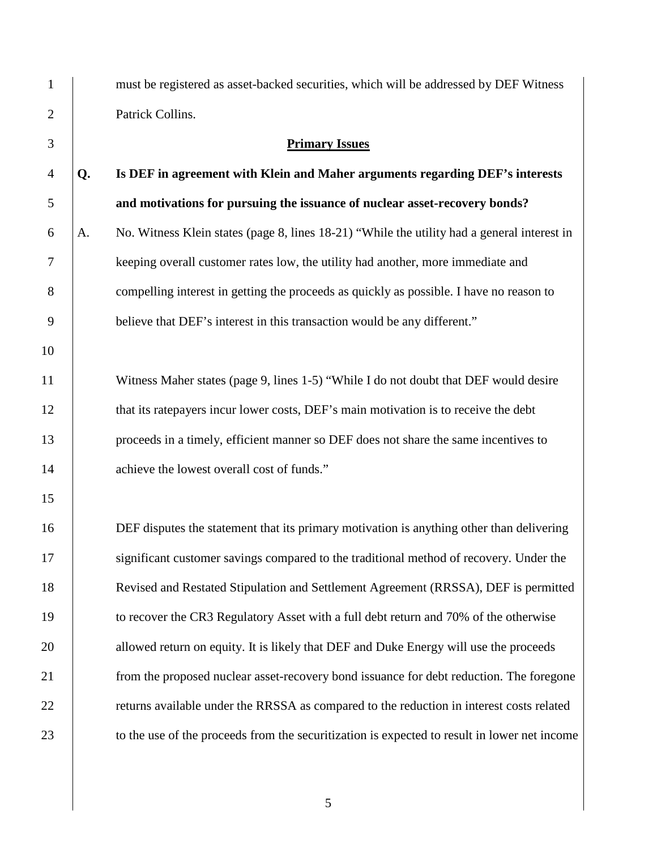| $\mathbf{1}$   |    | must be registered as asset-backed securities, which will be addressed by DEF Witness        |
|----------------|----|----------------------------------------------------------------------------------------------|
| $\mathbf{2}$   |    | Patrick Collins.                                                                             |
| 3              |    | <b>Primary Issues</b>                                                                        |
| $\overline{4}$ | Q. | Is DEF in agreement with Klein and Maher arguments regarding DEF's interests                 |
| 5              |    | and motivations for pursuing the issuance of nuclear asset-recovery bonds?                   |
| 6              | A. | No. Witness Klein states (page 8, lines 18-21) "While the utility had a general interest in  |
| 7              |    | keeping overall customer rates low, the utility had another, more immediate and              |
| 8              |    | compelling interest in getting the proceeds as quickly as possible. I have no reason to      |
| 9              |    | believe that DEF's interest in this transaction would be any different."                     |
| 10             |    |                                                                                              |
| 11             |    | Witness Maher states (page 9, lines 1-5) "While I do not doubt that DEF would desire         |
| 12             |    | that its ratepayers incur lower costs, DEF's main motivation is to receive the debt          |
| 13             |    | proceeds in a timely, efficient manner so DEF does not share the same incentives to          |
| 14             |    | achieve the lowest overall cost of funds."                                                   |
| 15             |    |                                                                                              |
| 16             |    | DEF disputes the statement that its primary motivation is anything other than delivering     |
| 17             |    | significant customer savings compared to the traditional method of recovery. Under the       |
| 18             |    | Revised and Restated Stipulation and Settlement Agreement (RRSSA), DEF is permitted          |
| 19             |    | to recover the CR3 Regulatory Asset with a full debt return and 70% of the otherwise         |
| 20             |    | allowed return on equity. It is likely that DEF and Duke Energy will use the proceeds        |
| 21             |    | from the proposed nuclear asset-recovery bond issuance for debt reduction. The foregone      |
| 22             |    | returns available under the RRSSA as compared to the reduction in interest costs related     |
| 23             |    | to the use of the proceeds from the securitization is expected to result in lower net income |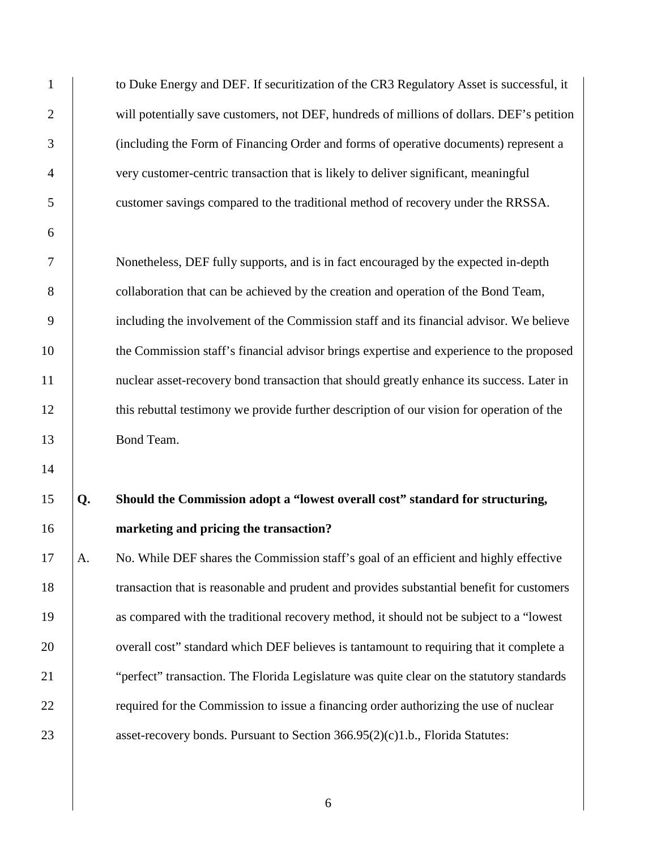1 to Duke Energy and DEF. If securitization of the CR3 Regulatory Asset is successful, it 2 will potentially save customers, not DEF, hundreds of millions of dollars. DEF's petition 3 (including the Form of Financing Order and forms of operative documents) represent a 4 very customer-centric transaction that is likely to deliver significant, meaningful 5 customer savings compared to the traditional method of recovery under the RRSSA.

6

14

7 Nonetheless, DEF fully supports, and is in fact encouraged by the expected in-depth 8 collaboration that can be achieved by the creation and operation of the Bond Team, 9 including the involvement of the Commission staff and its financial advisor. We believe 10 the Commission staff's financial advisor brings expertise and experience to the proposed 11 | nuclear asset-recovery bond transaction that should greatly enhance its success. Later in 12 **this rebuttal testimony we provide further description of our vision for operation of the** 13 Bond Team.

# 15 **Q. Should the Commission adopt a "lowest overall cost" standard for structuring,**  16 **marketing and pricing the transaction?**

17 A. No. While DEF shares the Commission staff's goal of an efficient and highly effective 18 transaction that is reasonable and prudent and provides substantial benefit for customers 19 as compared with the traditional recovery method, it should not be subject to a "lowest 20 verall cost" standard which DEF believes is tantamount to requiring that it complete a 21 Territorial extendion. The Florida Legislature was quite clear on the statutory standards 22 **required for the Commission to issue a financing order authorizing the use of nuclear** 23 asset-recovery bonds. Pursuant to Section 366.95(2)(c)1.b., Florida Statutes: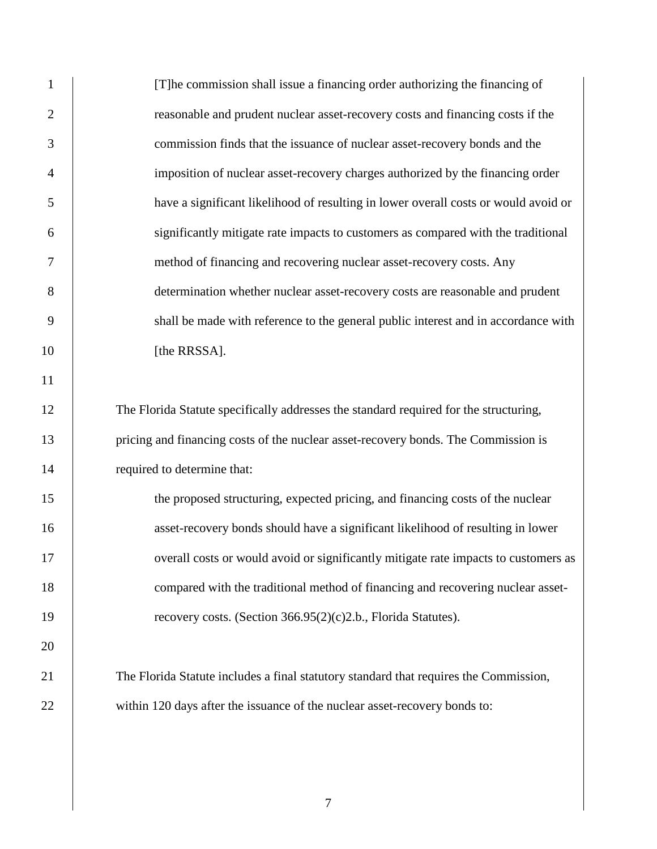| $\mathbf{1}$   | [T] he commission shall issue a financing order authorizing the financing of          |
|----------------|---------------------------------------------------------------------------------------|
| $\overline{2}$ | reasonable and prudent nuclear asset-recovery costs and financing costs if the        |
| 3              | commission finds that the issuance of nuclear asset-recovery bonds and the            |
| $\overline{4}$ | imposition of nuclear asset-recovery charges authorized by the financing order        |
| 5              | have a significant likelihood of resulting in lower overall costs or would avoid or   |
| 6              | significantly mitigate rate impacts to customers as compared with the traditional     |
| 7              | method of financing and recovering nuclear asset-recovery costs. Any                  |
| 8              | determination whether nuclear asset-recovery costs are reasonable and prudent         |
| 9              | shall be made with reference to the general public interest and in accordance with    |
| 10             | [the RRSSA].                                                                          |
| 11             |                                                                                       |
| 12             | The Florida Statute specifically addresses the standard required for the structuring, |
| 13             | pricing and financing costs of the nuclear asset-recovery bonds. The Commission is    |
| 14             | required to determine that:                                                           |
| 15             | the proposed structuring, expected pricing, and financing costs of the nuclear        |
| 16             | asset-recovery bonds should have a significant likelihood of resulting in lower       |
| 17             | overall costs or would avoid or significantly mitigate rate impacts to customers as   |
| 18             | compared with the traditional method of financing and recovering nuclear asset-       |
| 19             | recovery costs. (Section 366.95(2)(c)2.b., Florida Statutes).                         |
| 20             |                                                                                       |
| 21             | The Florida Statute includes a final statutory standard that requires the Commission, |
| 22             | within 120 days after the issuance of the nuclear asset-recovery bonds to:            |
|                |                                                                                       |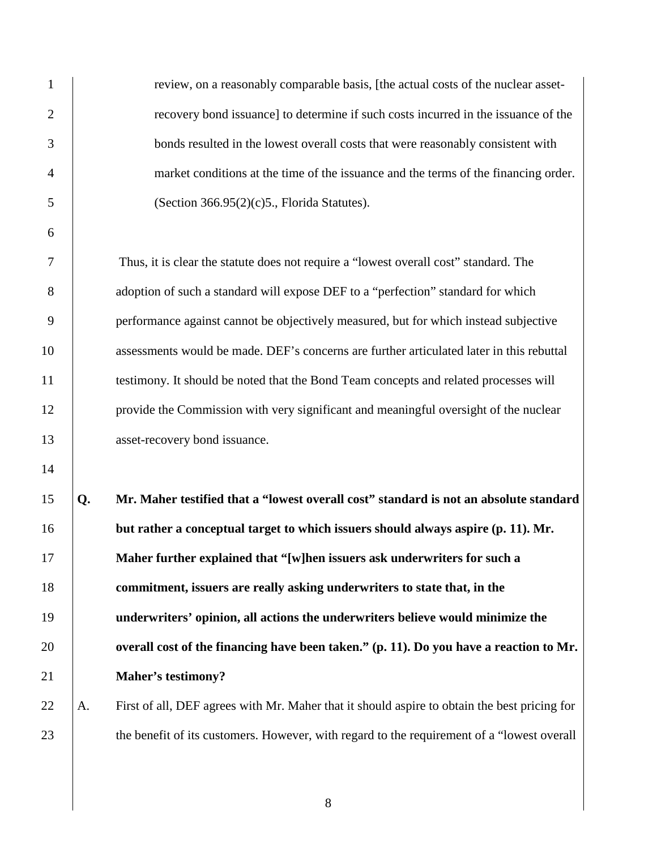| $\mathbf{1}$     |    | review, on a reasonably comparable basis, [the actual costs of the nuclear asset-            |
|------------------|----|----------------------------------------------------------------------------------------------|
| $\overline{2}$   |    | recovery bond issuance] to determine if such costs incurred in the issuance of the           |
| 3                |    | bonds resulted in the lowest overall costs that were reasonably consistent with              |
| $\overline{4}$   |    | market conditions at the time of the issuance and the terms of the financing order.          |
| 5                |    | (Section $366.95(2)(c)5$ ., Florida Statutes).                                               |
| 6                |    |                                                                                              |
| 7                |    | Thus, it is clear the statute does not require a "lowest overall cost" standard. The         |
| 8                |    | adoption of such a standard will expose DEF to a "perfection" standard for which             |
| $\boldsymbol{9}$ |    | performance against cannot be objectively measured, but for which instead subjective         |
| 10               |    | assessments would be made. DEF's concerns are further articulated later in this rebuttal     |
| 11               |    | testimony. It should be noted that the Bond Team concepts and related processes will         |
| 12               |    | provide the Commission with very significant and meaningful oversight of the nuclear         |
| 13               |    | asset-recovery bond issuance.                                                                |
| 14               |    |                                                                                              |
| 15               | Q. | Mr. Maher testified that a "lowest overall cost" standard is not an absolute standard        |
| 16               |    | but rather a conceptual target to which issuers should always aspire (p. 11). Mr.            |
| 17               |    | Maher further explained that "[w]hen issuers ask underwriters for such a                     |
| 18               |    | commitment, issuers are really asking underwriters to state that, in the                     |
| 19               |    | underwriters' opinion, all actions the underwriters believe would minimize the               |
| 20               |    | overall cost of the financing have been taken." (p. 11). Do you have a reaction to Mr.       |
| 21               |    | <b>Maher's testimony?</b>                                                                    |
| 22               | A. | First of all, DEF agrees with Mr. Maher that it should aspire to obtain the best pricing for |
| 23               |    | the benefit of its customers. However, with regard to the requirement of a "lowest overall"  |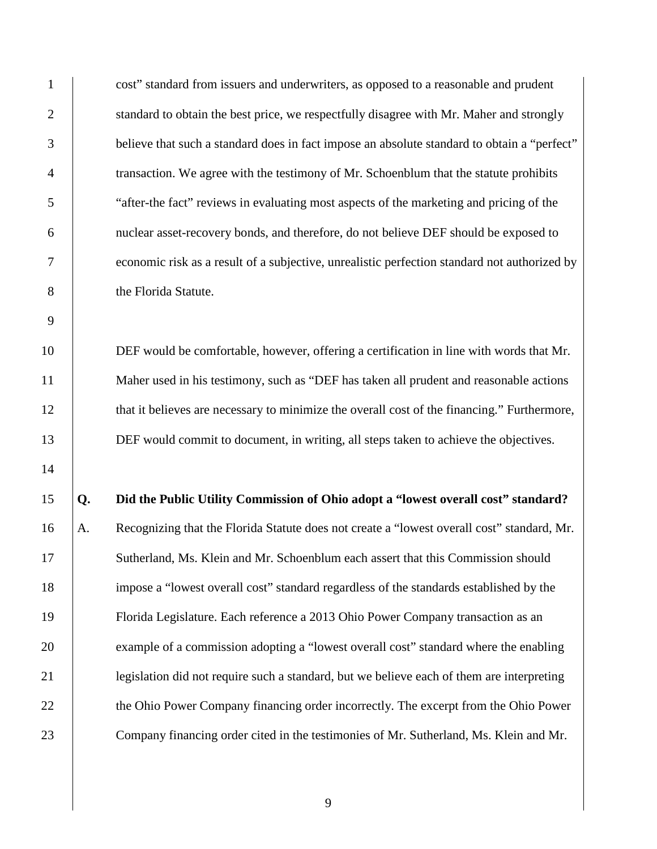1 cost" standard from issuers and underwriters, as opposed to a reasonable and prudent 2 | standard to obtain the best price, we respectfully disagree with Mr. Maher and strongly 3 believe that such a standard does in fact impose an absolute standard to obtain a "perfect" 4 transaction. We agree with the testimony of Mr. Schoenblum that the statute prohibits 5 "after-the fact" reviews in evaluating most aspects of the marketing and pricing of the 6 nuclear asset-recovery bonds, and therefore, do not believe DEF should be exposed to 7 economic risk as a result of a subjective, unrealistic perfection standard not authorized by 8 the Florida Statute.

10 DEF would be comfortable, however, offering a certification in line with words that Mr. 11 Maher used in his testimony, such as "DEF has taken all prudent and reasonable actions 12 that it believes are necessary to minimize the overall cost of the financing." Furthermore, 13 DEF would commit to document, in writing, all steps taken to achieve the objectives.

9

14

15 **Q. Did the Public Utility Commission of Ohio adopt a "lowest overall cost" standard?**  16 A. Recognizing that the Florida Statute does not create a "lowest overall cost" standard, Mr. 17 Sutherland, Ms. Klein and Mr. Schoenblum each assert that this Commission should 18 impose a "lowest overall cost" standard regardless of the standards established by the 19 Florida Legislature. Each reference a 2013 Ohio Power Company transaction as an 20 example of a commission adopting a "lowest overall cost" standard where the enabling 21 legislation did not require such a standard, but we believe each of them are interpreting 22 the Ohio Power Company financing order incorrectly. The excerpt from the Ohio Power 23 Company financing order cited in the testimonies of Mr. Sutherland, Ms. Klein and Mr.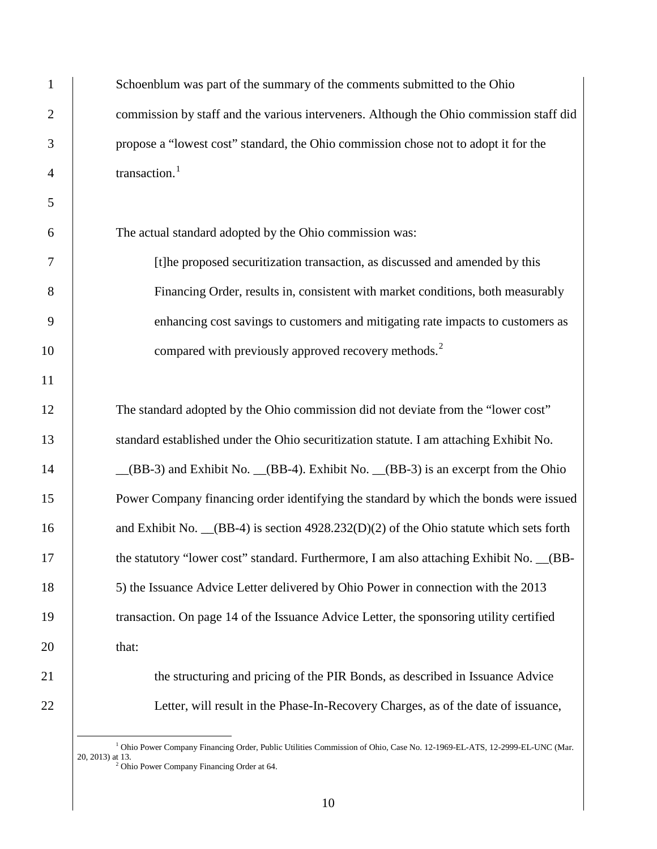1 Schoenblum was part of the summary of the comments submitted to the Ohio 2 commission by staff and the various interveners. Although the Ohio commission staff did 3 propose a "lowest cost" standard, the Ohio commission chose not to adopt it for the 4  $\vert$  transaction.<sup>1</sup>

6 The actual standard adopted by the Ohio commission was:

7 [t]he proposed securitization transaction, as discussed and amended by this 8 Financing Order, results in, consistent with market conditions, both measurably 9 enhancing cost savings to customers and mitigating rate impacts to customers as 10 compared with previously approved recovery methods.<sup>2</sup>

12 The standard adopted by the Ohio commission did not deviate from the "lower cost" 13 standard established under the Ohio securitization statute. I am attaching Exhibit No. 14 **Solution** and Exhibit No. \_\_(BB-4). Exhibit No. \_\_(BB-3) is an excerpt from the Ohio 15 Power Company financing order identifying the standard by which the bonds were issued 16 and Exhibit No. (BB-4) is section 4928.232(D)(2) of the Ohio statute which sets forth 17 the statutory "lower cost" standard. Furthermore, I am also attaching Exhibit No. \_\_(BB-18 5) the Issuance Advice Letter delivered by Ohio Power in connection with the 2013 19 transaction. On page 14 of the Issuance Advice Letter, the sponsoring utility certified  $20$  that:

21 the structuring and pricing of the PIR Bonds, as described in Issuance Advice 22 Letter, will result in the Phase-In-Recovery Charges, as of the date of issuance,

<sup>&</sup>lt;sup>1</sup> Ohio Power Company Financing Order, Public Utilities Commission of Ohio, Case No. 12-1969-EL-ATS, 12-2999-EL-UNC (Mar. 20. 2013) at 13.  $2^2$  Ohio Power Company Financing Order at 64.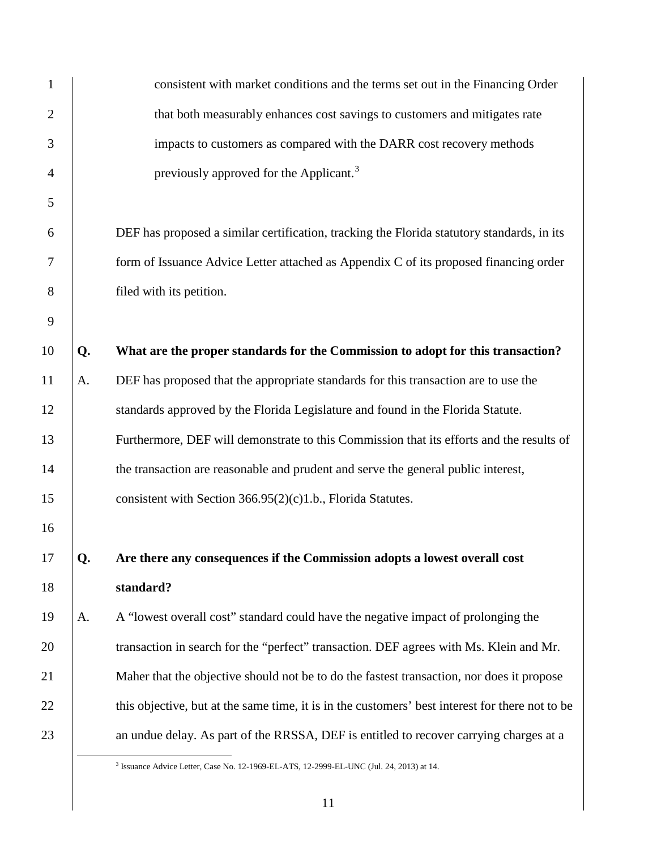| $\mathbf{1}$   |    | consistent with market conditions and the terms set out in the Financing Order                  |
|----------------|----|-------------------------------------------------------------------------------------------------|
| $\overline{c}$ |    | that both measurably enhances cost savings to customers and mitigates rate                      |
| 3              |    | impacts to customers as compared with the DARR cost recovery methods                            |
| 4              |    | previously approved for the Applicant. <sup>3</sup>                                             |
| 5              |    |                                                                                                 |
| 6              |    | DEF has proposed a similar certification, tracking the Florida statutory standards, in its      |
| 7              |    | form of Issuance Advice Letter attached as Appendix C of its proposed financing order           |
| $8\,$          |    | filed with its petition.                                                                        |
| 9              |    |                                                                                                 |
| 10             | Q. | What are the proper standards for the Commission to adopt for this transaction?                 |
| 11             | A. | DEF has proposed that the appropriate standards for this transaction are to use the             |
| 12             |    | standards approved by the Florida Legislature and found in the Florida Statute.                 |
| 13             |    | Furthermore, DEF will demonstrate to this Commission that its efforts and the results of        |
| 14             |    | the transaction are reasonable and prudent and serve the general public interest,               |
| 15             |    | consistent with Section $366.95(2)(c)1.b.,$ Florida Statutes.                                   |
| 16             |    |                                                                                                 |
| 17             | Q. | Are there any consequences if the Commission adopts a lowest overall cost                       |
| 18             |    | standard?                                                                                       |
| 19             | A. | A "lowest overall cost" standard could have the negative impact of prolonging the               |
| 20             |    | transaction in search for the "perfect" transaction. DEF agrees with Ms. Klein and Mr.          |
| 21             |    | Maher that the objective should not be to do the fastest transaction, nor does it propose       |
| 22             |    | this objective, but at the same time, it is in the customers' best interest for there not to be |
| 23             |    | an undue delay. As part of the RRSSA, DEF is entitled to recover carrying charges at a          |

 <sup>3</sup> Issuance Advice Letter, Case No. 12-1969-EL-ATS, 12-2999-EL-UNC (Jul. 24, 2013) at 14.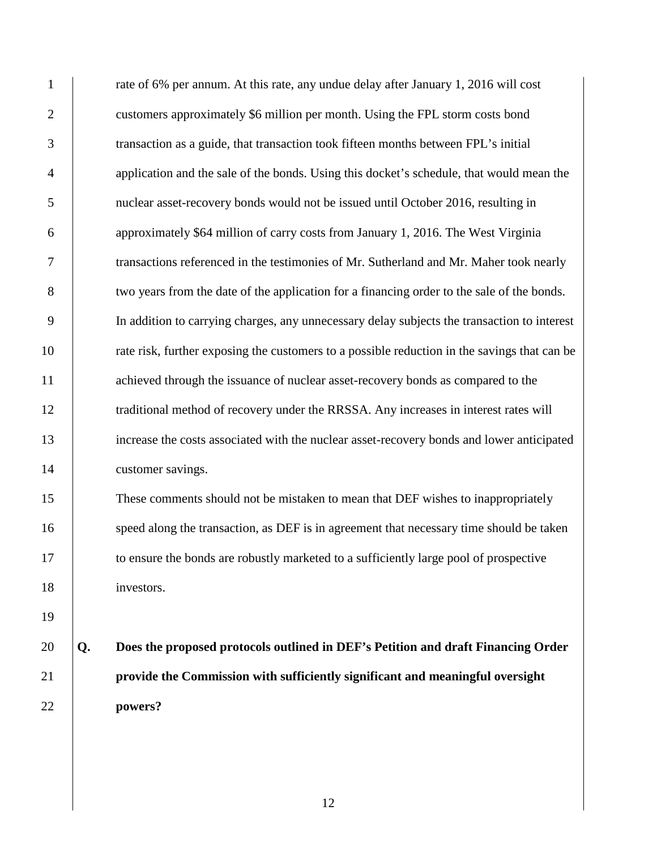| $\mathbf{1}$   |    | rate of 6% per annum. At this rate, any undue delay after January 1, 2016 will cost          |
|----------------|----|----------------------------------------------------------------------------------------------|
| $\overline{2}$ |    | customers approximately \$6 million per month. Using the FPL storm costs bond                |
| 3              |    | transaction as a guide, that transaction took fifteen months between FPL's initial           |
| $\overline{4}$ |    | application and the sale of the bonds. Using this docket's schedule, that would mean the     |
| 5              |    | nuclear asset-recovery bonds would not be issued until October 2016, resulting in            |
| 6              |    | approximately \$64 million of carry costs from January 1, 2016. The West Virginia            |
| 7              |    | transactions referenced in the testimonies of Mr. Sutherland and Mr. Maher took nearly       |
| $8\,$          |    | two years from the date of the application for a financing order to the sale of the bonds.   |
| 9              |    | In addition to carrying charges, any unnecessary delay subjects the transaction to interest  |
| 10             |    | rate risk, further exposing the customers to a possible reduction in the savings that can be |
| 11             |    | achieved through the issuance of nuclear asset-recovery bonds as compared to the             |
| 12             |    | traditional method of recovery under the RRSSA. Any increases in interest rates will         |
| 13             |    | increase the costs associated with the nuclear asset-recovery bonds and lower anticipated    |
| 14             |    | customer savings.                                                                            |
| 15             |    | These comments should not be mistaken to mean that DEF wishes to inappropriately             |
| 16             |    | speed along the transaction, as DEF is in agreement that necessary time should be taken      |
| 17             |    | to ensure the bonds are robustly marketed to a sufficiently large pool of prospective        |
| 18             |    | investors.                                                                                   |
| 19             |    |                                                                                              |
| 20             | Q. | Does the proposed protocols outlined in DEF's Petition and draft Financing Order             |
| 21             |    | provide the Commission with sufficiently significant and meaningful oversight                |
| 22             |    | powers?                                                                                      |
|                |    |                                                                                              |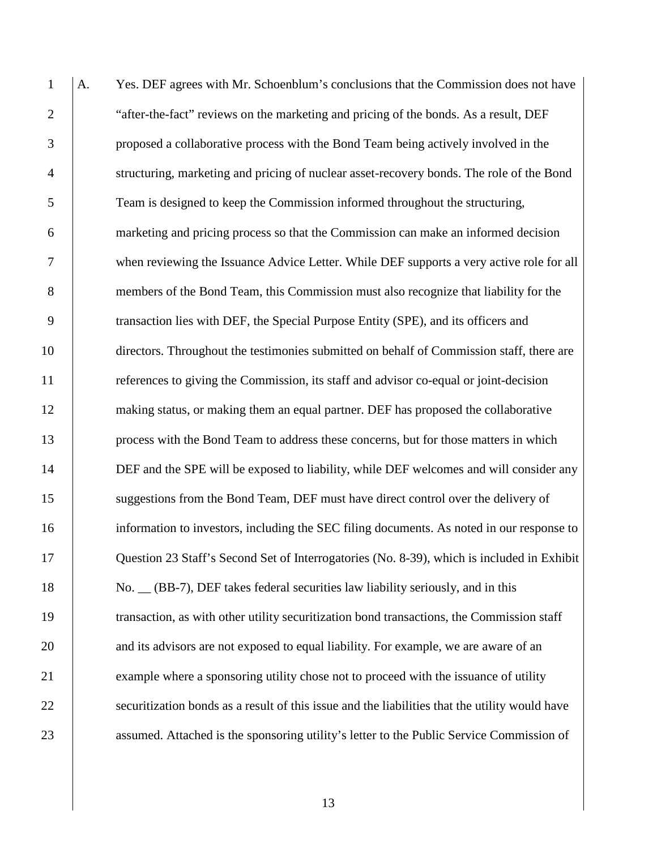1 A. Yes. DEF agrees with Mr. Schoenblum's conclusions that the Commission does not have 2 "after-the-fact" reviews on the marketing and pricing of the bonds. As a result, DEF 3 proposed a collaborative process with the Bond Team being actively involved in the 4 structuring, marketing and pricing of nuclear asset-recovery bonds. The role of the Bond 5 Team is designed to keep the Commission informed throughout the structuring, 6 marketing and pricing process so that the Commission can make an informed decision 7 when reviewing the Issuance Advice Letter. While DEF supports a very active role for all 8 members of the Bond Team, this Commission must also recognize that liability for the 9 transaction lies with DEF, the Special Purpose Entity (SPE), and its officers and 10 directors. Throughout the testimonies submitted on behalf of Commission staff, there are 11 **references to giving the Commission, its staff and advisor co-equal or joint-decision** 12 making status, or making them an equal partner. DEF has proposed the collaborative 13 process with the Bond Team to address these concerns, but for those matters in which 14 DEF and the SPE will be exposed to liability, while DEF welcomes and will consider any 15 suggestions from the Bond Team, DEF must have direct control over the delivery of 16 information to investors, including the SEC filing documents. As noted in our response to 17 Question 23 Staff's Second Set of Interrogatories (No. 8-39), which is included in Exhibit 18 No.  $\angle$  (BB-7), DEF takes federal securities law liability seriously, and in this 19 transaction, as with other utility securitization bond transactions, the Commission staff 20 and its advisors are not exposed to equal liability. For example, we are aware of an 21 example where a sponsoring utility chose not to proceed with the issuance of utility 22 securitization bonds as a result of this issue and the liabilities that the utility would have 23 assumed. Attached is the sponsoring utility's letter to the Public Service Commission of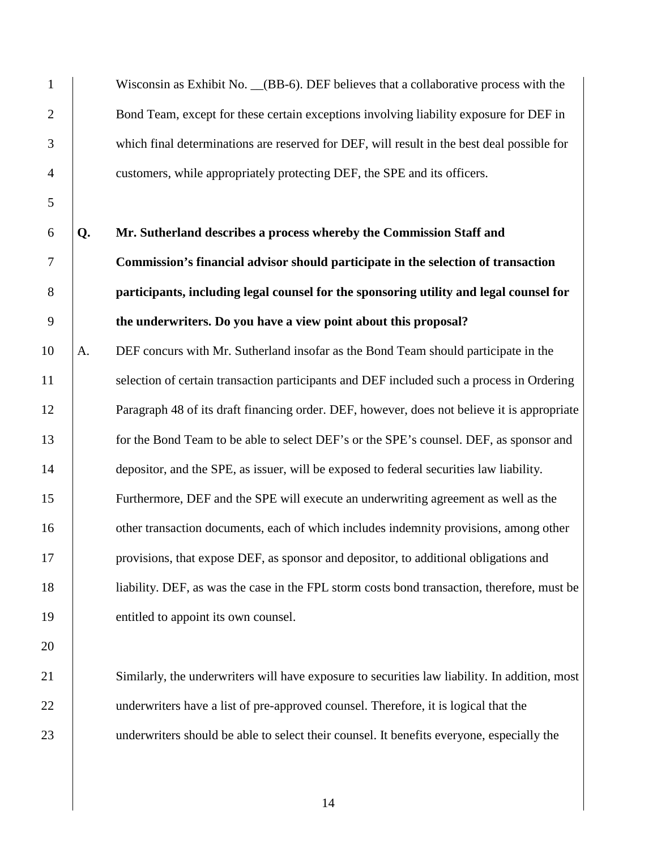|    | Wisconsin as Exhibit No. (BB-6). DEF believes that a collaborative process with the           |
|----|-----------------------------------------------------------------------------------------------|
|    | Bond Team, except for these certain exceptions involving liability exposure for DEF in        |
|    | which final determinations are reserved for DEF, will result in the best deal possible for    |
|    | customers, while appropriately protecting DEF, the SPE and its officers.                      |
|    |                                                                                               |
| Q. | Mr. Sutherland describes a process whereby the Commission Staff and                           |
|    | Commission's financial advisor should participate in the selection of transaction             |
|    | participants, including legal counsel for the sponsoring utility and legal counsel for        |
|    | the underwriters. Do you have a view point about this proposal?                               |
| A. | DEF concurs with Mr. Sutherland insofar as the Bond Team should participate in the            |
|    | selection of certain transaction participants and DEF included such a process in Ordering     |
|    | Paragraph 48 of its draft financing order. DEF, however, does not believe it is appropriate   |
|    | for the Bond Team to be able to select DEF's or the SPE's counsel. DEF, as sponsor and        |
|    | depositor, and the SPE, as issuer, will be exposed to federal securities law liability.       |
|    | Furthermore, DEF and the SPE will execute an underwriting agreement as well as the            |
|    | other transaction documents, each of which includes indemnity provisions, among other         |
|    | provisions, that expose DEF, as sponsor and depositor, to additional obligations and          |
|    | liability. DEF, as was the case in the FPL storm costs bond transaction, therefore, must be   |
|    | entitled to appoint its own counsel.                                                          |
|    |                                                                                               |
|    | Similarly, the underwriters will have exposure to securities law liability. In addition, most |
|    | underwriters have a list of pre-approved counsel. Therefore, it is logical that the           |
|    | underwriters should be able to select their counsel. It benefits everyone, especially the     |
|    |                                                                                               |
|    |                                                                                               |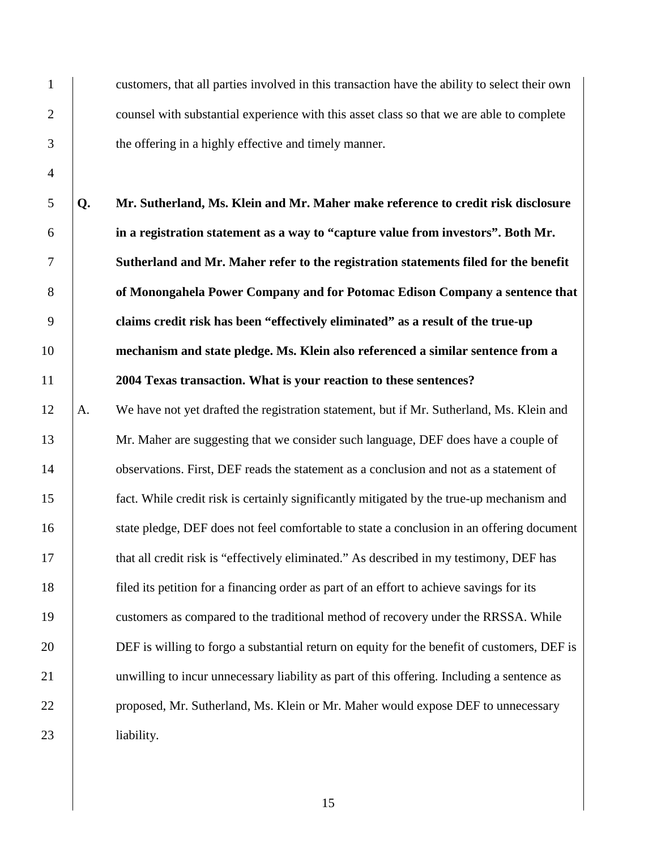1 customers, that all parties involved in this transaction have the ability to select their own 2 counsel with substantial experience with this asset class so that we are able to complete 3 the offering in a highly effective and timely manner.

**Q. Mr. Sutherland, Ms. Klein and Mr. Maher make reference to credit risk disclosure in a registration statement as a way to "capture value from investors". Both Mr. Sutherland and Mr. Maher refer to the registration statements filed for the benefit of Monongahela Power Company and for Potomac Edison Company a sentence that claims credit risk has been "effectively eliminated" as a result of the true-up mechanism and state pledge. Ms. Klein also referenced a similar sentence from a 2004 Texas transaction. What is your reaction to these sentences?**

12 A. We have not yet drafted the registration statement, but if Mr. Sutherland, Ms. Klein and 13 Mr. Maher are suggesting that we consider such language, DEF does have a couple of 14 observations. First, DEF reads the statement as a conclusion and not as a statement of 15 fact. While credit risk is certainly significantly mitigated by the true-up mechanism and 16 state pledge, DEF does not feel comfortable to state a conclusion in an offering document 17 that all credit risk is "effectively eliminated." As described in my testimony, DEF has 18 filed its petition for a financing order as part of an effort to achieve savings for its 19 customers as compared to the traditional method of recovery under the RRSSA. While 20 DEF is willing to forgo a substantial return on equity for the benefit of customers, DEF is 21 unwilling to incur unnecessary liability as part of this offering. Including a sentence as 22 **proposed, Mr. Sutherland, Ms. Klein or Mr. Maher would expose DEF to unnecessary** 23 liability.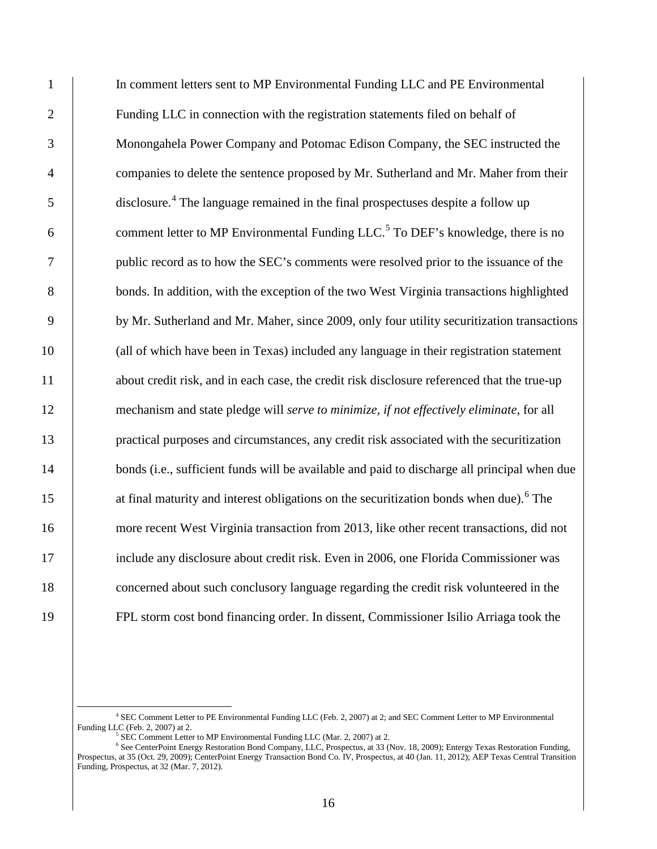1 In comment letters sent to MP Environmental Funding LLC and PE Environmental 2 Funding LLC in connection with the registration statements filed on behalf of 3 Monongahela Power Company and Potomac Edison Company, the SEC instructed the 4 companies to delete the sentence proposed by Mr. Sutherland and Mr. Maher from their 5 disclosure.<sup>4</sup> The language remained in the final prospectuses despite a follow up 6  $\blacksquare$  comment letter to MP Environmental Funding LLC.<sup>5</sup> To DEF's knowledge, there is no 7 public record as to how the SEC's comments were resolved prior to the issuance of the 8 bonds. In addition, with the exception of the two West Virginia transactions highlighted 9 by Mr. Sutherland and Mr. Maher, since 2009, only four utility securitization transactions 10 (all of which have been in Texas) included any language in their registration statement 11 about credit risk, and in each case, the credit risk disclosure referenced that the true-up 12 mechanism and state pledge will *serve to minimize, if not effectively eliminate,* for all 13 practical purposes and circumstances, any credit risk associated with the securitization 14 bonds (i.e., sufficient funds will be available and paid to discharge all principal when due 15 at final maturity and interest obligations on the securitization bonds when due).<sup>6</sup> The 16 more recent West Virginia transaction from 2013, like other recent transactions, did not 17 include any disclosure about credit risk. Even in 2006, one Florida Commissioner was 18 concerned about such conclusory language regarding the credit risk volunteered in the 19 FPL storm cost bond financing order. In dissent, Commissioner Isilio Arriaga took the

 <sup>4</sup> SEC Comment Letter to PE Environmental Funding LLC (Feb. 2, 2007) at 2; and SEC Comment Letter to MP Environmental

SEC Comment Letter to MP Environmental Funding LLC (Mar. 2, 2007) at 2.

<sup>6</sup> See CenterPoint Energy Restoration Bond Company, LLC, Prospectus, at 33 (Nov. 18, 2009); Entergy Texas Restoration Funding, Prospectus, at 35 (Oct. 29, 2009); CenterPoint Energy Transaction Bond Co. IV, Prospectus, at 40 (Jan. 11, 2012); AEP Texas Central Transition Funding, Prospectus, at 32 (Mar. 7, 2012).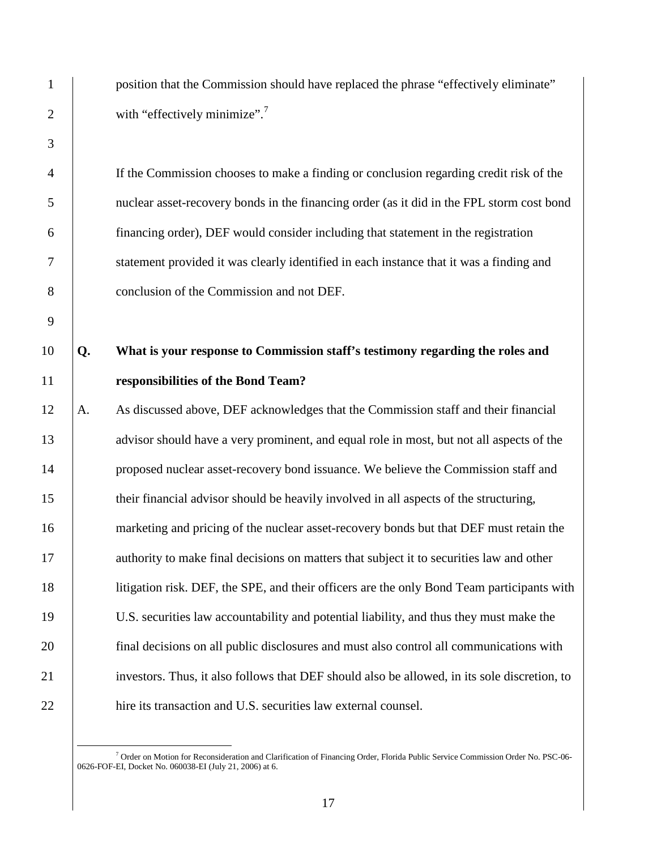1 position that the Commission should have replaced the phrase "effectively eliminate" 2 with "effectively minimize".<sup>7</sup>

4 If the Commission chooses to make a finding or conclusion regarding credit risk of the 5 nuclear asset-recovery bonds in the financing order (as it did in the FPL storm cost bond 6 financing order), DEF would consider including that statement in the registration 7 statement provided it was clearly identified in each instance that it was a finding and 8 conclusion of the Commission and not DEF.

# 10 **Q. What is your response to Commission staff's testimony regarding the roles and**  11 **responsibilities of the Bond Team?**

12 A. As discussed above, DEF acknowledges that the Commission staff and their financial 13 advisor should have a very prominent, and equal role in most, but not all aspects of the 14 proposed nuclear asset-recovery bond issuance. We believe the Commission staff and 15 their financial advisor should be heavily involved in all aspects of the structuring, 16 marketing and pricing of the nuclear asset-recovery bonds but that DEF must retain the 17 authority to make final decisions on matters that subject it to securities law and other 18 litigation risk. DEF, the SPE, and their officers are the only Bond Team participants with 19 U.S. securities law accountability and potential liability, and thus they must make the 20 final decisions on all public disclosures and must also control all communications with 21 investors. Thus, it also follows that DEF should also be allowed, in its sole discretion, to 22 hire its transaction and U.S. securities law external counsel.

 <sup>7</sup> Order on Motion for Reconsideration and Clarification of Financing Order, Florida Public Service Commission Order No. PSC-06- 0626-FOF-EI, Docket No. 060038-EI (July 21, 2006) at 6.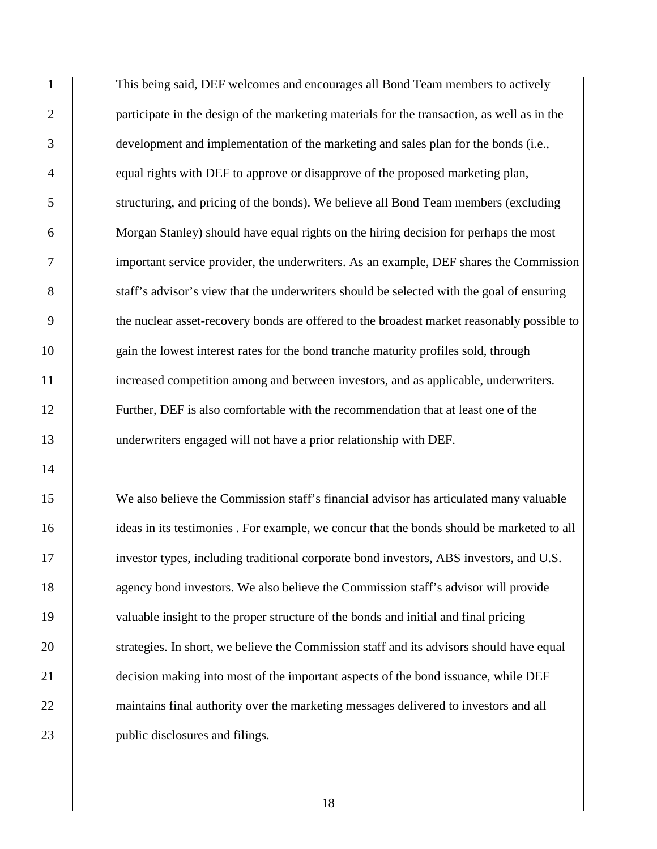1 This being said, DEF welcomes and encourages all Bond Team members to actively 2 participate in the design of the marketing materials for the transaction, as well as in the 3 development and implementation of the marketing and sales plan for the bonds (i.e., 4 equal rights with DEF to approve or disapprove of the proposed marketing plan, 5 structuring, and pricing of the bonds). We believe all Bond Team members (excluding 6 Morgan Stanley) should have equal rights on the hiring decision for perhaps the most 7 important service provider, the underwriters. As an example, DEF shares the Commission 8 staff's advisor's view that the underwriters should be selected with the goal of ensuring 9 the nuclear asset-recovery bonds are offered to the broadest market reasonably possible to 10 gain the lowest interest rates for the bond tranche maturity profiles sold, through 11 increased competition among and between investors, and as applicable, underwriters. 12 Further, DEF is also comfortable with the recommendation that at least one of the 13 underwriters engaged will not have a prior relationship with DEF.

15 We also believe the Commission staff's financial advisor has articulated many valuable 16 ideas in its testimonies. For example, we concur that the bonds should be marketed to all 17 investor types, including traditional corporate bond investors, ABS investors, and U.S. 18 agency bond investors. We also believe the Commission staff's advisor will provide 19 valuable insight to the proper structure of the bonds and initial and final pricing 20 strategies. In short, we believe the Commission staff and its advisors should have equal 21 decision making into most of the important aspects of the bond issuance, while DEF 22 maintains final authority over the marketing messages delivered to investors and all 23 public disclosures and filings.

14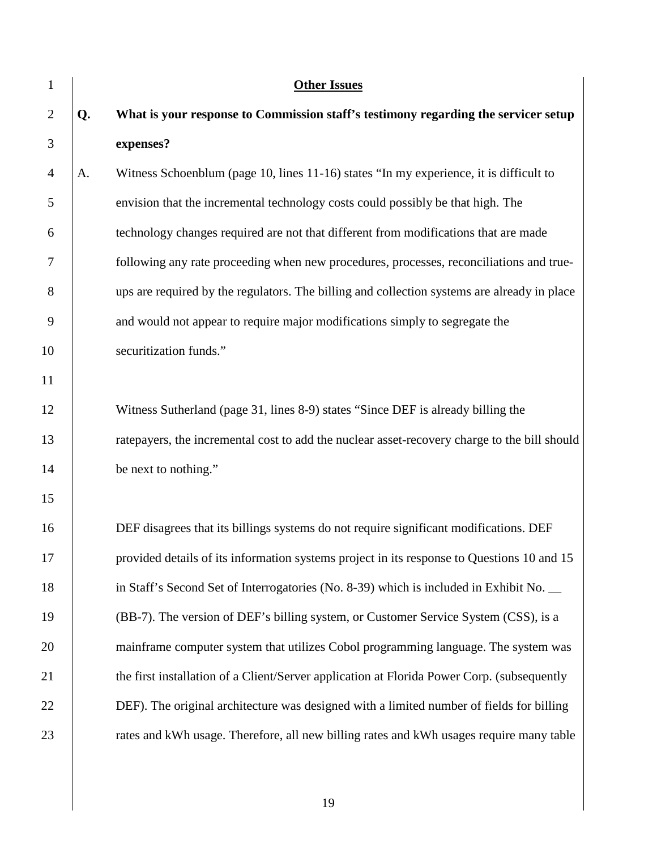| 1              |    | <b>Other Issues</b>                                                                          |
|----------------|----|----------------------------------------------------------------------------------------------|
| $\overline{2}$ | Q. | What is your response to Commission staff's testimony regarding the servicer setup           |
| 3              |    | expenses?                                                                                    |
| $\overline{4}$ | A. | Witness Schoenblum (page 10, lines 11-16) states "In my experience, it is difficult to       |
| 5              |    | envision that the incremental technology costs could possibly be that high. The              |
| 6              |    | technology changes required are not that different from modifications that are made          |
| 7              |    | following any rate proceeding when new procedures, processes, reconciliations and true-      |
| 8              |    | ups are required by the regulators. The billing and collection systems are already in place  |
| 9              |    | and would not appear to require major modifications simply to segregate the                  |
| 10             |    | securitization funds."                                                                       |
| 11             |    |                                                                                              |
| 12             |    | Witness Sutherland (page 31, lines 8-9) states "Since DEF is already billing the             |
| 13             |    | ratepayers, the incremental cost to add the nuclear asset-recovery charge to the bill should |
| 14             |    | be next to nothing."                                                                         |
| 15             |    |                                                                                              |
| 16             |    | DEF disagrees that its billings systems do not require significant modifications. DEF        |
| 17             |    | provided details of its information systems project in its response to Questions 10 and 15   |
| 18             |    | in Staff's Second Set of Interrogatories (No. 8-39) which is included in Exhibit No.         |
| 19             |    | (BB-7). The version of DEF's billing system, or Customer Service System (CSS), is a          |
| 20             |    | mainframe computer system that utilizes Cobol programming language. The system was           |
| 21             |    | the first installation of a Client/Server application at Florida Power Corp. (subsequently   |
| 22             |    | DEF). The original architecture was designed with a limited number of fields for billing     |
| 23             |    | rates and kWh usage. Therefore, all new billing rates and kWh usages require many table      |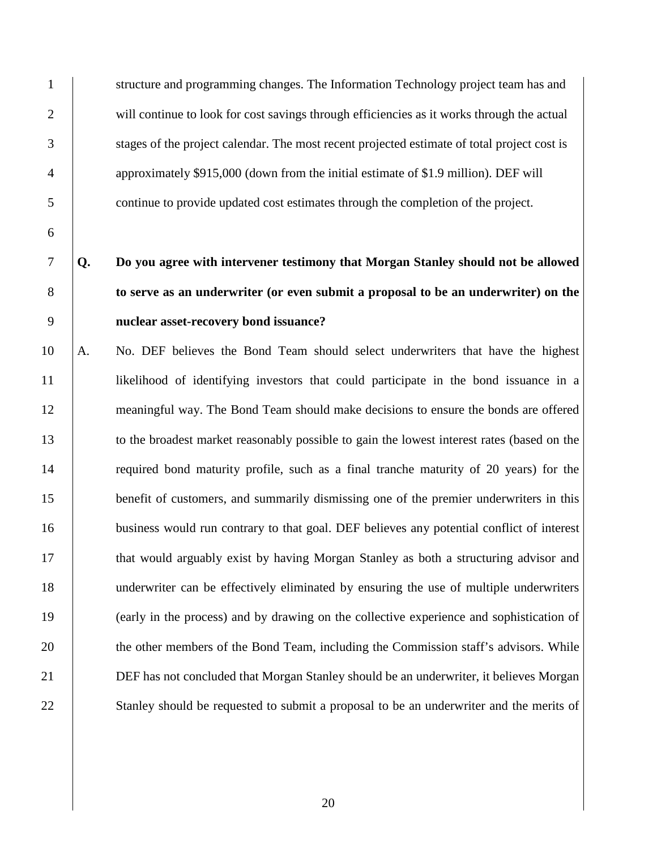6

1 structure and programming changes. The Information Technology project team has and 2 will continue to look for cost savings through efficiencies as it works through the actual 3 stages of the project calendar. The most recent projected estimate of total project cost is 4 approximately \$915,000 (down from the initial estimate of \$1.9 million). DEF will 5 continue to provide updated cost estimates through the completion of the project.

# 7 **Q. Do you agree with intervener testimony that Morgan Stanley should not be allowed**  8 **to serve as an underwriter (or even submit a proposal to be an underwriter) on the**  9 **nuclear asset-recovery bond issuance?**

10 A. No. DEF believes the Bond Team should select underwriters that have the highest 11 likelihood of identifying investors that could participate in the bond issuance in a 12 meaningful way. The Bond Team should make decisions to ensure the bonds are offered 13 to the broadest market reasonably possible to gain the lowest interest rates (based on the 14 required bond maturity profile, such as a final tranche maturity of 20 years) for the 15 benefit of customers, and summarily dismissing one of the premier underwriters in this 16 business would run contrary to that goal. DEF believes any potential conflict of interest 17 that would arguably exist by having Morgan Stanley as both a structuring advisor and 18 underwriter can be effectively eliminated by ensuring the use of multiple underwriters 19 (early in the process) and by drawing on the collective experience and sophistication of 20 the other members of the Bond Team, including the Commission staff's advisors. While 21 DEF has not concluded that Morgan Stanley should be an underwriter, it believes Morgan 22 Stanley should be requested to submit a proposal to be an underwriter and the merits of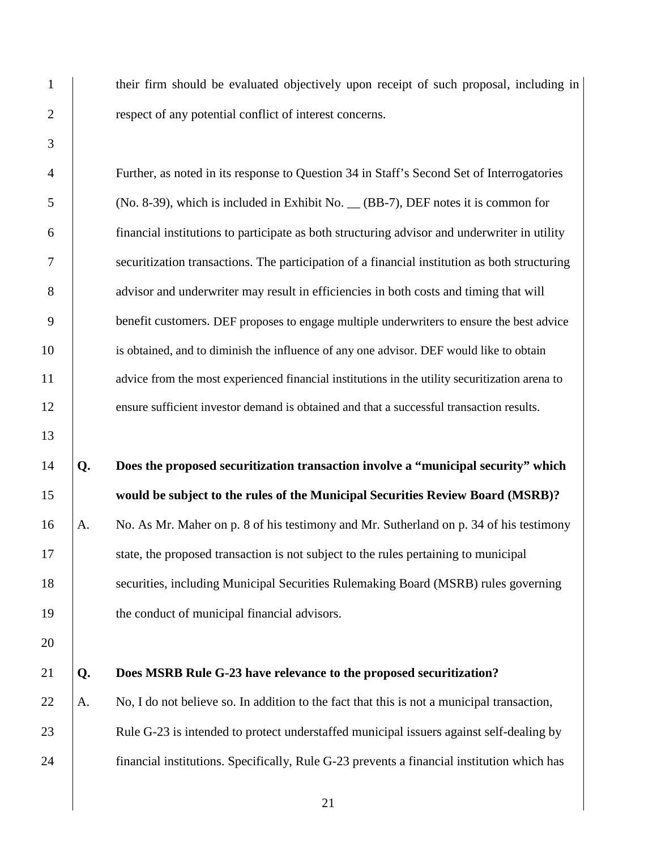3 13 20

1 their firm should be evaluated objectively upon receipt of such proposal, including in 2 **example 2** respect of any potential conflict of interest concerns.

4 Further, as noted in its response to Question 34 in Staff's Second Set of Interrogatories 5 (No. 8-39), which is included in Exhibit No. \_\_ (BB-7), DEF notes it is common for 6 financial institutions to participate as both structuring advisor and underwriter in utility 7 securitization transactions. The participation of a financial institution as both structuring 8 advisor and underwriter may result in efficiencies in both costs and timing that will 9 benefit customers. DEF proposes to engage multiple underwriters to ensure the best advice 10 is obtained, and to diminish the influence of any one advisor. DEF would like to obtain 11 advice from the most experienced financial institutions in the utility securitization arena to 12 ensure sufficient investor demand is obtained and that a successful transaction results.

# 14 **Q. Does the proposed securitization transaction involve a "municipal security" which**  15 **would be subject to the rules of the Municipal Securities Review Board (MSRB)?**

16 A. No. As Mr. Maher on p. 8 of his testimony and Mr. Sutherland on p. 34 of his testimony 17 | state, the proposed transaction is not subject to the rules pertaining to municipal 18 securities, including Municipal Securities Rulemaking Board (MSRB) rules governing 19 the conduct of municipal financial advisors.

#### 21 **Q. Does MSRB Rule G-23 have relevance to the proposed securitization?**

22  $\vert$  A. No, I do not believe so. In addition to the fact that this is not a municipal transaction, 23 | Rule G-23 is intended to protect understaffed municipal issuers against self-dealing by 24 financial institutions. Specifically, Rule G-23 prevents a financial institution which has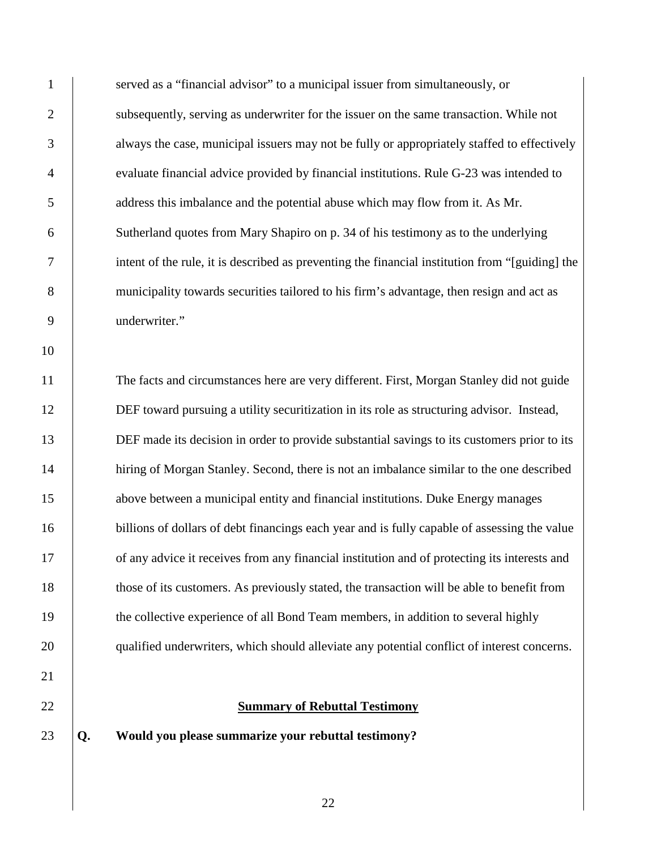1 served as a "financial advisor" to a municipal issuer from simultaneously, or 2 subsequently, serving as underwriter for the issuer on the same transaction. While not 3 always the case, municipal issuers may not be fully or appropriately staffed to effectively 4 evaluate financial advice provided by financial institutions. Rule G-23 was intended to 5 address this imbalance and the potential abuse which may flow from it. As Mr. 6 Sutherland quotes from Mary Shapiro on p. 34 of his testimony as to the underlying 7 intent of the rule, it is described as preventing the financial institution from "[guiding] the 8 municipality towards securities tailored to his firm's advantage, then resign and act as 9 underwriter."

11 The facts and circumstances here are very different. First, Morgan Stanley did not guide 12 DEF toward pursuing a utility securitization in its role as structuring advisor. Instead, 13 DEF made its decision in order to provide substantial savings to its customers prior to its 14 hiring of Morgan Stanley. Second, there is not an imbalance similar to the one described 15 above between a municipal entity and financial institutions. Duke Energy manages 16 billions of dollars of debt financings each year and is fully capable of assessing the value 17 **of any advice it receives from any financial institution and of protecting its interests and** 18 those of its customers. As previously stated, the transaction will be able to benefit from 19 the collective experience of all Bond Team members, in addition to several highly 20 qualified underwriters, which should alleviate any potential conflict of interest concerns.

22 **Summary of Rebuttal Testimony** 

23 **Q. Would you please summarize your rebuttal testimony?** 

10

21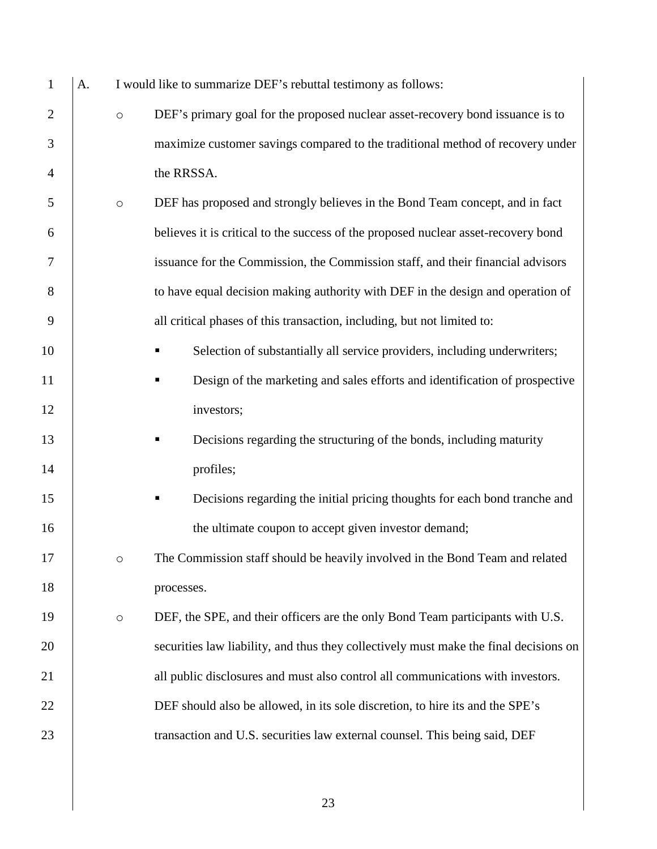| $\mathbf{1}$   | A. |         | I would like to summarize DEF's rebuttal testimony as follows:                        |
|----------------|----|---------|---------------------------------------------------------------------------------------|
| $\overline{2}$ |    | $\circ$ | DEF's primary goal for the proposed nuclear asset-recovery bond issuance is to        |
| 3              |    |         | maximize customer savings compared to the traditional method of recovery under        |
| $\overline{4}$ |    |         | the RRSSA.                                                                            |
| 5              |    | $\circ$ | DEF has proposed and strongly believes in the Bond Team concept, and in fact          |
| 6              |    |         | believes it is critical to the success of the proposed nuclear asset-recovery bond    |
| 7              |    |         | issuance for the Commission, the Commission staff, and their financial advisors       |
| 8              |    |         | to have equal decision making authority with DEF in the design and operation of       |
| 9              |    |         | all critical phases of this transaction, including, but not limited to:               |
| 10             |    |         | Selection of substantially all service providers, including underwriters;<br>٠        |
| 11             |    |         | Design of the marketing and sales efforts and identification of prospective<br>٠      |
| 12             |    |         | investors;                                                                            |
| 13             |    |         | Decisions regarding the structuring of the bonds, including maturity                  |
| 14             |    |         | profiles;                                                                             |
| 15             |    |         | Decisions regarding the initial pricing thoughts for each bond tranche and<br>ш       |
| 16             |    |         | the ultimate coupon to accept given investor demand;                                  |
| 17             |    | $\circ$ | The Commission staff should be heavily involved in the Bond Team and related          |
| 18             |    |         | processes.                                                                            |
| 19             |    | $\circ$ | DEF, the SPE, and their officers are the only Bond Team participants with U.S.        |
| 20             |    |         | securities law liability, and thus they collectively must make the final decisions on |
| 21             |    |         | all public disclosures and must also control all communications with investors.       |
| 22             |    |         | DEF should also be allowed, in its sole discretion, to hire its and the SPE's         |
| 23             |    |         | transaction and U.S. securities law external counsel. This being said, DEF            |
|                |    |         |                                                                                       |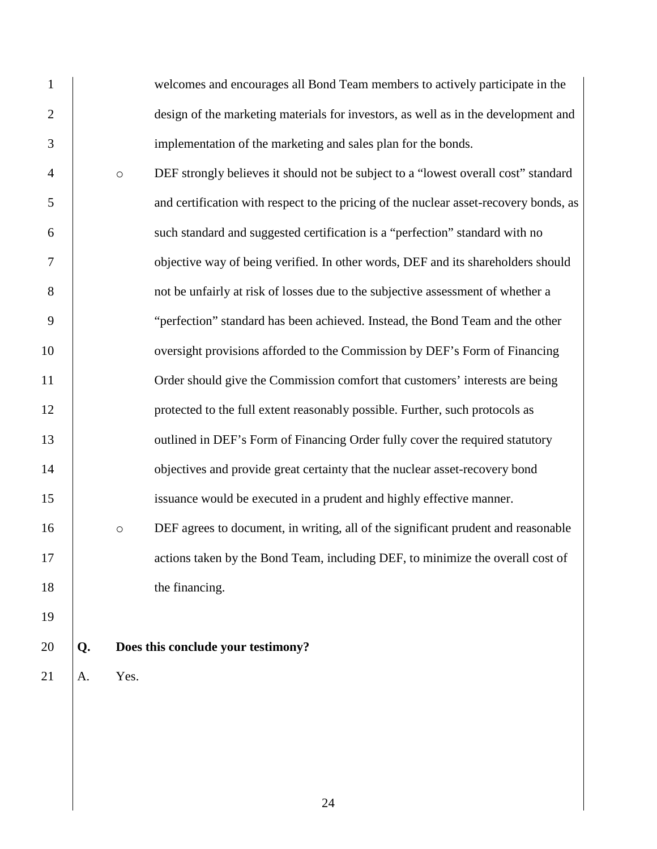1 welcomes and encourages all Bond Team members to actively participate in the 2 design of the marketing materials for investors, as well as in the development and 3 implementation of the marketing and sales plan for the bonds. 4 o DEF strongly believes it should not be subject to a "lowest overall cost" standard 5 and certification with respect to the pricing of the nuclear asset-recovery bonds, as 6 such standard and suggested certification is a "perfection" standard with no 7 objective way of being verified. In other words, DEF and its shareholders should 8 not be unfairly at risk of losses due to the subjective assessment of whether a 9 "perfection" standard has been achieved. Instead, the Bond Team and the other 10 versight provisions afforded to the Commission by DEF's Form of Financing 11 Order should give the Commission comfort that customers' interests are being 12 **protected to the full extent reasonably possible. Further, such protocols as** 13 volumed in DEF's Form of Financing Order fully cover the required statutory 14 objectives and provide great certainty that the nuclear asset-recovery bond 15 issuance would be executed in a prudent and highly effective manner. 16 **b** o DEF agrees to document, in writing, all of the significant prudent and reasonable 17 actions taken by the Bond Team, including DEF, to minimize the overall cost of 18 b the financing. 19 20 **Q. Does this conclude your testimony?**  $21$  A. Yes.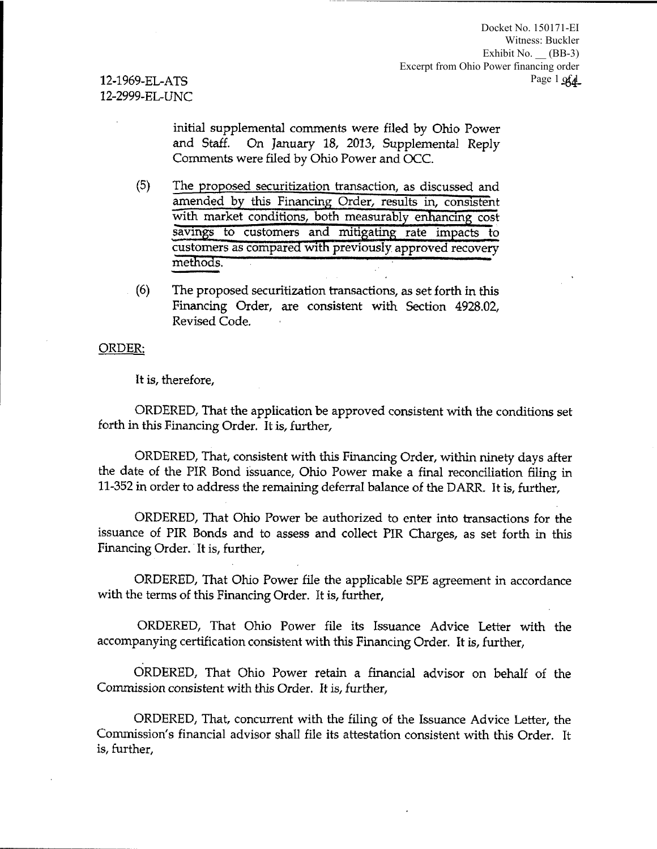12-1969-EL-ATS 12-2999-EL-UNC

> initial supplemental comments were filed by Ohio Power and Staff. On January 18, 2013, Supplemental Reply Comments were filed by Ohio Power and OCC.

- (5) The proposed securitization transaction, as discussed and amended by this Financing Order, results in, consistent with market conditions, both measurably enhancing cost savings to customers and mitigating rate impacts to customers as compared with previously approved recovery methods.
- (6) The proposed securitization transactions, as set forth in this Financing Order, are consistent with Section 4928.02, Revised Code.

#### ORDER:

It is, therefore,

ORDERED, That the application be approved consistent with the conditions set forth in this Financing Order. It is, further,

ORDERED, That, consistent with this Financing Order, within ninety days after the date of the PIR Bond issuance, Ohio Power make a final reconciliation filing in 11-352 in order to address the remaining deferral balance of the DARR. It is, further,

ORDERED, That Ohio Power be authorized to enter into transactions for the issuance of PIR Bonds and to assess and collect PIR Charges, as set forth in this Financing Order. It is, further,

ORDERED, That Ohio Power file the applicable SPE agreement in accordance with the terms of this Financing Order. It is, further,

ORDERED, That Ohio Power file its Issuance Advice Letter with the accompanying certification consistent with this Financing Order. It is, further,

ORDERED, That Ohio Power retain a financial advisor on behalf of the Commission consistent with this Order. It is, further,

ORDERED, That, concurrent with the filing of the Issuance Advice Letter, the Commission's financial advisor shall file its attestation consistent with this Order. It is, further,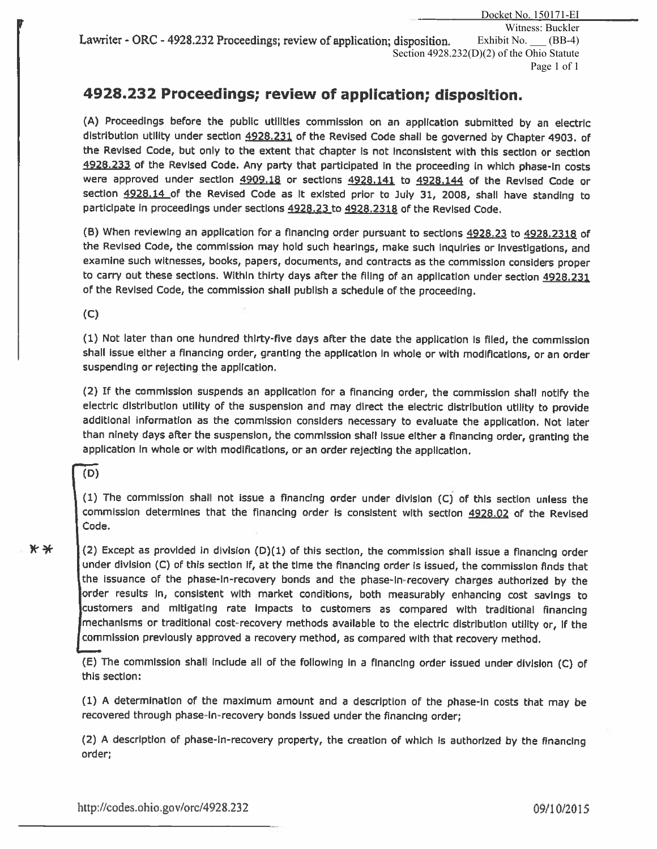Docket No. 150171-EI Witness: Buckler Exhibit No.  $\qquad$  (BB-4) Section 4928.232(D)(2) of the Ohio Statute Page 1 of 1 Lawriter - ORC - 4928.232 Proceedings; review of application; disposition.

# **4928.232 Proceedings; review of application; disposition.**

(A) Proceedings before the public utilities commission on an application submitted by an electric distribution utility under section 4928.231 of the Revised Code shall be governed by Chapter 4903. of the Revised Code, but only to the extent that chapter Is not Inconsistent with this section or section 4928.233 of the Revised Code. Any party that participated in the proceeding in which phase-in costs were approved under section 4909.18 or sections 4928.141 to 4928.144 of the Revised Code or section 4928.14 of the Revised Code as It existed prior to July 31, 2008, shall have standing to participate in proceedings under sections 4928.23 to 4928.2318 of the Revised Code.

(B) When reviewing an application for a financing order pursuant to sections 4928.23 to 4928.2318 of the Revised Code, the commission may hold such hearings, make such Inquiries or Investigations, and examine such witnesses, books, papers, documents, and contracts as the commission considers proper to carry out these sections. Within thirty days after the filing of an application under section 4928.231 of the Revised Code, the commission shall publish a schedule of the proceeding.

(C)

(1) Not later than one hundred thirty-five days after the date the application Is filed, the commission shall issue either a financing order, granting the application in whole or with modifications, or an order suspending or rejecting the application.

(2) If the commission suspends an application for a financing order, the commission shall notify the electric distribution utility of the suspension and may direct the electric distribution utility to provide additional information as the commission considers necessary to evaluate the application. Not later than ninety days after the suspension, the commission shall Issue either a financing order, granting the application In whole or with modifications, or an order rejecting the application.

(D)

(1) The commission shall not issue a financing order under division (C) of this section unless the commission determines that the financing order is consistent with section 4928.02 of the Revised Code.

 $\star \star$  (2) Except as provided in division (D)(1) of this section, the commission shall issue a financing order under division (C) of this section if, at the time the financing order is issued, the commission finds that the Issuance of the phase-In-recovery bonds and the phase-In-recovery charges authorized by the order results In, consistent with market conditions, both measurably enhancing cost savings to customers and mitigating rate Impacts to customers as compared with traditional financing mechanisms or traditional cost-recovery methods available to the electric distribution utility or, If the commission previously approved a recovery method, as compared with that recovery method.

(E) The commission shall include all of the following in a financing order issued under division (C) of this section:

(1) A determination of the maximum amount and a description of the phase-In costs that may be recovered through phase-In-recovery bonds Issued under the financing order;

(2) A description of phase-In-recovery property, the creation of which Is authorized by the financing order;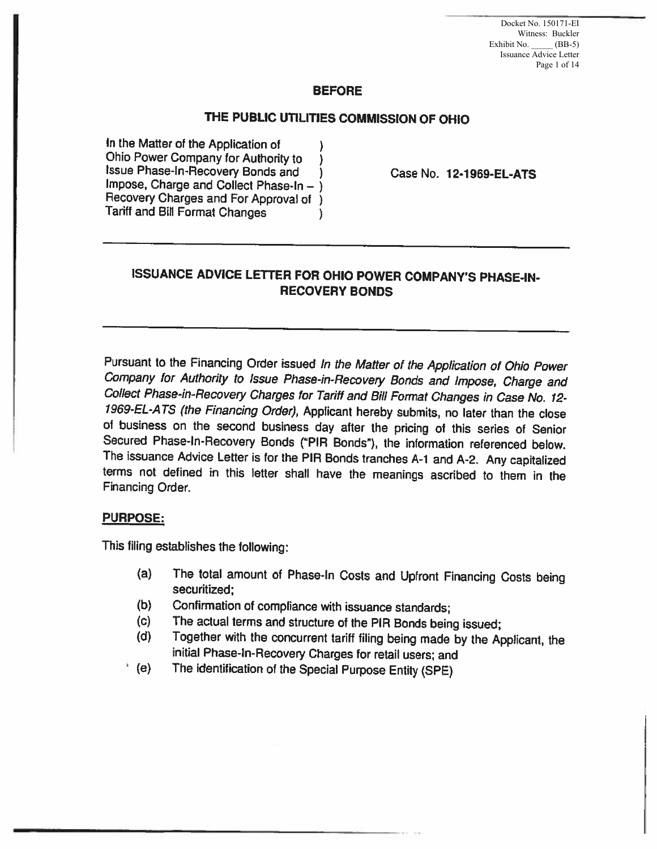Docket No. 150171-EI Witness: Buckler Exhibit No. \_\_\_\_\_ (BB-5) Issuance Advice Letter Page 1 of 14

#### BEFORE

#### THE PUBLIC UTILITIES COMMISSION OF OHIO

In the Matter of the Application of<br>Ohio Power Company for Authority to Ohio Power Company for Authority to (i)<br>Issue Phase-In-Recovery Bonds and Impose, Charge and Collect Phase-In  $-$  ) Recovery Charges and For Approval of ) Tariff and Bill Format Changes )

Case No. 12·1969-EL-ATS

#### ISSUANCE ADVICE LETTER FOR OHIO POWER COMPANY'S PHASE-IN-RECOVERY BONDS

Pursuant to the Financing Order issued In the Matter of the Application of Ohio Power Company for Authority to Issue Phase-in-Recovery Bonds and Impose, Charge and Collect Phase-in-Recovery Charges for Tariff and Bill Format Changes in Case No. 12· 1969-EL-ATS (the Financing Order), Applicant hereby submits, no later than the close of business on the second business day after the pricing of this series of Senior Secured Phase-In-Recovery Bonds ("PIR Bonds"}, the information referenced below. The issuance Advice Letter is for the PIR Bonds tranches A-1 and A-2. Any capitalized terms not defined in this letter shall have the meanings ascribed to them in the Financing Order.

#### PURPOSE:

This filing establishes the following:

- (a} The total amount of Phase-In Costs and Upfront Financing Costs being securitized:
- (b) Confirmation of compliance with issuance standards;
- (c) The actual terms and structure of the PIR Bonds being issued;<br>(d) Together with the concurrent tariff filing being made by the Ar
- Together with the concurrent tariff filing being made by the Applicant, the initial Phase-In-Recovery Charges for retail users; and
- ' (e) The identification of the Special Purpose Entity (SPE)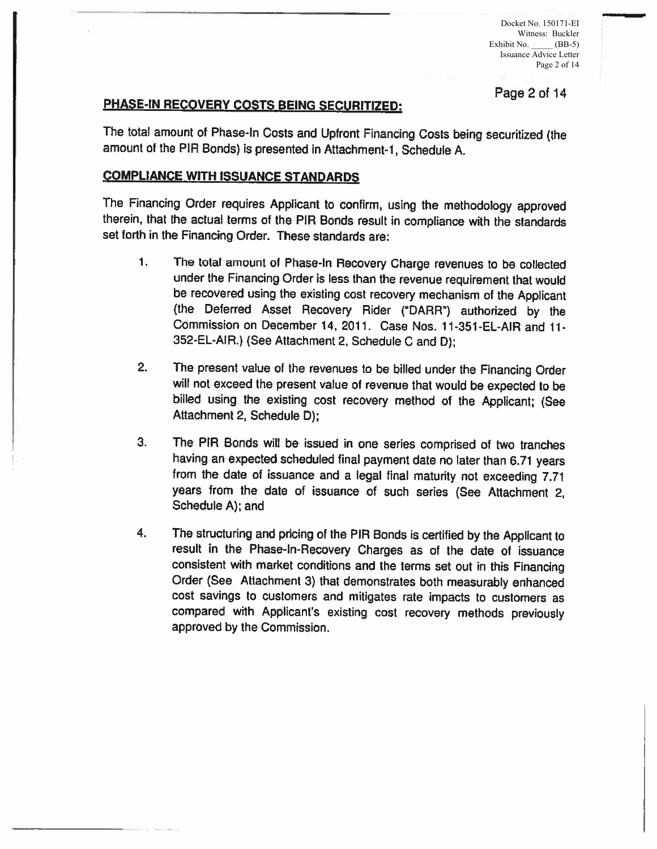Docket No. 150171-EI Witness: Buckler Exhibit No. \_\_\_\_\_ (BB-5) Issuance Advice Letter Page 2 of 14

# PHASE-IN RECOVERY COSTS BEING SECURITIZED: Page 2 of 14

The total amount of Phase-In Costs and Upfront Financing Costs being securitized (the amount of the PIR Bonds) is presented in Attachment-1, Schedule A.

#### COMPLIANCE WITH ISSUANCE STANDARDS

The Financing Order requires Applicant to confirm, using the methodology approved therein, that the actual terms of the PIR Bonds result in compliance with the standards set forth in the Financing Order. These standards are:

- 1. The total amount of Phase-In Recovery Charge revenues to be collected under the Financing Order is less than the revenue requirement that would be recovered using the existing cost recovery mechanism of the Applicant (the Deferred Asset Recovery Rider ("DARR") authorized by the Commission on December 14, 2011. Case Nos. 11-351-EL-AIR and 11-352-EL-AIR.) (See Attachment 2, Schedule C and D);
- 2. The present value of the revenues to be billed under the Financing Order will not exceed the present value of revenue that would be expected to be billed using the existing cost recovery method of the Applicant; (See Attachment 2, Schedule D);
- 3. The PIA Bonds will be issued in one series comprised of two tranches having an expected scheduled final payment date no later than 6.71 years from the date of issuance and a legal final maturity not exceeding 7.71 years from the date of issuance of such series (See Attachment 2, Schedule A); and
- 4. The structuring and pricing of the PIA Bonds is certified by the Applicant to result in the Phase-In-Recovery Charges as of the date of issuance consistent with market conditions and the terms set out in this Financing Order (See Attachment 3) that demonstrates both measurably enhanced cost savings to customers and mitigates rate impacts to customers as compared with Applicant's existing cost recovery methods previously approved by the Commission.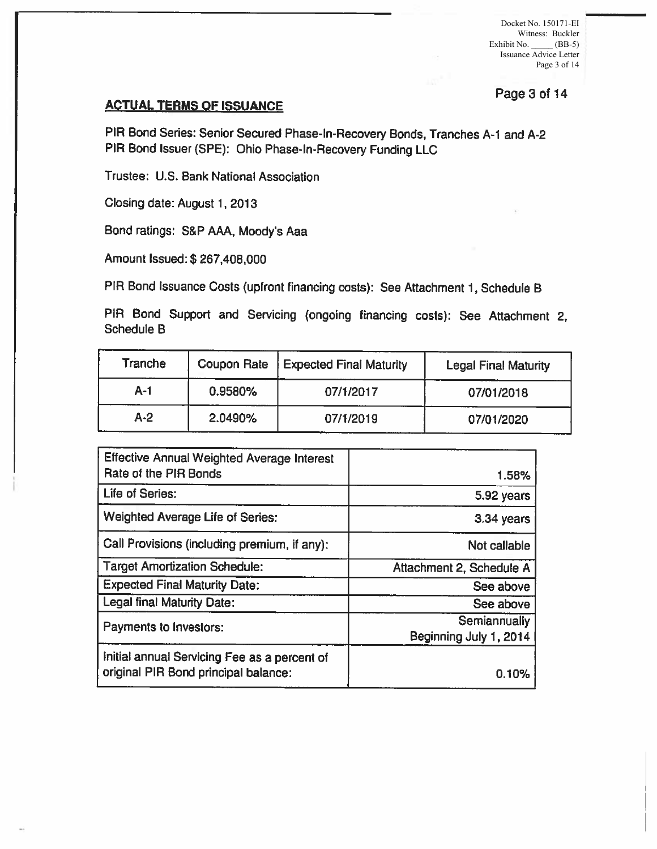Docket No. 150171-EI Witness: Buckler Exhibit No. \_\_\_\_\_ (BB-5) Issuance Advice Letter Page 3 of 14

# Page 3 of 14 **ACTUAL TERMS OF ISSUANCE**

PIA Bond Series: Senior Secured Phase-In-Recovery Bonds, Tranches A-1 and A-2 PIA Bond Issuer (SPE): Ohio Phase-In-Recovery Funding LLC

Trustee: U.S. Bank National Association

Closing date: August 1, 2013

Bond ratings: S&P AAA, Moody's Aaa

Amount Issued:\$ 267,408,000

PIA Bond Issuance Costs (upfront financing costs): See Attachment 1, Schedule B

PIA Bond Support and Servicing (ongoing financing costs): See Attachment 2, Schedule B

| Tranche | Coupon Rate | <b>Expected Final Maturity</b> | <b>Legal Final Maturity</b> |
|---------|-------------|--------------------------------|-----------------------------|
| A-1     | 0.9580%     | 07/1/2017                      | 07/01/2018                  |
| $A-2$   | 2.0490%     | 07/1/2019                      | 07/01/2020                  |

| <b>Effective Annual Weighted Average Interest</b><br>Rate of the PIR Bonds           | 1.58%                                  |
|--------------------------------------------------------------------------------------|----------------------------------------|
| Life of Series:                                                                      | 5.92 years                             |
| <b>Weighted Average Life of Series:</b>                                              | 3.34 years                             |
| Call Provisions (including premium, if any):                                         | Not callable                           |
| <b>Target Amortization Schedule:</b>                                                 | Attachment 2, Schedule A               |
| <b>Expected Final Maturity Date:</b>                                                 | See above                              |
| Legal final Maturity Date:                                                           | See above                              |
| Payments to Investors:                                                               | Semiannually<br>Beginning July 1, 2014 |
| Initial annual Servicing Fee as a percent of<br>original PIR Bond principal balance: | 0.10%                                  |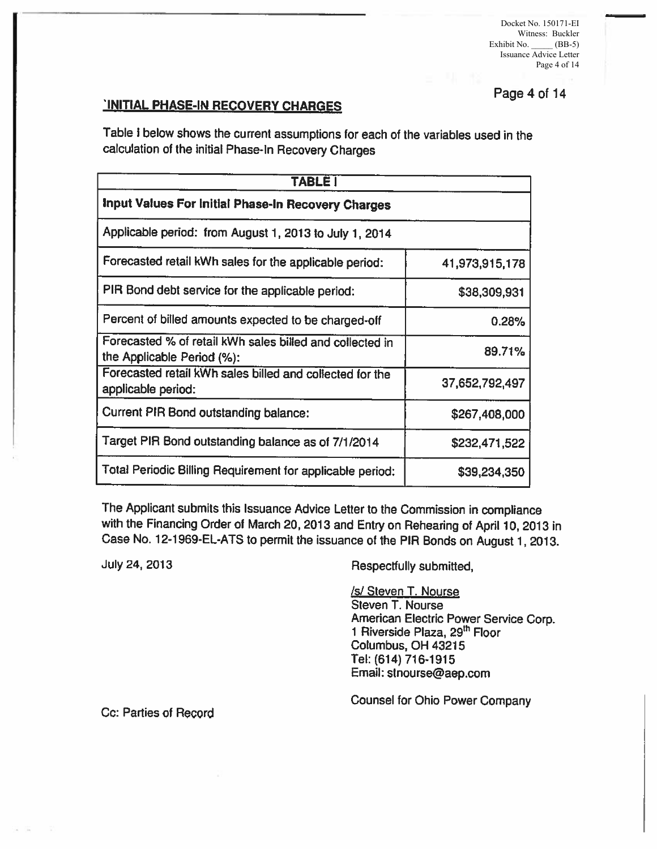Docket No. 150171-EI Witness: Buckler Exhibit No.  $\underline{\hspace{1cm}}$  (BB-5) Issuance Advice Letter Page 4 of 14

# Page 4 of 14 'INITIAL PHASE-IN RECOVERY CHARGES

Table I below shows the current assumptions for each of the variables used in the calculation of the initial Phase-In Recovery Charges

| <b>TABLE!</b>                                                                          |                |
|----------------------------------------------------------------------------------------|----------------|
| Input Values For Initial Phase-In Recovery Charges                                     |                |
| Applicable period: from August 1, 2013 to July 1, 2014                                 |                |
| Forecasted retail kWh sales for the applicable period:                                 | 41,973,915,178 |
| PIR Bond debt service for the applicable period:                                       | \$38,309,931   |
| Percent of billed amounts expected to be charged-off                                   | 0.28%          |
| Forecasted % of retail kWh sales billed and collected in<br>the Applicable Period (%): | 89.71%         |
| Forecasted retail kWh sales billed and collected for the<br>applicable period:         | 37,652,792,497 |
| <b>Current PIR Bond outstanding balance:</b>                                           | \$267,408,000  |
| Target PIR Bond outstanding balance as of 7/1/2014                                     | \$232,471,522  |
| Total Periodic Billing Requirement for applicable period:                              | \$39,234,350   |

The Applicant submits this Issuance Advice Letter to the Commission in compliance with the Financing Order of March 20, 2013 and Entry on Rehearing of April 10, 2013 in Case No. 12-1969-EL-ATS to permit the issuance of the PIA Bonds on August 1, 2013.

July 24, 2013

Respectfully submitted,

**/s/ Steven T. Nourse** Steven T. Nourse American Electric Power Service Corp. 1 Riverside Plaza, 29<sup>th</sup> Floor Columbus, OH 43215 Tel: (614) 716-1915 Email: stnourse@aep.com

Counsel for Ohio Power Company

Cc: Parties of Record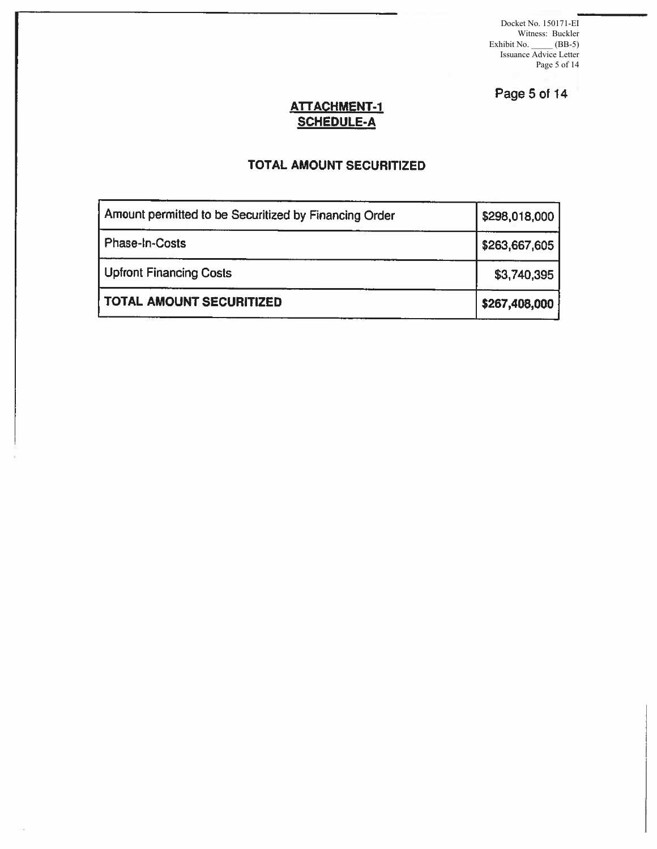Docket No. 150171-EI Witness: Buckler Exhibit No. \_\_\_\_\_ (BB-5) Issuance Advice Letter Page 5 of 14

Page 5 of 14

#### ATTACHMENT-1 SCHEDULE-A

## TOTAL AMOUNT SECURITIZED

| Amount permitted to be Securitized by Financing Order | \$298,018,000 |
|-------------------------------------------------------|---------------|
| Phase-In-Costs                                        | \$263,667,605 |
| Upfront Financing Costs                               | \$3,740,395   |
| TOTAL AMOUNT SECURITIZED                              | \$267,408,000 |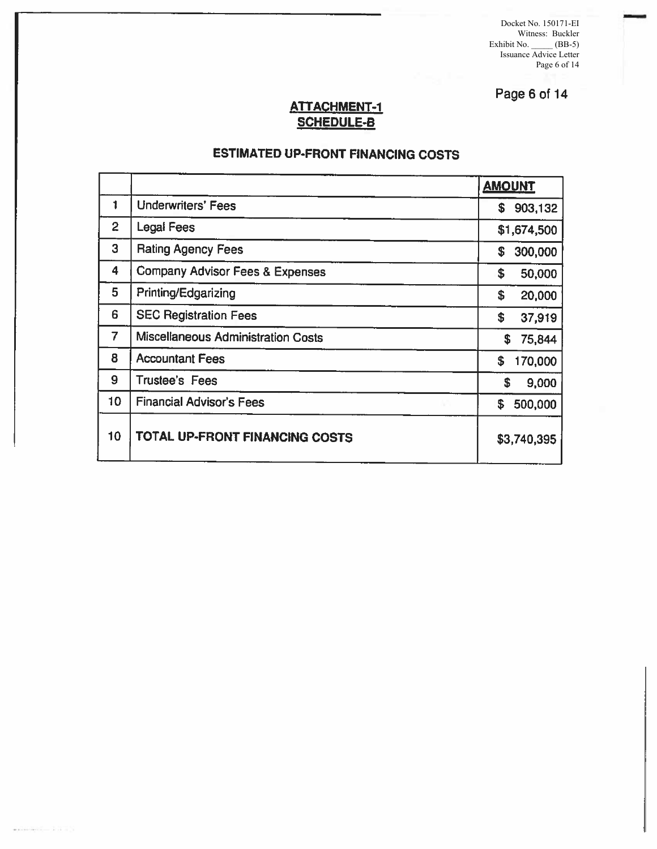Docket No. 150171-EI Witness: Buckler Exhibit No. \_\_\_\_\_ (BB-5) Issuance Advice Letter Page 6 of 14

-

Page 6 of 14

#### ATTACHMENT-1 SCHEDULE·B

# ESTIMATED UP-FRONT FINANCING COSTS

|                |                                    | <b>AMOUNT</b>  |
|----------------|------------------------------------|----------------|
| 1              | <b>Underwriters' Fees</b>          | 903,132<br>\$. |
| $\overline{2}$ | Legal Fees                         | \$1,674,500    |
| 3              | <b>Rating Agency Fees</b>          | 300,000<br>S   |
| 4              | Company Advisor Fees & Expenses    | \$<br>50,000   |
| 5              | Printing/Edgarizing                | \$<br>20,000   |
| 6              | <b>SEC Registration Fees</b>       | \$<br>37,919   |
| 7              | Miscellaneous Administration Costs | 75,844<br>S    |
| 8              | <b>Accountant Fees</b>             | \$<br>170,000  |
| 9              | <b>Trustee's Fees</b>              | \$<br>9,000    |
| 10             | <b>Financial Advisor's Fees</b>    | 500,000<br>S   |
| 10             | TOTAL UP-FRONT FINANCING COSTS     | \$3,740,395    |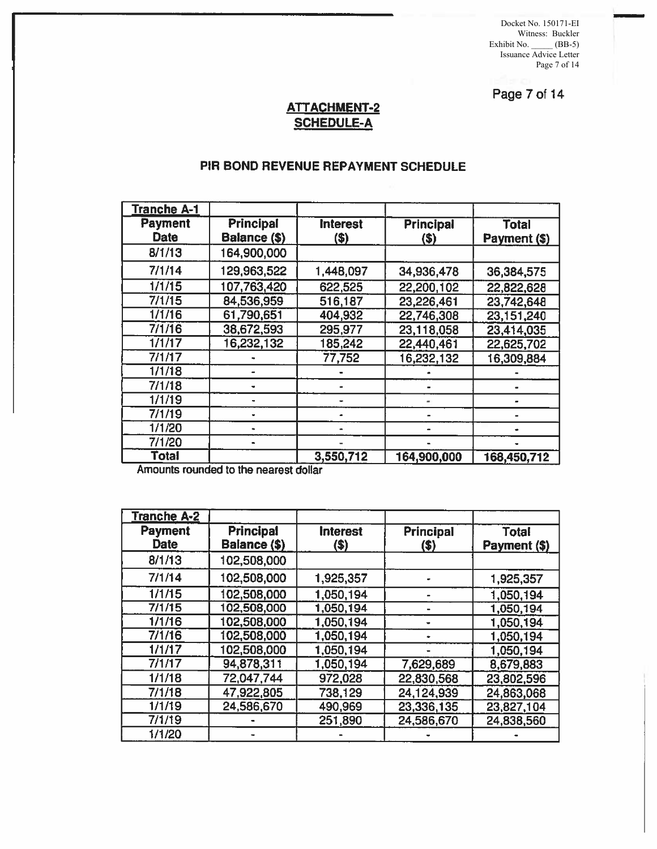Docket No. 150171-EI Witness: Buckler Exhibit No. \_\_\_\_\_ (BB-5) Issuance Advice Letter Page 7 of 14

Page 7 of 14

### ATT ACHMENT-2 SCHEDULE-A

#### PIR BONO REVENUE REPAYMENT SCHEDULE

| <b>Tranche A-1</b>            |                                  |                          |                          |                              |
|-------------------------------|----------------------------------|--------------------------|--------------------------|------------------------------|
| <b>Payment</b><br><b>Date</b> | <b>Principal</b><br>Balance (\$) | <b>Interest</b><br>$($)$ | <b>Principal</b><br>(\$) | <b>Total</b><br>Payment (\$) |
| 8/1/13                        | 164,900,000                      |                          |                          |                              |
| 7/1/14                        | 129,963,522                      | 1,448,097                | 34,936,478               | 36,384,575                   |
| 1/1/15                        | 107,763,420                      | 622,525                  | 22,200,102               | 22,822,628                   |
| 7/1/15                        | 84,536,959                       | 516,187                  | 23,226,461               | 23,742,648                   |
| 1/1/16                        | 61,790,651                       | 404,932                  | 22,746,308               | 23,151,240                   |
| 7/1/16                        | 38,672,593                       | 295,977                  | 23,118,058               | 23,414,035                   |
| 1/1/17                        | 16,232,132                       | 185,242                  | 22,440,461               | 22,625,702                   |
| 7/1/17                        |                                  | 77,752                   | 16,232,132               | 16,309,884                   |
| 1/1/18                        |                                  |                          |                          |                              |
| 7/1/18                        |                                  |                          |                          |                              |
| 1/1/19                        |                                  |                          |                          |                              |
| 7/1/19                        |                                  |                          |                          |                              |
| 1/1/20                        |                                  |                          |                          |                              |
| 7/1/20                        |                                  |                          |                          |                              |
| <b>Total</b>                  |                                  | 3,550,712                | 164,900,000              | 168,450,712                  |

Amounts rounded to the nearest dollar

| <u>Tranche A-2</u>            |                                  |                          |                           |                              |
|-------------------------------|----------------------------------|--------------------------|---------------------------|------------------------------|
| <b>Payment</b><br><b>Date</b> | <b>Principal</b><br>Balance (\$) | <b>Interest</b><br>$($)$ | <b>Principal</b><br>$($)$ | <b>Total</b><br>Payment (\$) |
| 8/1/13                        | 102,508,000                      |                          |                           |                              |
| 7/1/14                        | 102,508,000                      | 1,925,357                |                           | 1,925,357                    |
| 1/1/15                        | 102,508,000                      | 1,050,194                |                           | 1,050,194                    |
| 7/1/15                        | 102,508,000                      | 1,050,194                |                           | 1,050,194                    |
| 1/1/16                        | 102,508,000                      | 1,050,194                |                           | 1,050,194                    |
| 7/1/16                        | 102,508,000                      | 1,050,194                |                           | 1,050,194                    |
| 1/1/17                        | 102,508,000                      | 1,050,194                |                           | 1,050,194                    |
| 7/1/17                        | 94,878,311                       | 1,050,194                | 7,629,689                 | 8,679,883                    |
| 1/1/18                        | 72,047,744                       | 972,028                  | 22,830,568                | 23,802,596                   |
| 7/1/18                        | 47,922,805                       | 738,129                  | 24,124,939                | 24,863,068                   |
| 1/1/19                        | 24,586,670                       | 490,969                  | 23,336,135                | 23,827,104                   |
| 7/1/19                        |                                  | 251,890                  | 24,586,670                | 24,838,560                   |
| 1/1/20                        |                                  |                          |                           |                              |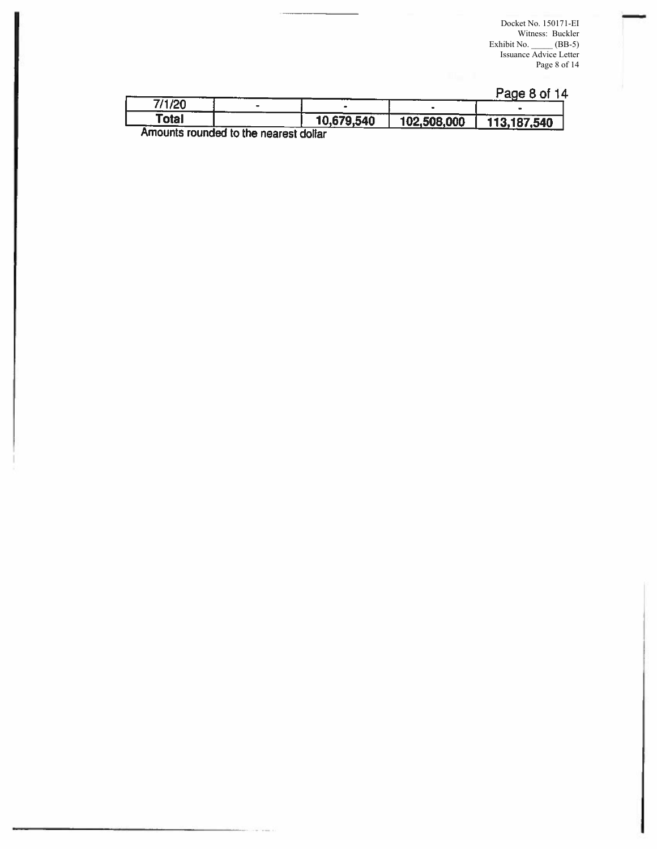Docket No. 150171-EI Witness: Buckler Exhibit No. \_\_\_\_\_ (BB-5) Issuance Advice Letter Page 8 of 14

-

#### Page 8 of 14

| 7/1/20 |                                        |            |             |             |
|--------|----------------------------------------|------------|-------------|-------------|
| Total  |                                        | 10,679,540 | 102,508,000 | 113,187,540 |
|        | Amounte rounded to the necessit delive |            |             |             |

Amounts rounded to the nearest dollar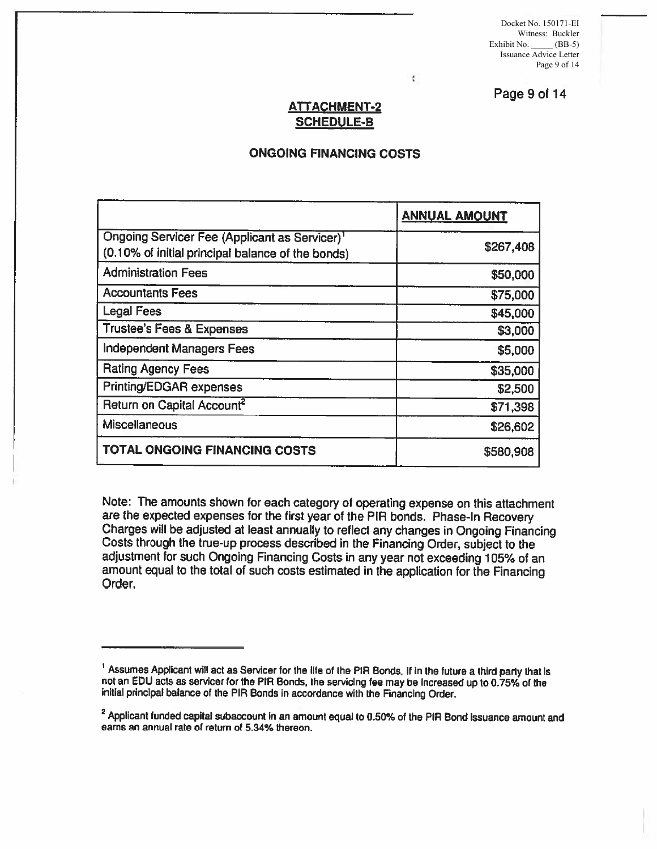Docket No. 150171-EI Witness: Buckler Exhibit No. \_\_\_\_\_ (BB-5) Issuance Advice Letter Page 9 of 14

Page 9 of 14

#### **ATTACHMENT-2** SCHEDULE-S

ŧ

#### ONGOING FINANCING COSTS

|                                                                                                                | <b>ANNUAL AMOUNT</b> |
|----------------------------------------------------------------------------------------------------------------|----------------------|
| Ongoing Servicer Fee (Applicant as Servicer) <sup>1</sup><br>(0.10% of initial principal balance of the bonds) | \$267,408            |
| <b>Administration Fees</b>                                                                                     | \$50,000             |
| <b>Accountants Fees</b>                                                                                        | \$75,000             |
| <b>Legal Fees</b>                                                                                              | \$45,000             |
| <b>Trustee's Fees &amp; Expenses</b>                                                                           | \$3,000              |
| <b>Independent Managers Fees</b>                                                                               | \$5,000              |
| <b>Rating Agency Fees</b>                                                                                      | \$35,000             |
| <b>Printing/EDGAR expenses</b>                                                                                 | \$2,500              |
| Return on Capital Account <sup>2</sup>                                                                         | \$71,398             |
| Miscellaneous                                                                                                  | \$26,602             |
| TOTAL ONGOING FINANCING COSTS                                                                                  | \$580,908            |

Note: The amounts shown for each category of operating expense on this attachment are the expected expenses for the first year of the PIR bonds. Phase-In Recovery Charges will be adjusted at least annually to reflect any changes in Ongoing Financing<br>Costs through the true-up process described in the Financing Order, subject to the<br>adjustment for such Ongoing Financing Costs in any y

<sup>&</sup>lt;sup>1</sup> Assumes Applicant will act as Servicer for the life of the PIR Bonds. If in the future a third party that is not an EDU acts as servicer for the PIR Bonds, the servicing fee may be increased up to 0.75% of the initial

<sup>&</sup>lt;sup>2</sup> Applicant funded capital subaccount in an amount equal to 0.50% of the PIR Bond issuance amount and earns an annual rate of return of 5.34% thereon.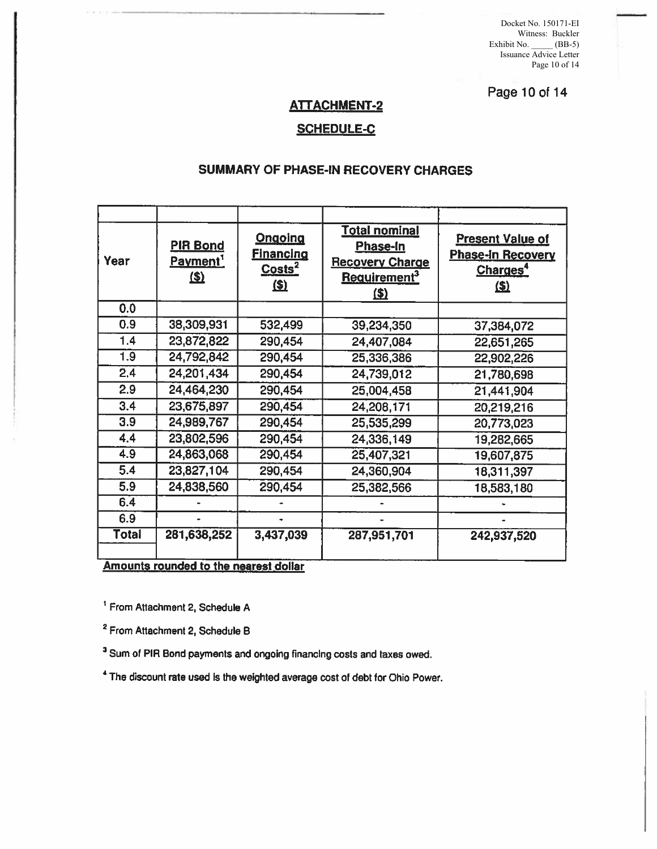Docket No. 150171-EI Witness: Buckler Exhibit No. \_\_\_\_\_ (BB-5) Issuance Advice Letter Page 10 of 14

Page 10 of 14

## ATTACHMENT-2

#### SCHEDULE-C

#### SUMMARY OF PHASE-IN RECOVERY CHARGES

| Year         | <b>PIR Bond</b><br>Payment'<br>$\mathbf{B}$          | <b>Ongoing</b><br><b>Financing</b><br>Costs <sup>2</sup><br>\$2 | <b>Total nominal</b><br>Phase-In<br><b>Recovery Charge</b><br>Requirement <sup>3</sup><br>$\mathbf{E}$ | <b>Present Value of</b><br><b>Phase-In Recovery</b><br>Charges <sup>4</sup><br>$\mathbf{E}$ |
|--------------|------------------------------------------------------|-----------------------------------------------------------------|--------------------------------------------------------------------------------------------------------|---------------------------------------------------------------------------------------------|
| 0.0          |                                                      |                                                                 |                                                                                                        |                                                                                             |
| 0.9          | 38,309,931                                           | 532,499                                                         | 39,234,350                                                                                             | 37,384,072                                                                                  |
| 1.4          | 23,872,822                                           | 290,454                                                         | 24,407,084                                                                                             | 22,651,265                                                                                  |
| 1.9          | 24,792,842                                           | 290,454                                                         | 25,336,386                                                                                             | 22,902,226                                                                                  |
| 2,4          | 24, 201, 434                                         | 290,454                                                         | 24,739,012                                                                                             | 21,780,698                                                                                  |
| 2.9          | 24,464,230                                           | 290,454                                                         | 25,004,458                                                                                             | 21,441,904                                                                                  |
| 3.4          | 23,675,897                                           | 290,454                                                         | 24,208,171                                                                                             | 20,219,216                                                                                  |
| 3.9          | 24,989,767                                           | 290,454                                                         | 25,535,299                                                                                             | 20,773,023                                                                                  |
| 4.4          | 23,802,596                                           | 290,454                                                         | 24,336,149                                                                                             | 19,282,665                                                                                  |
| 4.9          | 24,863,068                                           | 290,454                                                         | 25,407,321                                                                                             | 19,607,875                                                                                  |
| 5.4          | 23,827,104                                           | 290,454                                                         | 24,360,904                                                                                             | 18,311,397                                                                                  |
| 5.9          | 24,838,560                                           | 290,454                                                         | 25,382,566                                                                                             | 18,583,180                                                                                  |
| 6.4          |                                                      |                                                                 |                                                                                                        |                                                                                             |
| 6.9          |                                                      |                                                                 |                                                                                                        |                                                                                             |
| <b>Total</b> | 281,638,252<br>Amounts rounded to the nearest dollar | 3,437,039                                                       | 287,951,701                                                                                            | 242,937,520                                                                                 |

' From Attachment 2, Schedule A

<sup>2</sup> From Attachment 2, Schedule B

<sup>3</sup> Sum of PIR Bond payments and ongoing financing costs and taxes owed.

<sup>4</sup>The discount rate used Is the weighted average cost of debt for Ohio Power.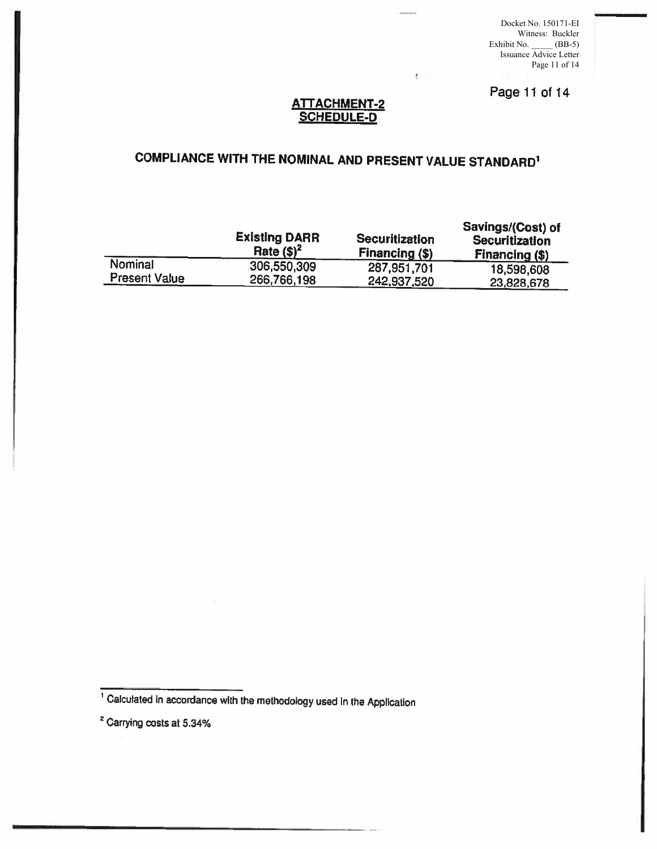Docket No. 150171-EI Witness: Buckler Exhibit No. \_\_\_\_\_ (BB-5) Issuance Advice Letter Page 11 of 14

Page 11 of 14

#### ATTACHMENT-2 SCHEDULE-D

t.

# COMPLIANCE WITH THE NOMINAL AND PRESENT VALUE STANDARD<sup>1</sup>

|                      | <b>Existing DARR</b><br>Rate $($)^2$ | <b>Securitization</b><br>Financing (\$) | Savings/(Cost) of<br><b>Securitization</b><br>Financing (\$) |
|----------------------|--------------------------------------|-----------------------------------------|--------------------------------------------------------------|
| Nominal              | 306,550,309                          | 287,951,701                             | 18,598,608                                                   |
| <b>Present Value</b> | 266,766,198                          | 242,937,520                             | 23,828,678                                                   |

<sup>1</sup>Calculated in accordance with the methodology used In the Application

<sup>&</sup>lt;sup>2</sup> Carrying costs at 5.34%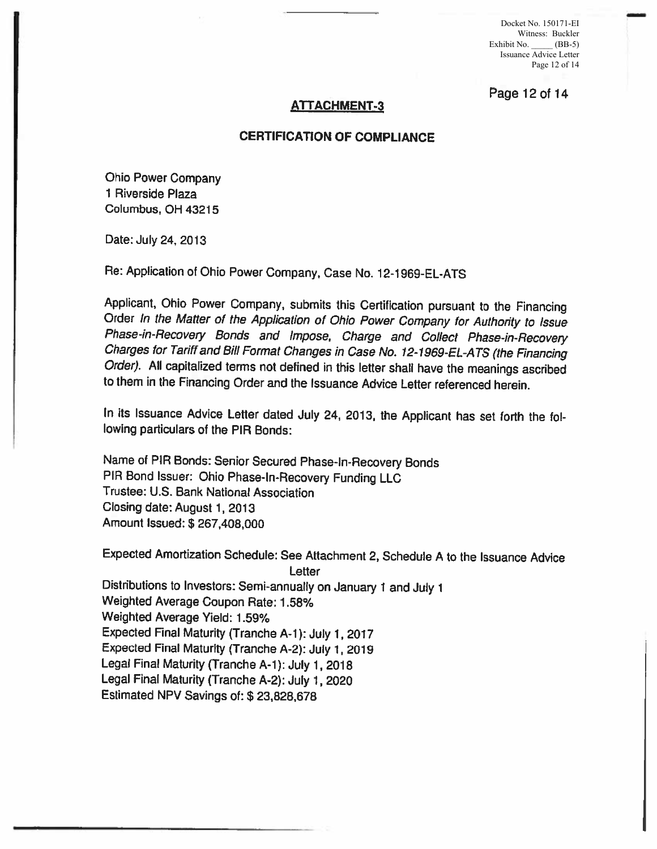Docket No. 150171-EI Witness: Buckler Exhibit No. \_\_\_\_\_ (BB-5) Issuance Advice Letter Page 12 of 14

Page 12 of 14

#### **ATTACHMENT ·3**

#### **CERTIFICATION OF COMPUANCE**

Ohio Power Company 1 Riverside Plaza Columbus, OH 43215

Date: July 24, 2013

Re: Application of Ohio Power Company, Case No. 12-1969-EL-ATS

Applicant, Ohio Power Company, submits this Certification pursuant to the Financing Order In the Matter of the Application of Ohio Power Company for Authority to Issue Phase-in-Recovery Bonds and Impose, Charge and Collect Charges for Tariff and Bill Format Changes in Case No. 12-1969-EL-ATS (the Financing Order). All capitalized terms not defined in this letter shall have the meanings ascribed to them in the Financing Order and the Issuance Advice Letter referenced herein.

In its Issuance Advice Letter dated July 24, 2013, the Applicant has set forth the following particulars of the PIR Bonds:

Name of PIA Bonds: Senior Secured Phase-In-Recovery Bonds PIA Bond Issuer: Ohio Phase-In-Recovery Funding LLC Trustee: U.S. Bank National Association Closing date: August 1, 2013 Amount Issued:\$ 267,408,000

Expected Amortization Schedule: See Attachment 2, Schedule A to the Issuance Advice Letter Distributions to Investors: Semi-annually on January 1 and July 1 Weighted Average Coupon Rate: 1.58% Weighted Average Yield: 1.59% Expected Final Maturity (Tranche A-1 ): July 1, 2017 Expected Final Maturity (Tranche A-2): July 1, 2019 Legal Final Maturity (Tranche A-1): July 1, 2018 Legal Final Maturity (Tranche A-2): July 1, <sup>2020</sup> Estimated NPV Savings of: \$ 23,828,678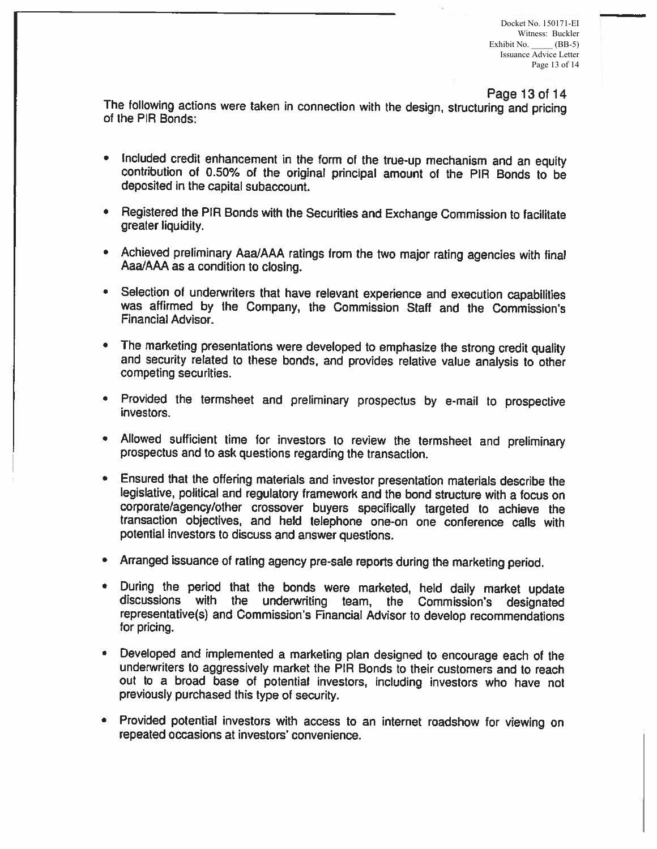Page 13 of 14

The following actions were taken in connection with the design, structuring and pricing<br>of the PIR Bonds:

- Included credit enhancement in the form of the true-up mechanism and an equity contribution of 0.50% of the original principal amount of the PIA Bonds to be deposited in the capital subaccount.
- Registered the PIA Bonds with the Securities and Exchange Commission to facilitate greater liquidity.
- Achieved preliminary Aaa/AAA ratings from the two major rating agencies with final Aaa/AAA as a condition to closing.
- Selection of underwriters that have relevant experience and execution capabilities was affirmed by the Company, the Commission Staff and the Commission's Financial Advisor.
- The marketing presentations were developed to emphasize the strong credit quality and security related to these bonds, and provides relative value analysis to other competing securities.
- Provided the termsheet and preliminary prospectus by e-mail to prospective investors.
- Allowed sufficient time for investors to review the termsheet and preliminary prospectus and to ask questions regarding the transaction.
- Ensured that the offering materials and investor presentation materials describe the legislative, political and regulatory framework and the bond structure with a focus on corporate/agency/other crossover buyers specifically targeted to achieve the transaction objectives, and held telephone one-on one conference calls with potential investors to discuss and answer questions.
- Arranged issuance of rating agency pre-sale reports during the marketing period.
- During the period that the bonds were marketed, held daily market update discussions with the underwriting team, the Commission's designated representative(s) and Commission's Financial Advisor to develop recommendations
- Developed and implemented a marketing plan designed to encourage each of the underwriters to aggressively market the PIA Bonds to their customers and to reach out to a broad base of potential investors, including investors who have not previously purchased this type of security.
- Provided potential investors with access to an internet roadshow for viewing on repeated occasions at investors' convenience.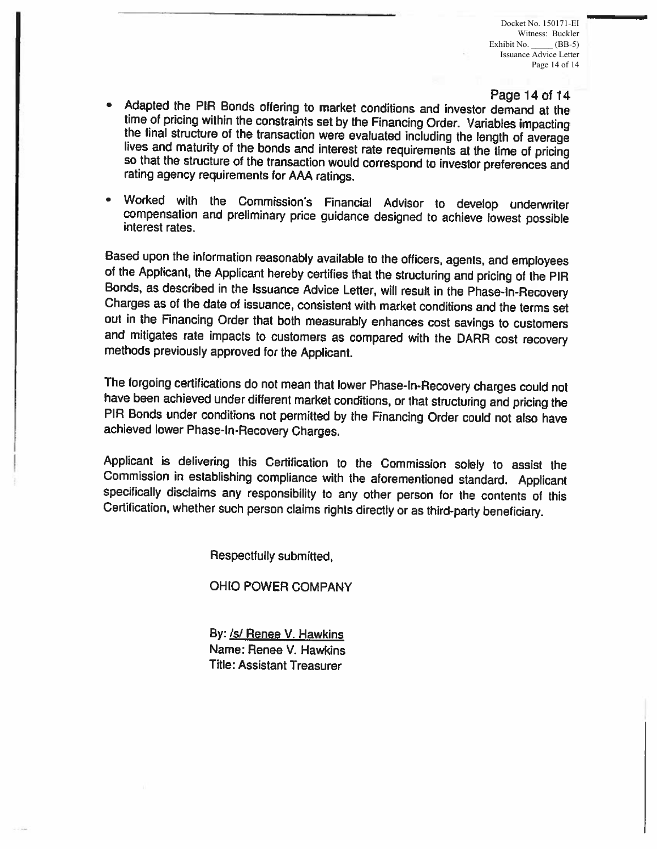#### Page 14 of 14

- Adapted the PIR Bonds offering to market conditions and investor demand at the time of pricing within the constraints set by the Financing Order. Variables impacting the final structure of the transaction were evaluated including the length of average<br>lives and maturity of the bonds and interest rate requirements at the time of pricing<br>so that the structure of the transaction would cor
- Worked with the Commission's Financial Advisor to develop underwriter compensation and preliminary price guidance designed to achieve lowest possible interest rates.

Based upon the information reasonably available to the officers, agents, and employees of the Applicant, the Applicant hereby certifies that the structuring and pricing of the PIR Bonds, as described in the Issuance Advice Charges as of the date of issuance, consistent with market conditions and the terms set out in the Financing Order that both measurably enhances cost savings to customers and mitigates rate impacts to customers as compared with the DARR cost recovery methods previously approved for the Applicant.

The forgoing certifications do not mean that lower Phase-In-Recovery charges could not have been achieved under different market conditions, or that structuring and pricing the PIR Bonds under conditions not permitted by t achieved lower Phase-In-Recovery Charges.

Applicant is delivering this Certification to the Commission solely to assist the Commission in establishing compliance with the aforementioned standard. Applicant specifically disclaims any responsibility to any other per Certification, whether such person claims rights directly or as third-party beneficiary.

Respectfully submitted,

OHIO POWER COMPANY

By: /s/ Renee V. Hawkins Name: Renee V. Hawkins Title: Assistant Treasurer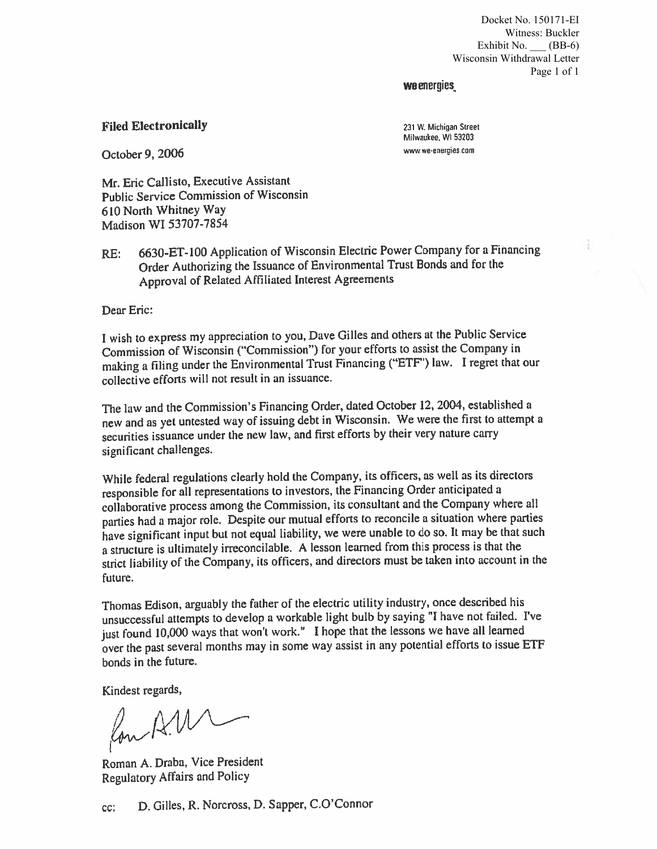Docket No. 150171-EI Witness: Buckler Exhibit No.  $(BB-6)$  Wisconsin Withdrawal Letter Page 1 of 1

#### wa energies.

#### Filed Electronically

231 W. Michigan Street Milwaukee, WI 53203 www we·energies.com

October 9, 2006

Mr. Eric Callisto, Executive Assistant Public Service Commission of Wisconsin 610 North Whitney Way Madison WI 53707-7854

RE: 6630-ET-100 Application of Wisconsin Electric Power Company for a Financing Order Authorizing the Issuance of Environmental Trust Bonds and for the Approval of Related Affiliated Interest Agreements

Dear Eric:

I wish to express my appreciation to you, Dave Gilles and others at the Public Service Commission of Wisconsin ("Commission") for your efforts to assist the Company in making a filing under the Environmental Trust Financing ("ETF') law. I regret that our collective efforts will not result in an issuance.

The law and the Commission's Financing Order, dated October 12, 2004, established a new and as yet untested way of issuing debt in Wisconsin. We were the first to attempt a securities issuance under the new law, and first efforts by their very nature carry significant challenges.

While federal regulations clearly hold the Company, its officers, as well as its directors responsible for all representations to investors, the Financing Order anticipated a collaborative process among the Commission, its consultant and the Company where all parties had a major role. Despite our mutual efforts to reconcile a situation where parties have significant input but not equal liability, we were unable to do so. It may be that such a structure is ultimately irreconcilable. A lesson learned from this process is that the strict liability of the Company, its officers, and directors must be taken into account in the future.

Thomas Edison, arguably the father of the electric utility industry, once described his unsuccessful attempts to develop a workable light bulb by saying "I have not failed. I've just found 10,000 ways that won't work." I hope that the lessons we have all learned over the past several months may in some way assist in any potential efforts to issue ETF bonds in the future.

Kindest regards,

 $\sim$ 

Roman A. Draba, Vice President Regulatory Affairs and Policy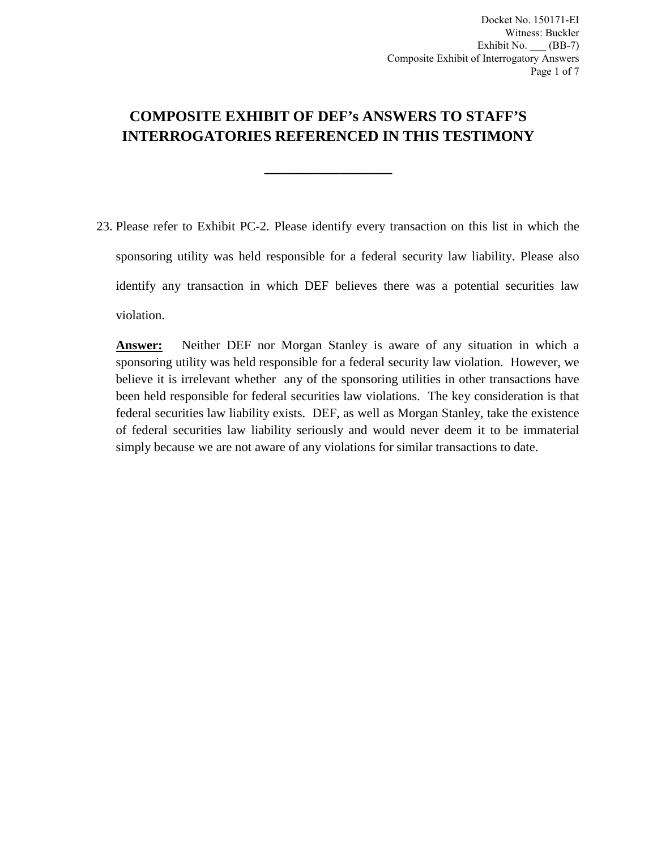# **COMPOSITE EXHIBIT OF DEF's ANSWERS TO STAFF'S INTERROGATORIES REFERENCED IN THIS TESTIMONY**

**\_\_\_\_\_\_\_\_\_\_\_\_\_\_\_\_\_**

23. Please refer to Exhibit PC-2. Please identify every transaction on this list in which the sponsoring utility was held responsible for a federal security law liability. Please also identify any transaction in which DEF believes there was a potential securities law violation.

**Answer:** Neither DEF nor Morgan Stanley is aware of any situation in which a sponsoring utility was held responsible for a federal security law violation. However, we believe it is irrelevant whether any of the sponsoring utilities in other transactions have been held responsible for federal securities law violations. The key consideration is that federal securities law liability exists. DEF, as well as Morgan Stanley, take the existence of federal securities law liability seriously and would never deem it to be immaterial simply because we are not aware of any violations for similar transactions to date.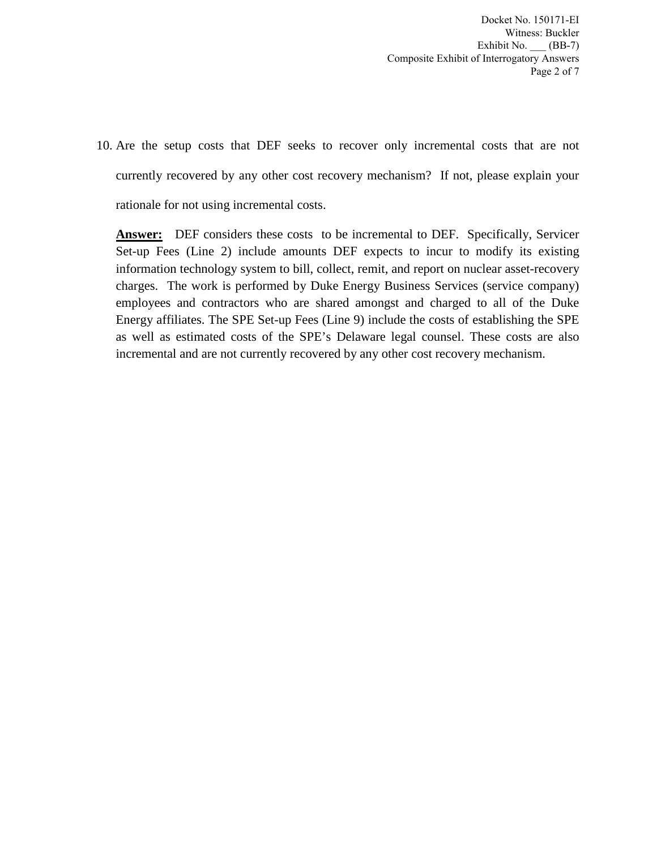Docket No. 150171-EI Witness: Buckler Exhibit No.  $\underline{\hspace{1cm}}$  (BB-7) Composite Exhibit of Interrogatory Answers Page 2 of 7

10. Are the setup costs that DEF seeks to recover only incremental costs that are not currently recovered by any other cost recovery mechanism? If not, please explain your rationale for not using incremental costs.

**Answer:** DEF considers these costs to be incremental to DEF. Specifically, Servicer Set-up Fees (Line 2) include amounts DEF expects to incur to modify its existing information technology system to bill, collect, remit, and report on nuclear asset-recovery charges. The work is performed by Duke Energy Business Services (service company) employees and contractors who are shared amongst and charged to all of the Duke Energy affiliates. The SPE Set-up Fees (Line 9) include the costs of establishing the SPE as well as estimated costs of the SPE's Delaware legal counsel. These costs are also incremental and are not currently recovered by any other cost recovery mechanism.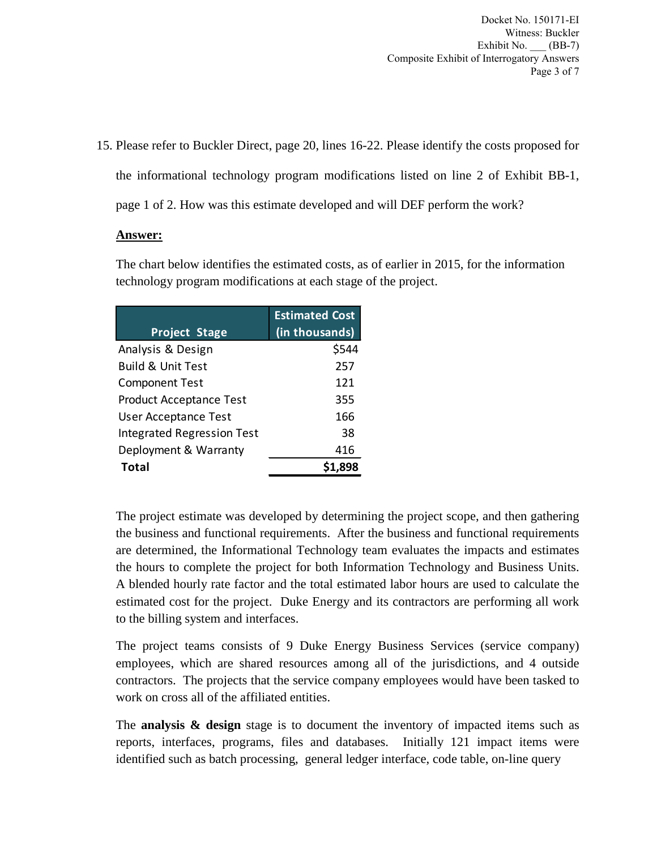Docket No. 150171-EI Witness: Buckler Exhibit No. (BB-7) Composite Exhibit of Interrogatory Answers Page 3 of 7

15. Please refer to Buckler Direct, page 20, lines 16-22. Please identify the costs proposed for the informational technology program modifications listed on line 2 of Exhibit BB-1, page 1 of 2. How was this estimate developed and will DEF perform the work?

#### **Answer:**

The chart below identifies the estimated costs, as of earlier in 2015, for the information technology program modifications at each stage of the project.

| <b>Project Stage</b>              | <b>Estimated Cost</b><br>(in thousands) |
|-----------------------------------|-----------------------------------------|
| Analysis & Design                 | \$544                                   |
| <b>Build &amp; Unit Test</b>      | 257                                     |
| <b>Component Test</b>             | 121                                     |
| <b>Product Acceptance Test</b>    | 355                                     |
| <b>User Acceptance Test</b>       | 166                                     |
| <b>Integrated Regression Test</b> | 38                                      |
| Deployment & Warranty             | 416                                     |
| Total                             |                                         |

The project estimate was developed by determining the project scope, and then gathering the business and functional requirements. After the business and functional requirements are determined, the Informational Technology team evaluates the impacts and estimates the hours to complete the project for both Information Technology and Business Units. A blended hourly rate factor and the total estimated labor hours are used to calculate the estimated cost for the project. Duke Energy and its contractors are performing all work to the billing system and interfaces.

The project teams consists of 9 Duke Energy Business Services (service company) employees, which are shared resources among all of the jurisdictions, and 4 outside contractors. The projects that the service company employees would have been tasked to work on cross all of the affiliated entities.

The **analysis & design** stage is to document the inventory of impacted items such as reports, interfaces, programs, files and databases. Initially 121 impact items were identified such as batch processing, general ledger interface, code table, on-line query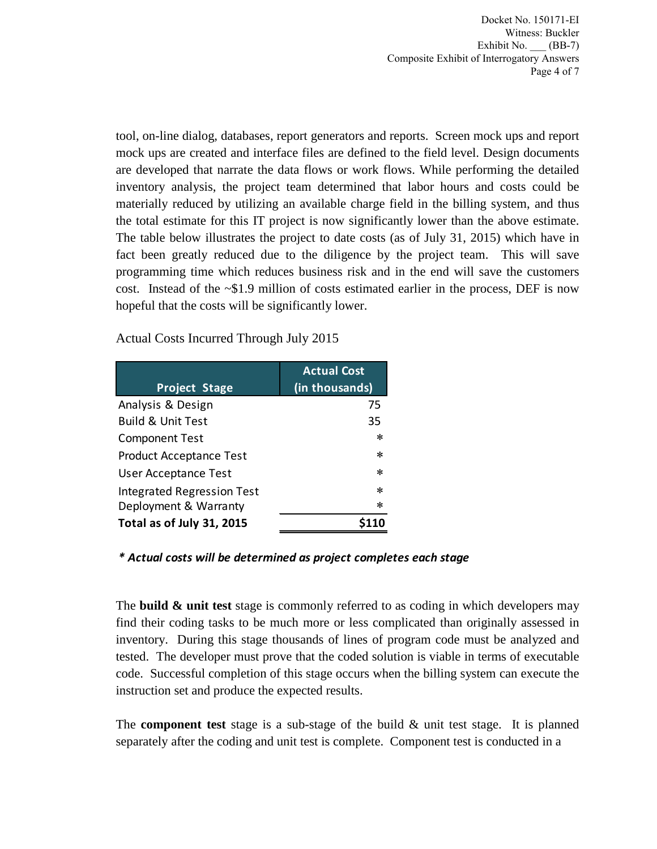Docket No. 150171-EI Witness: Buckler Exhibit No. \_\_\_ (BB-7) Composite Exhibit of Interrogatory Answers Page 4 of 7

tool, on-line dialog, databases, report generators and reports. Screen mock ups and report mock ups are created and interface files are defined to the field level. Design documents are developed that narrate the data flows or work flows. While performing the detailed inventory analysis, the project team determined that labor hours and costs could be materially reduced by utilizing an available charge field in the billing system, and thus the total estimate for this IT project is now significantly lower than the above estimate. The table below illustrates the project to date costs (as of July 31, 2015) which have in fact been greatly reduced due to the diligence by the project team. This will save programming time which reduces business risk and in the end will save the customers cost. Instead of the ~\$1.9 million of costs estimated earlier in the process, DEF is now hopeful that the costs will be significantly lower.

Actual Costs Incurred Through July 2015

| <b>Project Stage</b>              | <b>Actual Cost</b><br>(in thousands) |
|-----------------------------------|--------------------------------------|
| Analysis & Design                 | 75                                   |
| <b>Build &amp; Unit Test</b>      | 35                                   |
| <b>Component Test</b>             | ∗                                    |
| <b>Product Acceptance Test</b>    | ∗                                    |
| User Acceptance Test              | $\ast$                               |
| <b>Integrated Regression Test</b> | $\ast$                               |
| Deployment & Warranty             | ∗                                    |
| Total as of July 31, 2015         |                                      |

#### *\* Actual costs will be determined as project completes each stage*

The **build & unit test** stage is commonly referred to as coding in which developers may find their coding tasks to be much more or less complicated than originally assessed in inventory. During this stage thousands of lines of program code must be analyzed and tested. The developer must prove that the coded solution is viable in terms of executable code. Successful completion of this stage occurs when the billing system can execute the instruction set and produce the expected results.

The **component test** stage is a sub-stage of the build & unit test stage. It is planned separately after the coding and unit test is complete. Component test is conducted in a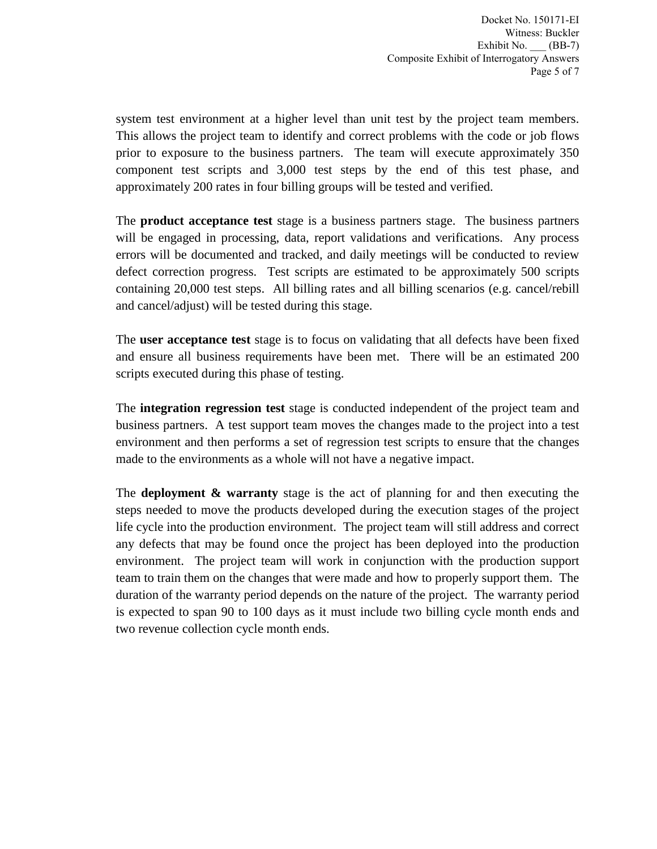system test environment at a higher level than unit test by the project team members. This allows the project team to identify and correct problems with the code or job flows prior to exposure to the business partners. The team will execute approximately 350 component test scripts and 3,000 test steps by the end of this test phase, and approximately 200 rates in four billing groups will be tested and verified.

The **product acceptance test** stage is a business partners stage. The business partners will be engaged in processing, data, report validations and verifications. Any process errors will be documented and tracked, and daily meetings will be conducted to review defect correction progress. Test scripts are estimated to be approximately 500 scripts containing 20,000 test steps. All billing rates and all billing scenarios (e.g. cancel/rebill and cancel/adjust) will be tested during this stage.

The **user acceptance test** stage is to focus on validating that all defects have been fixed and ensure all business requirements have been met. There will be an estimated 200 scripts executed during this phase of testing.

The **integration regression test** stage is conducted independent of the project team and business partners. A test support team moves the changes made to the project into a test environment and then performs a set of regression test scripts to ensure that the changes made to the environments as a whole will not have a negative impact.

The **deployment & warranty** stage is the act of planning for and then executing the steps needed to move the products developed during the execution stages of the project life cycle into the production environment. The project team will still address and correct any defects that may be found once the project has been deployed into the production environment. The project team will work in conjunction with the production support team to train them on the changes that were made and how to properly support them. The duration of the warranty period depends on the nature of the project. The warranty period is expected to span 90 to 100 days as it must include two billing cycle month ends and two revenue collection cycle month ends.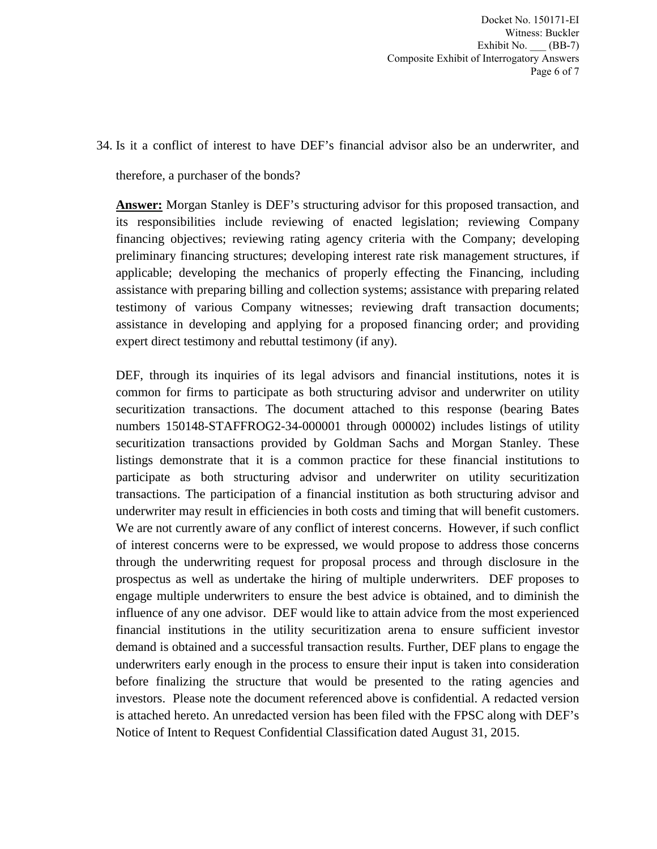Docket No. 150171-EI Witness: Buckler Exhibit No. \_\_\_ (BB-7) Composite Exhibit of Interrogatory Answers Page 6 of 7

34. Is it a conflict of interest to have DEF's financial advisor also be an underwriter, and

therefore, a purchaser of the bonds?

**Answer:** Morgan Stanley is DEF's structuring advisor for this proposed transaction, and its responsibilities include reviewing of enacted legislation; reviewing Company financing objectives; reviewing rating agency criteria with the Company; developing preliminary financing structures; developing interest rate risk management structures, if applicable; developing the mechanics of properly effecting the Financing, including assistance with preparing billing and collection systems; assistance with preparing related testimony of various Company witnesses; reviewing draft transaction documents; assistance in developing and applying for a proposed financing order; and providing expert direct testimony and rebuttal testimony (if any).

DEF, through its inquiries of its legal advisors and financial institutions, notes it is common for firms to participate as both structuring advisor and underwriter on utility securitization transactions. The document attached to this response (bearing Bates numbers 150148-STAFFROG2-34-000001 through 000002) includes listings of utility securitization transactions provided by Goldman Sachs and Morgan Stanley. These listings demonstrate that it is a common practice for these financial institutions to participate as both structuring advisor and underwriter on utility securitization transactions. The participation of a financial institution as both structuring advisor and underwriter may result in efficiencies in both costs and timing that will benefit customers. We are not currently aware of any conflict of interest concerns. However, if such conflict of interest concerns were to be expressed, we would propose to address those concerns through the underwriting request for proposal process and through disclosure in the prospectus as well as undertake the hiring of multiple underwriters. DEF proposes to engage multiple underwriters to ensure the best advice is obtained, and to diminish the influence of any one advisor. DEF would like to attain advice from the most experienced financial institutions in the utility securitization arena to ensure sufficient investor demand is obtained and a successful transaction results. Further, DEF plans to engage the underwriters early enough in the process to ensure their input is taken into consideration before finalizing the structure that would be presented to the rating agencies and investors. Please note the document referenced above is confidential. A redacted version is attached hereto. An unredacted version has been filed with the FPSC along with DEF's Notice of Intent to Request Confidential Classification dated August 31, 2015.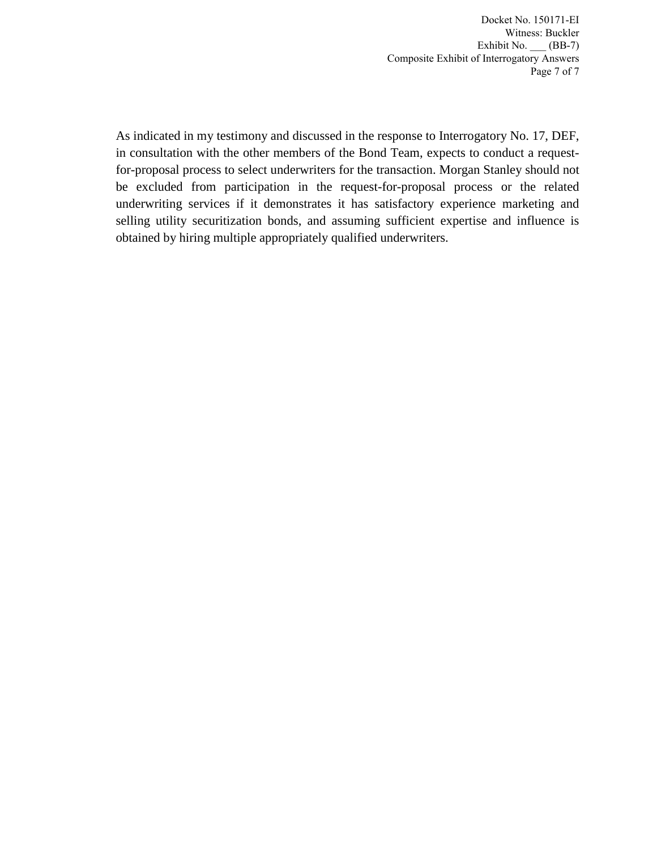Docket No. 150171-EI Witness: Buckler Exhibit No. \_\_\_ (BB-7) Composite Exhibit of Interrogatory Answers Page 7 of 7

As indicated in my testimony and discussed in the response to Interrogatory No. 17, DEF, in consultation with the other members of the Bond Team, expects to conduct a requestfor-proposal process to select underwriters for the transaction. Morgan Stanley should not be excluded from participation in the request-for-proposal process or the related underwriting services if it demonstrates it has satisfactory experience marketing and selling utility securitization bonds, and assuming sufficient expertise and influence is obtained by hiring multiple appropriately qualified underwriters.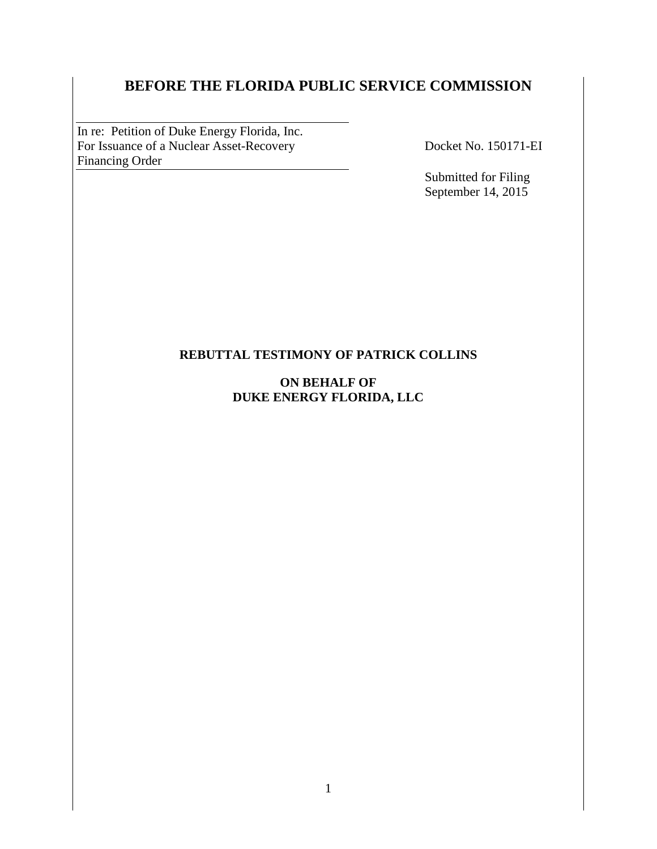# **BEFORE THE FLORIDA PUBLIC SERVICE COMMISSION**

In re: Petition of Duke Energy Florida, Inc. For Issuance of a Nuclear Asset-Recovery Docket No. 150171-EI<br>Financing Order Financing Order

Submitted for Filing September 14, 2015

#### **REBUTTAL TESTIMONY OF PATRICK COLLINS**

#### **ON BEHALF OF DUKE ENERGY FLORIDA, LLC**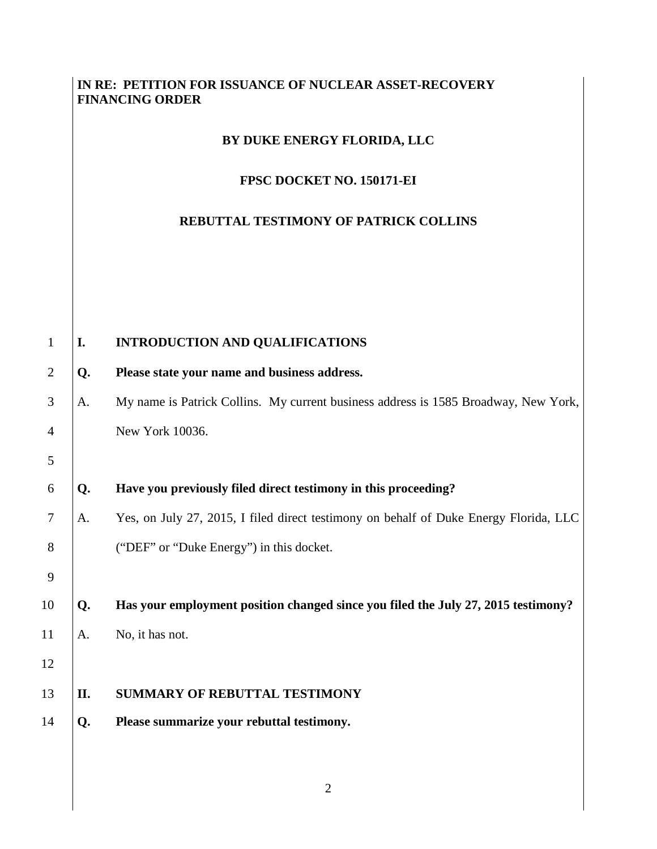### **IN RE: PETITION FOR ISSUANCE OF NUCLEAR ASSET-RECOVERY FINANCING ORDER**

#### **BY DUKE ENERGY FLORIDA, LLC**

#### **FPSC DOCKET NO. 150171-EI**

## **REBUTTAL TESTIMONY OF PATRICK COLLINS**

| $\mathbf{1}$   | I.  | INTRODUCTION AND QUALIFICATIONS                                                       |
|----------------|-----|---------------------------------------------------------------------------------------|
| $\overline{2}$ | Q.  | Please state your name and business address.                                          |
| 3              | A.  | My name is Patrick Collins. My current business address is 1585 Broadway, New York,   |
| $\overline{4}$ |     | New York 10036.                                                                       |
| 5              |     |                                                                                       |
| 6              | Q.  | Have you previously filed direct testimony in this proceeding?                        |
| $\tau$         | A.  | Yes, on July 27, 2015, I filed direct testimony on behalf of Duke Energy Florida, LLC |
| 8              |     | ("DEF" or "Duke Energy") in this docket.                                              |
| 9              |     |                                                                                       |
| 10             | Q.  | Has your employment position changed since you filed the July 27, 2015 testimony?     |
| 11             | A.  | No, it has not.                                                                       |
| 12             |     |                                                                                       |
| 13             | II. | <b>SUMMARY OF REBUTTAL TESTIMONY</b>                                                  |
| 14             | Q.  | Please summarize your rebuttal testimony.                                             |
|                |     |                                                                                       |
|                |     |                                                                                       |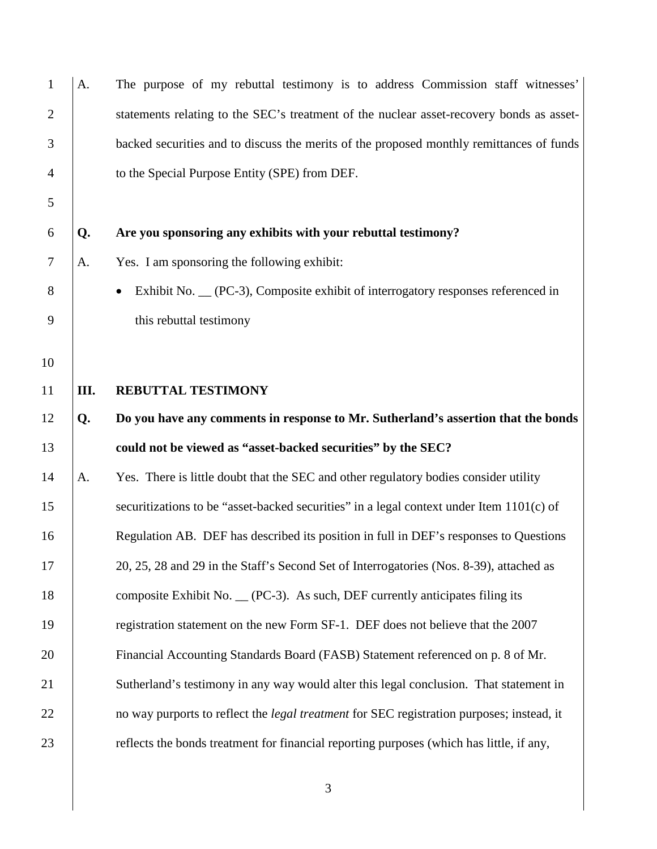| $\mathbf{1}$   | A.   | The purpose of my rebuttal testimony is to address Commission staff witnesses'                   |
|----------------|------|--------------------------------------------------------------------------------------------------|
| $\overline{2}$ |      | statements relating to the SEC's treatment of the nuclear asset-recovery bonds as asset-         |
| 3              |      | backed securities and to discuss the merits of the proposed monthly remittances of funds         |
| 4              |      | to the Special Purpose Entity (SPE) from DEF.                                                    |
| 5              |      |                                                                                                  |
| 6              | Q.   | Are you sponsoring any exhibits with your rebuttal testimony?                                    |
| $\overline{7}$ | A.   | Yes. I am sponsoring the following exhibit:                                                      |
| 8              |      | Exhibit No. __ (PC-3), Composite exhibit of interrogatory responses referenced in                |
| 9              |      | this rebuttal testimony                                                                          |
| 10             |      |                                                                                                  |
| 11             | III. | <b>REBUTTAL TESTIMONY</b>                                                                        |
| 12             | Q.   | Do you have any comments in response to Mr. Sutherland's assertion that the bonds                |
| 13             |      | could not be viewed as "asset-backed securities" by the SEC?                                     |
| 14             | A.   | Yes. There is little doubt that the SEC and other regulatory bodies consider utility             |
| 15             |      |                                                                                                  |
| 16             |      | securitizations to be "asset-backed securities" in a legal context under Item 1101(c) of         |
|                |      | Regulation AB. DEF has described its position in full in DEF's responses to Questions            |
| 17             |      | 20, 25, 28 and 29 in the Staff's Second Set of Interrogatories (Nos. 8-39), attached as          |
| 18             |      | composite Exhibit No. $\_\$ (PC-3). As such, DEF currently anticipates filing its                |
| 19             |      | registration statement on the new Form SF-1. DEF does not believe that the 2007                  |
| 20             |      | Financial Accounting Standards Board (FASB) Statement referenced on p. 8 of Mr.                  |
| 21             |      | Sutherland's testimony in any way would alter this legal conclusion. That statement in           |
| 22             |      | no way purports to reflect the <i>legal treatment</i> for SEC registration purposes; instead, it |
| 23             |      | reflects the bonds treatment for financial reporting purposes (which has little, if any,         |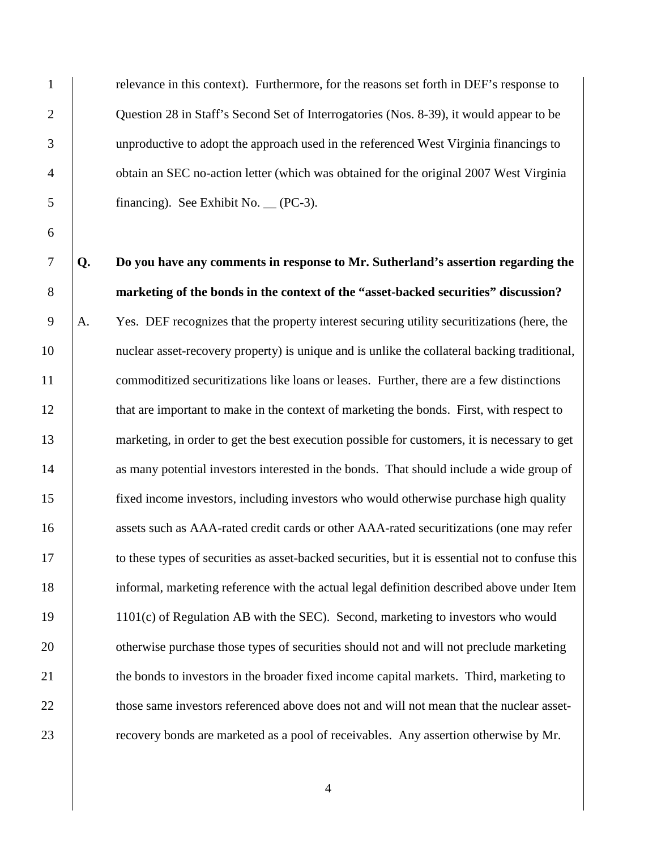1 relevance in this context). Furthermore, for the reasons set forth in DEF's response to 2 | Question 28 in Staff's Second Set of Interrogatories (Nos. 8-39), it would appear to be 3 unproductive to adopt the approach used in the referenced West Virginia financings to 4 obtain an SEC no-action letter (which was obtained for the original 2007 West Virginia 5 financing). See Exhibit No. (PC-3).

7 **Q. Do you have any comments in response to Mr. Sutherland's assertion regarding the**  8 **marketing of the bonds in the context of the "asset-backed securities" discussion?**  9 A. Yes. DEF recognizes that the property interest securing utility securitizations (here, the 10 nuclear asset-recovery property) is unique and is unlike the collateral backing traditional, 11 commoditized securitizations like loans or leases. Further, there are a few distinctions 12 **that are important to make in the context of marketing the bonds.** First, with respect to 13 marketing, in order to get the best execution possible for customers, it is necessary to get 14 as many potential investors interested in the bonds. That should include a wide group of 15 fixed income investors, including investors who would otherwise purchase high quality 16 assets such as AAA-rated credit cards or other AAA-rated securitizations (one may refer 17 to these types of securities as asset-backed securities, but it is essential not to confuse this 18 informal, marketing reference with the actual legal definition described above under Item 19 1101(c) of Regulation AB with the SEC). Second, marketing to investors who would 20 otherwise purchase those types of securities should not and will not preclude marketing 21 the bonds to investors in the broader fixed income capital markets. Third, marketing to 22 those same investors referenced above does not and will not mean that the nuclear asset-23 **external Figure 23** recovery bonds are marketed as a pool of receivables. Any assertion otherwise by Mr.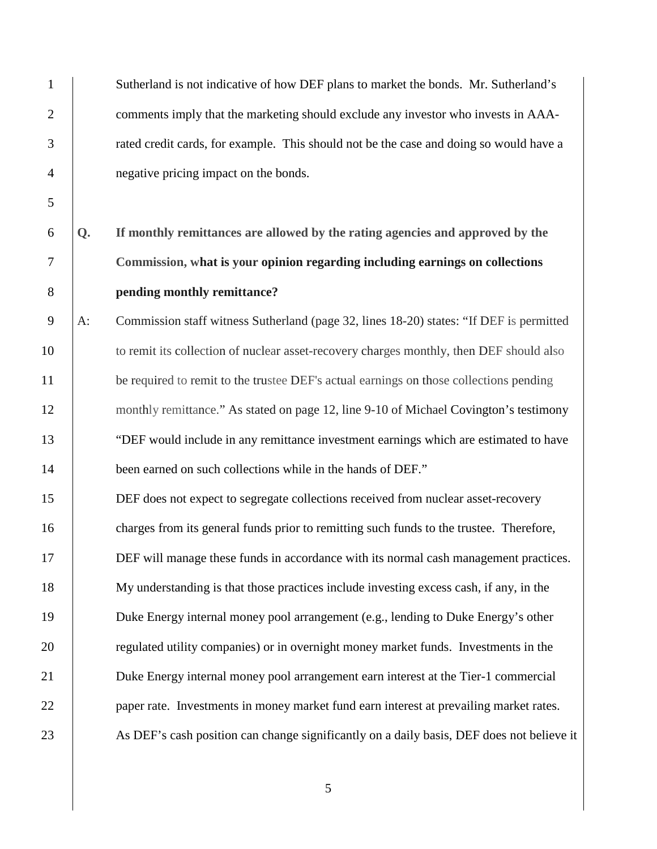| $\mathbf{1}$   |    | Sutherland is not indicative of how DEF plans to market the bonds. Mr. Sutherland's       |
|----------------|----|-------------------------------------------------------------------------------------------|
| $\overline{2}$ |    | comments imply that the marketing should exclude any investor who invests in AAA-         |
| 3              |    | rated credit cards, for example. This should not be the case and doing so would have a    |
| $\overline{4}$ |    | negative pricing impact on the bonds.                                                     |
| 5              |    |                                                                                           |
| 6              | Q. | If monthly remittances are allowed by the rating agencies and approved by the             |
| $\overline{7}$ |    | Commission, what is your opinion regarding including earnings on collections              |
| $8\,$          |    | pending monthly remittance?                                                               |
| 9              | A: | Commission staff witness Sutherland (page 32, lines 18-20) states: "If DEF is permitted   |
| 10             |    | to remit its collection of nuclear asset-recovery charges monthly, then DEF should also   |
| 11             |    | be required to remit to the trustee DEF's actual earnings on those collections pending    |
| 12             |    | monthly remittance." As stated on page 12, line 9-10 of Michael Covington's testimony     |
| 13             |    | "DEF would include in any remittance investment earnings which are estimated to have      |
| 14             |    | been earned on such collections while in the hands of DEF."                               |
| 15             |    | DEF does not expect to segregate collections received from nuclear asset-recovery         |
| 16             |    | charges from its general funds prior to remitting such funds to the trustee. Therefore,   |
| 17             |    | DEF will manage these funds in accordance with its normal cash management practices.      |
| 18             |    | My understanding is that those practices include investing excess cash, if any, in the    |
| 19             |    | Duke Energy internal money pool arrangement (e.g., lending to Duke Energy's other         |
| 20             |    | regulated utility companies) or in overnight money market funds. Investments in the       |
| 21             |    | Duke Energy internal money pool arrangement earn interest at the Tier-1 commercial        |
| 22             |    | paper rate. Investments in money market fund earn interest at prevailing market rates.    |
| 23             |    | As DEF's cash position can change significantly on a daily basis, DEF does not believe it |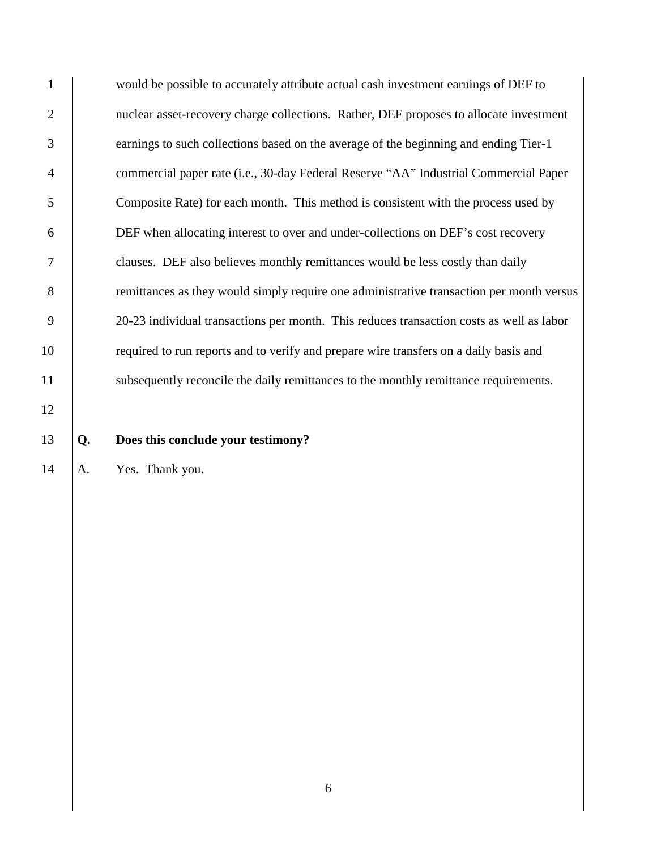1 would be possible to accurately attribute actual cash investment earnings of DEF to 2 | nuclear asset-recovery charge collections. Rather, DEF proposes to allocate investment 3 earnings to such collections based on the average of the beginning and ending Tier-1 4 commercial paper rate (i.e., 30-day Federal Reserve "AA" Industrial Commercial Paper 5 Composite Rate) for each month. This method is consistent with the process used by 6 DEF when allocating interest to over and under-collections on DEF's cost recovery 7 clauses. DEF also believes monthly remittances would be less costly than daily 8 emittances as they would simply require one administrative transaction per month versus 9 20-23 individual transactions per month. This reduces transaction costs as well as labor 10 required to run reports and to verify and prepare wire transfers on a daily basis and 11 subsequently reconcile the daily remittances to the monthly remittance requirements.

12

#### 13 **Q. Does this conclude your testimony?**

14 | A. Yes. Thank you.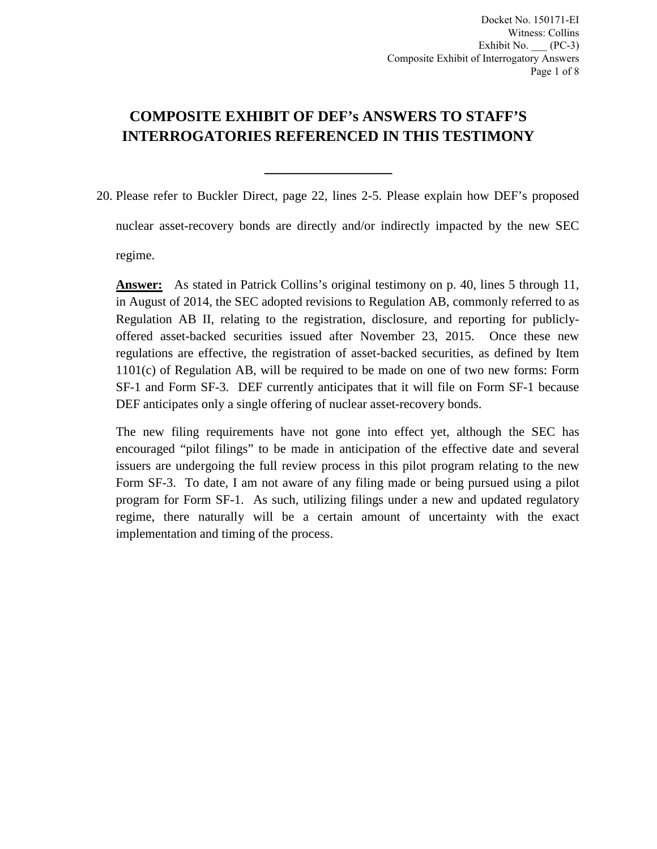# **COMPOSITE EXHIBIT OF DEF's ANSWERS TO STAFF'S INTERROGATORIES REFERENCED IN THIS TESTIMONY**

**\_\_\_\_\_\_\_\_\_\_\_\_\_\_\_\_\_**

20. Please refer to Buckler Direct, page 22, lines 2-5. Please explain how DEF's proposed nuclear asset-recovery bonds are directly and/or indirectly impacted by the new SEC regime.

**Answer:** As stated in Patrick Collins's original testimony on p. 40, lines 5 through 11, in August of 2014, the SEC adopted revisions to Regulation AB, commonly referred to as Regulation AB II, relating to the registration, disclosure, and reporting for publiclyoffered asset-backed securities issued after November 23, 2015. Once these new regulations are effective, the registration of asset-backed securities, as defined by Item 1101(c) of Regulation AB, will be required to be made on one of two new forms: Form SF-1 and Form SF-3. DEF currently anticipates that it will file on Form SF-1 because DEF anticipates only a single offering of nuclear asset-recovery bonds.

The new filing requirements have not gone into effect yet, although the SEC has encouraged "pilot filings" to be made in anticipation of the effective date and several issuers are undergoing the full review process in this pilot program relating to the new Form SF-3. To date, I am not aware of any filing made or being pursued using a pilot program for Form SF-1. As such, utilizing filings under a new and updated regulatory regime, there naturally will be a certain amount of uncertainty with the exact implementation and timing of the process.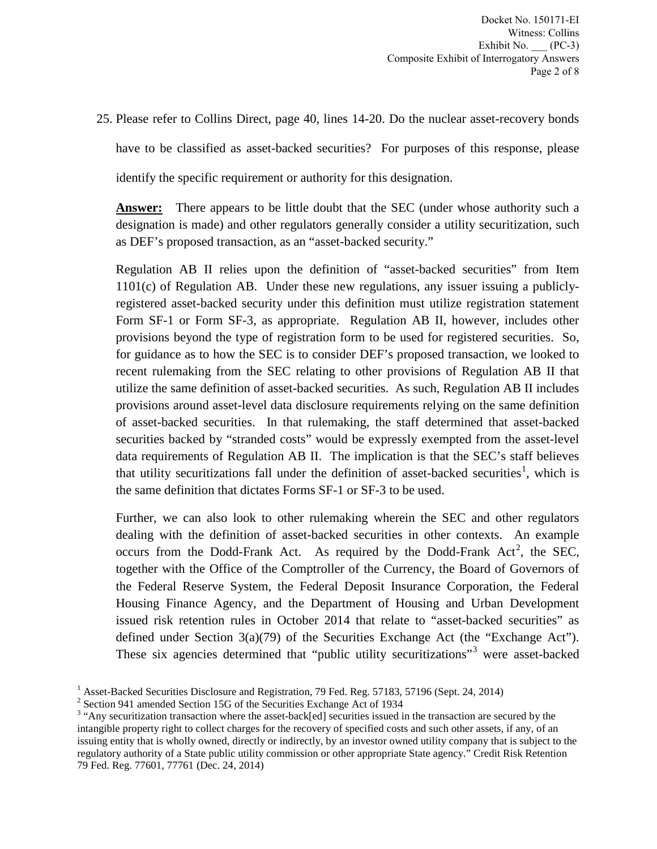25. Please refer to Collins Direct, page 40, lines 14-20. Do the nuclear asset-recovery bonds have to be classified as asset-backed securities? For purposes of this response, please identify the specific requirement or authority for this designation.

**Answer:** There appears to be little doubt that the SEC (under whose authority such a designation is made) and other regulators generally consider a utility securitization, such as DEF's proposed transaction, as an "asset-backed security."

Regulation AB II relies upon the definition of "asset-backed securities" from Item 1101(c) of Regulation AB. Under these new regulations, any issuer issuing a publiclyregistered asset-backed security under this definition must utilize registration statement Form SF-1 or Form SF-3, as appropriate. Regulation AB II, however, includes other provisions beyond the type of registration form to be used for registered securities. So, for guidance as to how the SEC is to consider DEF's proposed transaction, we looked to recent rulemaking from the SEC relating to other provisions of Regulation AB II that utilize the same definition of asset-backed securities. As such, Regulation AB II includes provisions around asset-level data disclosure requirements relying on the same definition of asset-backed securities. In that rulemaking, the staff determined that asset-backed securities backed by "stranded costs" would be expressly exempted from the asset-level data requirements of Regulation AB II. The implication is that the SEC's staff believes that utility securitizations fall under the definition of asset-backed securities<sup>1</sup>, which is the same definition that dictates Forms SF-1 or SF-3 to be used.

Further, we can also look to other rulemaking wherein the SEC and other regulators dealing with the definition of asset-backed securities in other contexts. An example occurs from the Dodd-Frank Act. As required by the Dodd-Frank Act<sup>2</sup>, the SEC, together with the Office of the Comptroller of the Currency, the Board of Governors of the Federal Reserve System, the Federal Deposit Insurance Corporation, the Federal Housing Finance Agency, and the Department of Housing and Urban Development issued risk retention rules in October 2014 that relate to "asset-backed securities" as defined under Section 3(a)(79) of the Securities Exchange Act (the "Exchange Act"). These six agencies determined that "public utility securitizations"<sup>3</sup> were asset-backed

<sup>&</sup>lt;sup>1</sup> Asset-Backed Securities Disclosure and Registration, 79 Fed. Reg. 57183, 57196 (Sept. 24, 2014) <sup>2</sup> Section 941 amended Section 15G of the Securities Exchange Act of 1934

<sup>&</sup>lt;sup>3</sup> "Any securitization transaction where the asset-back[ed] securities issued in the transaction are secured by the intangible property right to collect charges for the recovery of specified costs and such other assets, if any, of an issuing entity that is wholly owned, directly or indirectly, by an investor owned utility company that is subject to the regulatory authority of a State public utility commission or other appropriate State agency." Credit Risk Retention 79 Fed. Reg. 77601, 77761 (Dec. 24, 2014)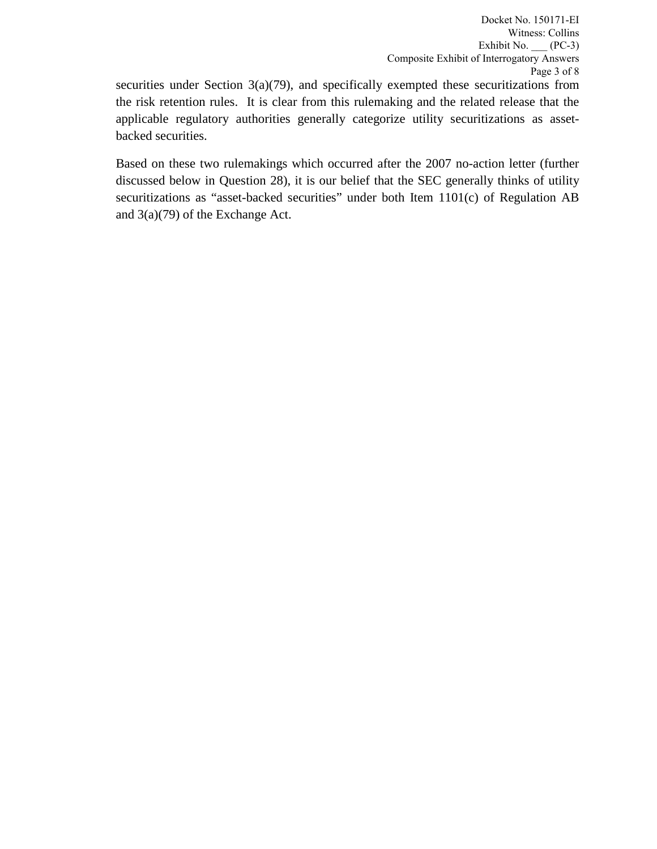securities under Section  $3(a)(79)$ , and specifically exempted these securitizations from the risk retention rules. It is clear from this rulemaking and the related release that the applicable regulatory authorities generally categorize utility securitizations as assetbacked securities.

Based on these two rulemakings which occurred after the 2007 no-action letter (further discussed below in Question 28), it is our belief that the SEC generally thinks of utility securitizations as "asset-backed securities" under both Item 1101(c) of Regulation AB and 3(a)(79) of the Exchange Act.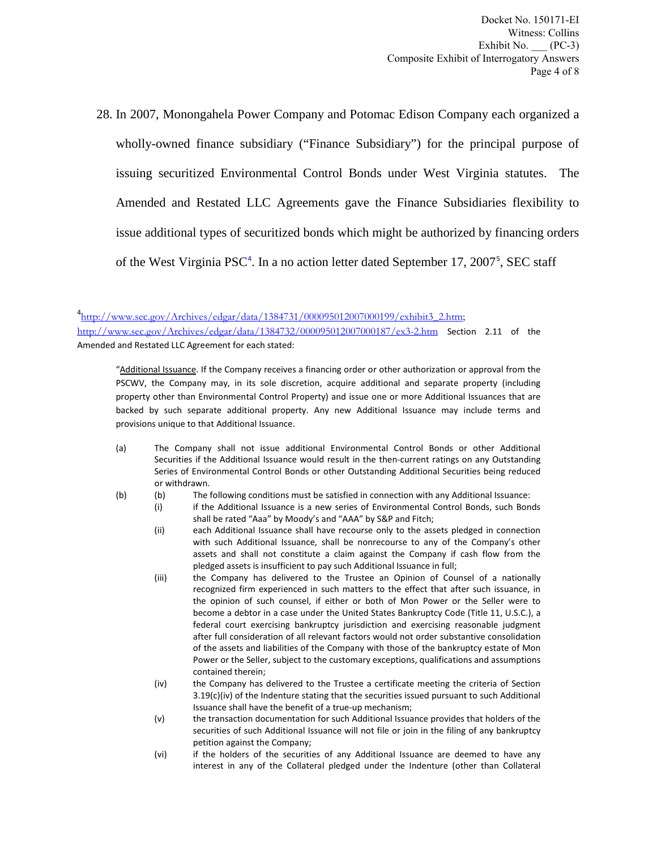Docket No. 150171-EI Witness: Collins Exhibit No.  $\rule{1em}{0.5em}$  (PC-3) Composite Exhibit of Interrogatory Answers Page 4 of 8

28. In 2007, Monongahela Power Company and Potomac Edison Company each organized a wholly-owned finance subsidiary ("Finance Subsidiary") for the principal purpose of issuing securitized Environmental Control Bonds under West Virginia statutes. The Amended and Restated LLC Agreements gave the Finance Subsidiaries flexibility to issue additional types of securitized bonds which might be authorized by financing orders of the West Virginia PSC<sup>4</sup>. In a no action letter dated September 17, 2007<sup>5</sup>, SEC staff

<sup>4</sup>http://www.sec.gov/Archives/edgar/data/1384731/000095012007000199/exhibit3\_2.htm;

http://www.sec.gov/Archives/edgar/data/1384732/000095012007000187/ex3-2.htm Section 2.11 of the Amended and Restated LLC Agreement for each stated:

"Additional Issuance. If the Company receives a financing order or other authorization or approval from the PSCWV, the Company may, in its sole discretion, acquire additional and separate property (including property other than Environmental Control Property) and issue one or more Additional Issuances that are backed by such separate additional property. Any new Additional Issuance may include terms and provisions unique to that Additional Issuance.

- (a) The Company shall not issue additional Environmental Control Bonds or other Additional Securities if the Additional Issuance would result in the then-current ratings on any Outstanding Series of Environmental Control Bonds or other Outstanding Additional Securities being reduced or withdrawn.
- (b) (b) The following conditions must be satisfied in connection with any Additional Issuance:
	- (i) if the Additional Issuance is a new series of Environmental Control Bonds, such Bonds shall be rated "Aaa" by Moody's and "AAA" by S&P and Fitch;
		- (ii) each Additional Issuance shall have recourse only to the assets pledged in connection with such Additional Issuance, shall be nonrecourse to any of the Company's other assets and shall not constitute a claim against the Company if cash flow from the pledged assets is insufficient to pay such Additional Issuance in full;
		- (iii) the Company has delivered to the Trustee an Opinion of Counsel of a nationally recognized firm experienced in such matters to the effect that after such issuance, in the opinion of such counsel, if either or both of Mon Power or the Seller were to become a debtor in a case under the United States Bankruptcy Code (Title 11, U.S.C.), a federal court exercising bankruptcy jurisdiction and exercising reasonable judgment after full consideration of all relevant factors would not order substantive consolidation of the assets and liabilities of the Company with those of the bankruptcy estate of Mon Power or the Seller, subject to the customary exceptions, qualifications and assumptions contained therein;
		- (iv) the Company has delivered to the Trustee a certificate meeting the criteria of Section 3.19(c)(iv) of the Indenture stating that the securities issued pursuant to such Additional Issuance shall have the benefit of a true-up mechanism;
		- (v) the transaction documentation for such Additional Issuance provides that holders of the securities of such Additional Issuance will not file or join in the filing of any bankruptcy petition against the Company;
		- (vi) if the holders of the securities of any Additional Issuance are deemed to have any interest in any of the Collateral pledged under the Indenture (other than Collateral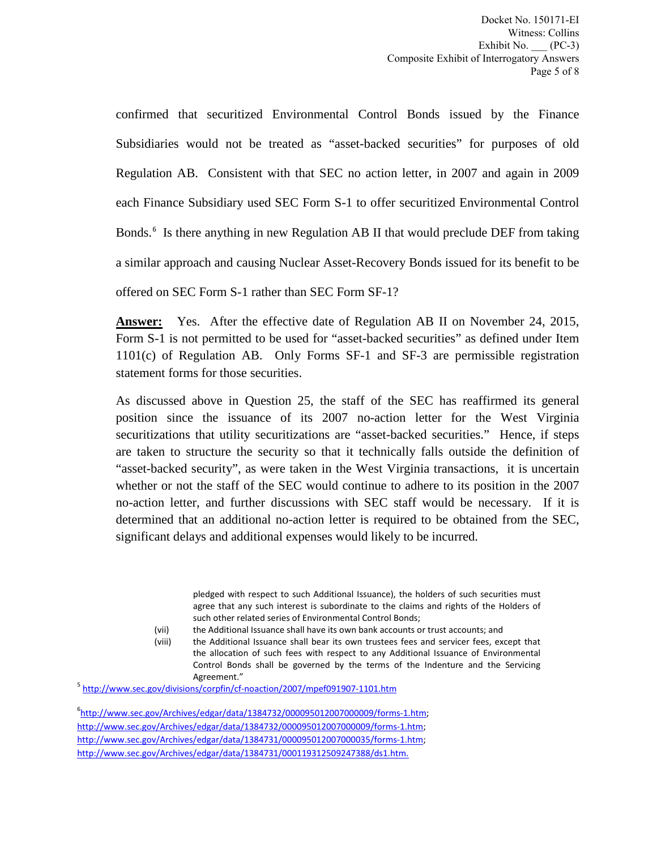confirmed that securitized Environmental Control Bonds issued by the Finance Subsidiaries would not be treated as "asset-backed securities" for purposes of old Regulation AB. Consistent with that SEC no action letter, in 2007 and again in 2009 each Finance Subsidiary used SEC Form S-1 to offer securitized Environmental Control Bonds.<sup>6</sup> Is there anything in new Regulation AB II that would preclude DEF from taking a similar approach and causing Nuclear Asset-Recovery Bonds issued for its benefit to be offered on SEC Form S-1 rather than SEC Form SF-1?

**Answer:** Yes. After the effective date of Regulation AB II on November 24, 2015, Form S-1 is not permitted to be used for "asset-backed securities" as defined under Item 1101(c) of Regulation AB. Only Forms SF-1 and SF-3 are permissible registration statement forms for those securities.

As discussed above in Question 25, the staff of the SEC has reaffirmed its general position since the issuance of its 2007 no-action letter for the West Virginia securitizations that utility securitizations are "asset-backed securities." Hence, if steps are taken to structure the security so that it technically falls outside the definition of "asset-backed security", as were taken in the West Virginia transactions, it is uncertain whether or not the staff of the SEC would continue to adhere to its position in the 2007 no-action letter, and further discussions with SEC staff would be necessary. If it is determined that an additional no-action letter is required to be obtained from the SEC, significant delays and additional expenses would likely to be incurred.

> pledged with respect to such Additional Issuance), the holders of such securities must agree that any such interest is subordinate to the claims and rights of the Holders of such other related series of Environmental Control Bonds;

(vii) the Additional Issuance shall have its own bank accounts or trust accounts; and

(viii) the Additional Issuance shall bear its own trustees fees and servicer fees, except that the allocation of such fees with respect to any Additional Issuance of Environmental Control Bonds shall be governed by the terms of the Indenture and the Servicing

Agreement."<br><sup>5</sup> http://www.sec.gov/divisions/corpfin/cf-noaction/2007/mpef091907-1101.htm

6 http://www.sec.gov/Archives/edgar/data/1384732/000095012007000009/forms-1.htm; http://www.sec.gov/Archives/edgar/data/1384732/000095012007000009/forms-1.htm; http://www.sec.gov/Archives/edgar/data/1384731/000095012007000035/forms-1.htm; http://www.sec.gov/Archives/edgar/data/1384731/000119312509247388/ds1.htm.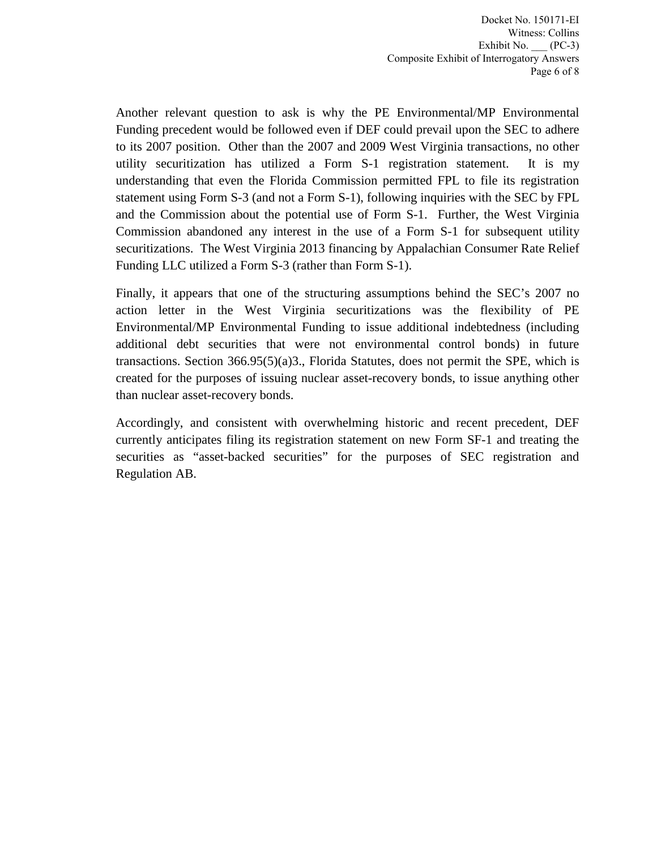Another relevant question to ask is why the PE Environmental/MP Environmental Funding precedent would be followed even if DEF could prevail upon the SEC to adhere to its 2007 position. Other than the 2007 and 2009 West Virginia transactions, no other utility securitization has utilized a Form S-1 registration statement. It is my understanding that even the Florida Commission permitted FPL to file its registration statement using Form S-3 (and not a Form S-1), following inquiries with the SEC by FPL and the Commission about the potential use of Form S-1. Further, the West Virginia Commission abandoned any interest in the use of a Form S-1 for subsequent utility securitizations. The West Virginia 2013 financing by Appalachian Consumer Rate Relief Funding LLC utilized a Form S-3 (rather than Form S-1).

Finally, it appears that one of the structuring assumptions behind the SEC's 2007 no action letter in the West Virginia securitizations was the flexibility of PE Environmental/MP Environmental Funding to issue additional indebtedness (including additional debt securities that were not environmental control bonds) in future transactions. Section  $366.95(5)(a)3$ ., Florida Statutes, does not permit the SPE, which is created for the purposes of issuing nuclear asset-recovery bonds, to issue anything other than nuclear asset-recovery bonds.

Accordingly, and consistent with overwhelming historic and recent precedent, DEF currently anticipates filing its registration statement on new Form SF-1 and treating the securities as "asset-backed securities" for the purposes of SEC registration and Regulation AB.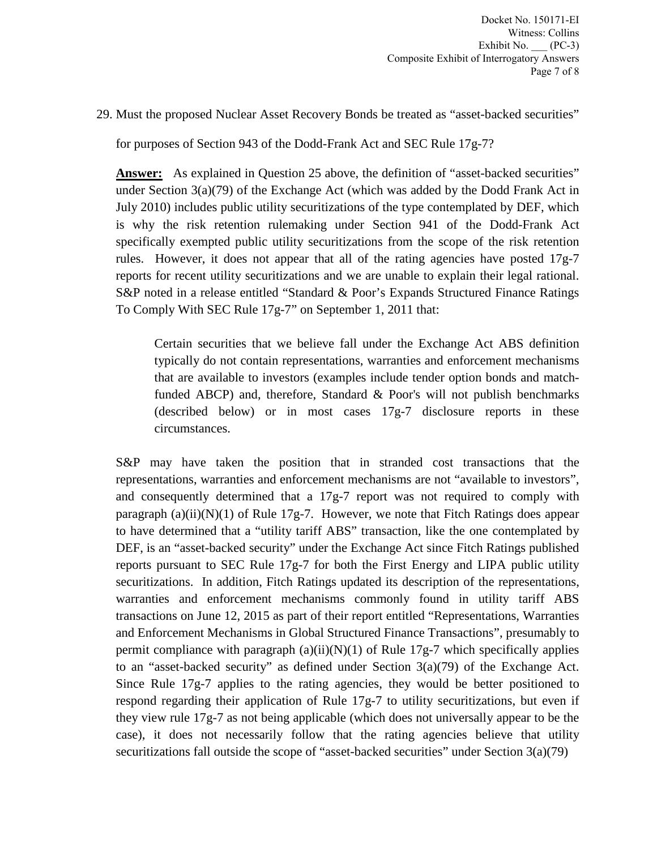29. Must the proposed Nuclear Asset Recovery Bonds be treated as "asset-backed securities"

for purposes of Section 943 of the Dodd-Frank Act and SEC Rule 17g-7?

**Answer:** As explained in Question 25 above, the definition of "asset-backed securities" under Section 3(a)(79) of the Exchange Act (which was added by the Dodd Frank Act in July 2010) includes public utility securitizations of the type contemplated by DEF, which is why the risk retention rulemaking under Section 941 of the Dodd-Frank Act specifically exempted public utility securitizations from the scope of the risk retention rules. However, it does not appear that all of the rating agencies have posted 17g-7 reports for recent utility securitizations and we are unable to explain their legal rational. S&P noted in a release entitled "Standard & Poor's Expands Structured Finance Ratings To Comply With SEC Rule 17g-7" on September 1, 2011 that:

Certain securities that we believe fall under the Exchange Act ABS definition typically do not contain representations, warranties and enforcement mechanisms that are available to investors (examples include tender option bonds and matchfunded ABCP) and, therefore, Standard & Poor's will not publish benchmarks (described below) or in most cases 17g-7 disclosure reports in these circumstances.

S&P may have taken the position that in stranded cost transactions that the representations, warranties and enforcement mechanisms are not "available to investors", and consequently determined that a  $17g-7$  report was not required to comply with paragraph (a)(ii)(N)(1) of Rule 17g-7. However, we note that Fitch Ratings does appear to have determined that a "utility tariff ABS" transaction, like the one contemplated by DEF, is an "asset-backed security" under the Exchange Act since Fitch Ratings published reports pursuant to SEC Rule 17g-7 for both the First Energy and LIPA public utility securitizations. In addition, Fitch Ratings updated its description of the representations, warranties and enforcement mechanisms commonly found in utility tariff ABS transactions on June 12, 2015 as part of their report entitled "Representations, Warranties and Enforcement Mechanisms in Global Structured Finance Transactions", presumably to permit compliance with paragraph  $(a)(ii)(N)(1)$  of Rule 17g-7 which specifically applies to an "asset-backed security" as defined under Section 3(a)(79) of the Exchange Act. Since Rule 17g-7 applies to the rating agencies, they would be better positioned to respond regarding their application of Rule 17g-7 to utility securitizations, but even if they view rule 17g-7 as not being applicable (which does not universally appear to be the case), it does not necessarily follow that the rating agencies believe that utility securitizations fall outside the scope of "asset-backed securities" under Section 3(a)(79)